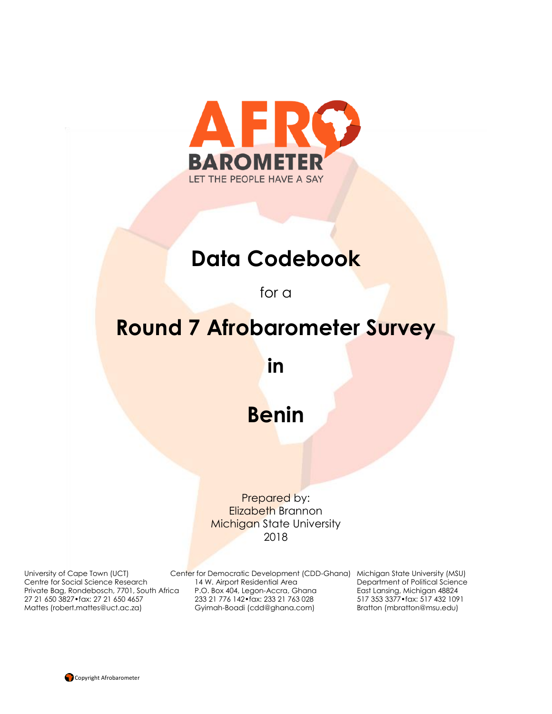

# **Data Codebook**

for a

# **Round 7 Afrobarometer Survey**

**in**

# **Benin**

Prepared by: Elizabeth Brannon Michigan State University 2018

27 21 650 3827•fax: 27 21 650 4657 233 21 776 142•fax: 233 21 763 028

University of Cape Town (UCT) Center for Democratic Development (CDD-Ghana) Michigan State University (MSU) Centre for Social Science Research 14 W. Airport Residential Area Department of Political Science<br>Private Bag, Rondebosch, 7701, South Africa P.O. Box 404, Legon-Accra, Ghana East Lansing, Michigan 48824 Private Bag, Rondebosch, 7701, South Africa P.O. Box 404, Legon-Accra, Ghana East Lansing, Michigan 48824<br>27 21 650 3827•fax: 27 21 650 4657 233 21 776 142•fax: 233 21 763 028 517 353 3377•fax: 517 432 1091 Mattes (robert.mattes@uct.ac.za) Gyimah-Boadi (cdd@ghana.com) Bratton (mbratton@msu.edu)

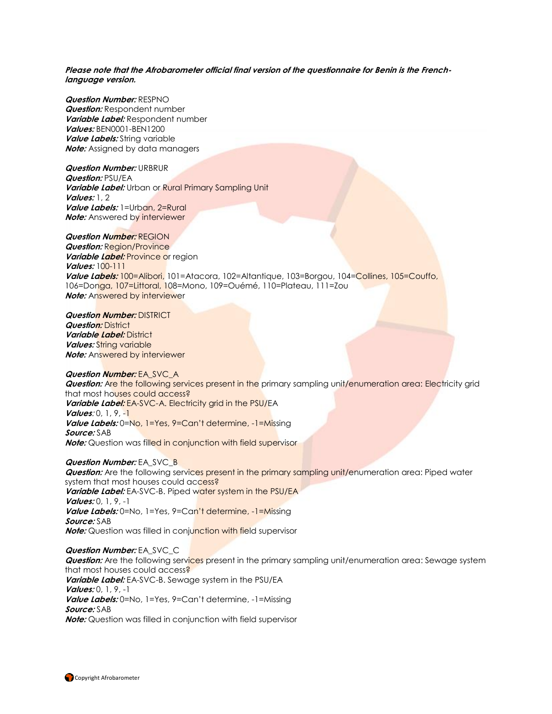**Please note that the Afrobarometer official final version of the questionnaire for Benin is the Frenchlanguage version.**

**Question Number:** RESPNO **Question:** Respondent number **Variable Label:** Respondent number **Values:** BEN0001-BEN1200 **Value Labels:** String variable **Note:** Assigned by data managers

**Question Number:** URBRUR

**Question:** PSU/EA **Variable Label:** Urban or Rural Primary Sampling Unit **Values:** 1, 2 **Value Labels:** 1=Urban, 2=Rural **Note:** Answered by interviewer

**Question Number:** REGION *Question:* **Region/Province** *Variable Label: Province or region* **Values:** 100-111 **Value Labels:** 100=Alibori, 101=Atacora, 102=Altantique, 103=Borgou, 104=Collines, 105=Couffo, 106=Donga, 107=Littoral, 108=Mono, 109=Ouémé, 110=Plateau, 111=Zou **Note:** Answered by interviewer

**Question Number:** DISTRICT **Question:** District **Variable Label:** District **Values:** String variable **Note:** Answered by interviewer

#### **Question Number:** EA\_SVC\_A

**Question:** Are the following services present in the primary sampling unit/enumeration area: Electricity grid that most houses could access? **Variable Label:** EA-SVC-A. Electricity grid in the PSU/EA **Values**: 0, 1, 9, -1 **Value Labels:** 0=No, 1=Yes, 9=Can't determine, -1=Missing **Source:** SAB **Note:** Question was filled in conjunction with field supervisor

#### **Question Number: EA\_SVC\_B**

**Question:** Are the following services present in the primary sampling unit/enumeration area: Piped water system that most houses could access? **Variable Label:** EA-SVC-B. Piped water system in the PSU/EA **Values:** 0, 1, 9, -1 Value Labels: 0=No, 1=Yes, 9=Can't determine, -1=Missing **Source:** SAB **Note:** Question was filled in conjunction with field supervisor

**Question Number:** EA\_SVC\_C

**Question:** Are the following services present in the primary sampling unit/enumeration area: Sewage system that most houses could access? **Variable Label:** EA-SVC-B. Sewage system in the PSU/EA **Values:** 0, 1, 9, -1 **Value Labels:** 0=No, 1=Yes, 9=Can't determine, -1=Missing **Source:** SAB

**Note:** Question was filled in conjunction with field supervisor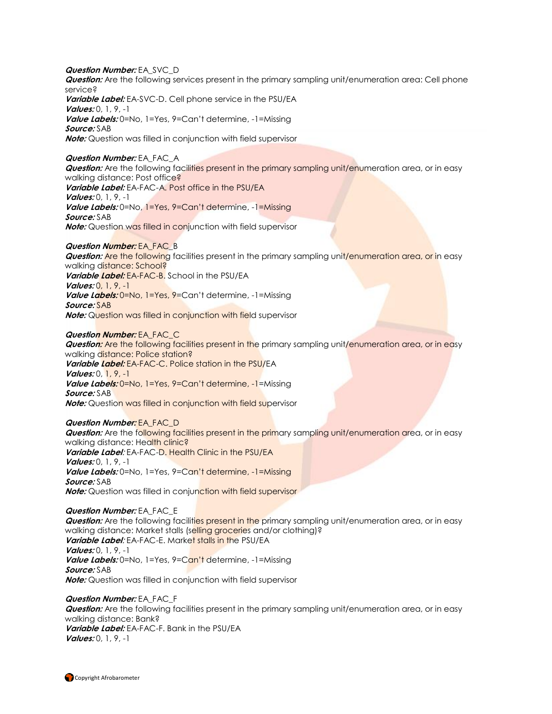**Question Number:** EA\_SVC\_D **Question:** Are the following services present in the primary sampling unit/enumeration area: Cell phone service? **Variable Label:** EA-SVC-D. Cell phone service in the PSU/EA **Values:** 0, 1, 9, -1 **Value Labels:** 0=No, 1=Yes, 9=Can't determine, -1=Missing **Source:** SAB **Note:** Question was filled in conjunction with field supervisor

#### **Question Number:** EA\_FAC\_A

**Question:** Are the following facilities present in the primary sampling unit/enumeration area, or in easy walking distance: Post office? **Variable Label:** EA-FAC-A. Post office in the PSU/EA **Values:** 0, 1, 9, -1 **Value Labels:** 0=No, 1=Yes, 9=Can't determine, -1=Missing **Source:** SAB **Note:** Question was filled in conjunction with field supervisor

#### **Question Number:** EA\_FAC\_B

**Question:** Are the following facilities present in the primary sampling unit/enumeration area, or in easy walking distance: School? **Variable Label:** EA-FAC-B. School in the PSU/EA **Values:** 0, 1, 9, -1 **Value Labels:** 0=No, 1=Yes, 9=Can't determine, -1=Missing **Source:** SAB **Note:** Question was filled in conjunction with field supervisor

#### **Question Number:** EA\_FAC\_C

**Question:** Are the following facilities present in the primary sampling unit/enumeration area, or in easy walking distance: Police station? **Variable Label:** EA-FAC-C. Police station in the PSU/EA **Values:** 0, 1, 9, -1 **Value Labels:** 0=No, 1=Yes, 9=Can't determine, -1=Missing **Source:** SAB **Note:** Question was filled in conjunction with field supervisor

#### **Question Number:** EA\_FAC\_D

**Question:** Are the following facilities present in the primary sampling unit/enumeration area, or in easy walking distance: Health clinic? **Variable Label**: EA-FAC-D. Health Clinic in the PSU/EA **Values:** 0, 1, 9, -1 Value Labels: 0=No, 1=Yes, 9=Can't determine, -1=Missing **Source:** SAB **Note:** Question was filled in conjunction with field supervisor

#### **Question Number:** EA\_FAC\_E

**Question:** Are the following facilities present in the primary sampling unit/enumeration area, or in easy walking distance: Market stalls (selling groceries and/or clothing)? **Variable Label**: EA-FAC-E. Market stalls in the PSU/EA **Values:** 0, 1, 9, -1 **Value Labels:** 0=No, 1=Yes, 9=Can't determine, -1=Missing **Source:** SAB **Note:** Question was filled in conjunction with field supervisor

**Question Number:** EA\_FAC\_F **Question:** Are the following facilities present in the primary sampling unit/enumeration area, or in easy walking distance: Bank? **Variable Label:** EA-FAC-F. Bank in the PSU/EA **Values:** 0, 1, 9, -1

Copyright Afrobarometer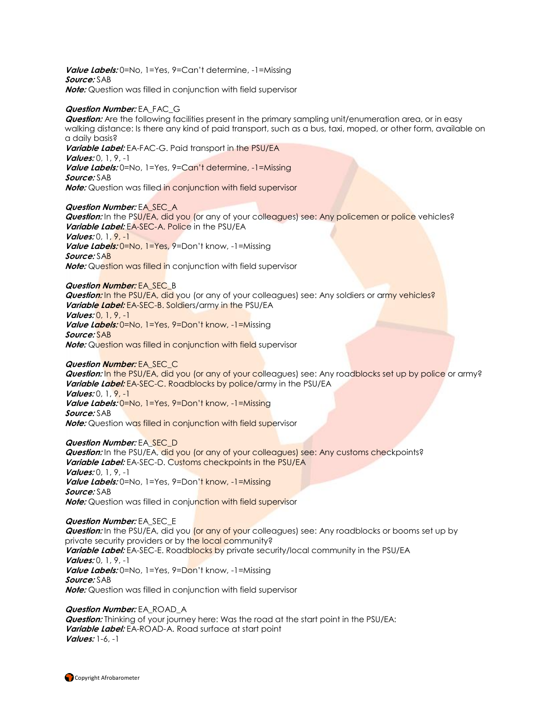**Value Labels:** 0=No, 1=Yes, 9=Can't determine, -1=Missing **Source:** SAB **Note:** Question was filled in conjunction with field supervisor

#### **Question Number:** EA\_FAC\_G

**Question:** Are the following facilities present in the primary sampling unit/enumeration area, or in easy walking distance: Is there any kind of paid transport, such as a bus, taxi, moped, or other form, available on a daily basis?

**Variable Label:** EA-FAC-G. Paid transport in the PSU/EA **Values:** 0, 1, 9, -1 **Value Labels:** 0=No, 1=Yes, 9=Can't determine, -1=Missing **Source:** SAB **Note:** Question was filled in conjunction with field supervisor

#### **Question Number:** EA\_SEC\_A

**Question:** In the PSU/EA, did you (or any of your colleagues) see: Any policemen or police vehicles? **Variable Label:** EA-SEC-A. Police in the PSU/EA **Values:** 0, 1, 9, -1 **Value Labels:** 0=No, 1=Yes, 9=Don't know, -1=Missing **Source:** SAB **Note:** Question was filled in conjunction with field supervisor

**Question Number:** EA\_SEC\_B **Question:** In the PSU/EA, did you (or any of your colleagues) see: Any soldiers or army vehicles? **Variable Label:** EA-SEC-B. Soldiers/army in the PSU/EA **Values:** 0, 1, 9, -1 Value Labels: 0=No, 1=Yes, 9=Don't know, -1=Missing **Source:** SAB **Note:** Question was filled in conjunction with field supervisor

### **Question Number:** EA\_SEC\_C

**Question:** In the PSU/EA, did you (or any of your colleagues) see: Any roadblocks set up by police or army? **Variable Label:** EA-SEC-C. Roadblocks by police/army in the PSU/EA **Values:** 0, 1, 9, -1 **Value Labels:** 0=No, 1=Yes, 9=Don't know, -1=Missing

**Source:** SAB **Note:** Question was filled in conjunction with field supervisor

#### **Question Number:** EA\_SEC\_D

**Question:** In the PSU/EA, did you (or any of your colleagues) see: Any customs checkpoints? **Variable Label:** EA-SEC-D. Customs checkpoints in the PSU/EA **Values:** 0, 1, 9, -1 Value Labels: 0=No, 1=Yes, 9=Don't know, -1=Missing **Source:** SAB **Note:** Question was filled in conjunction with field supervisor

#### **Question Number:** EA\_SEC\_E

**Question:** In the PSU/EA, did you (or any of your colleagues) see: Any roadblocks or booms set up by private security providers or by the local community? Variable Label: EA-SEC-E. Roadblocks by private security/local community in the PSU/EA **Values:** 0, 1, 9, -1 **Value Labels:** 0=No, 1=Yes, 9=Don't know, -1=Missing **Source:** SAB **Note:** Question was filled in conjunction with field supervisor

### **Question Number:** EA\_ROAD\_A

**Question:** Thinking of your journey here: Was the road at the start point in the PSU/EA: **Variable Label:** EA-ROAD-A. Road surface at start point **Values:** 1-6, -1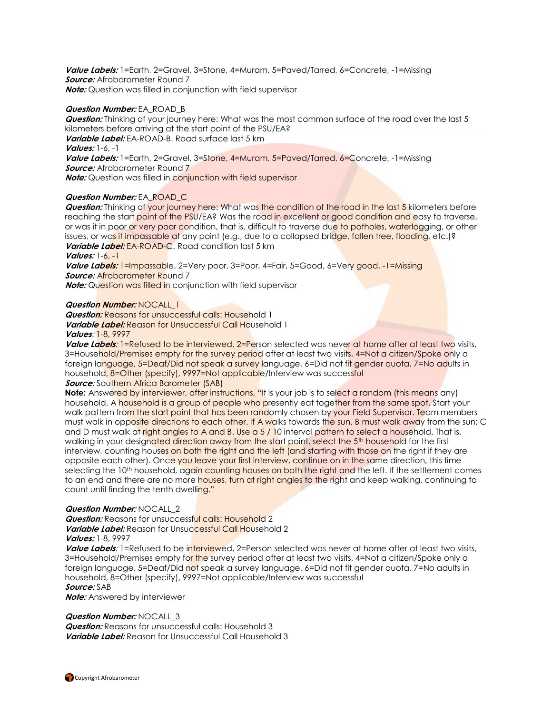**Value Labels:** 1=Earth, 2=Gravel, 3=Stone, 4=Muram, 5=Paved/Tarred, 6=Concrete, -1=Missing **Source:** Afrobarometer Round 7 **Note:** Question was filled in conjunction with field supervisor

#### **Question Number:** EA\_ROAD\_B

**Question:** Thinking of your journey here: What was the most common surface of the road over the last 5 kilometers before arriving at the start point of the PSU/EA? **Variable Label:** EA-ROAD-B. Road surface last 5 km **Values:** 1-6, -1 Value Labels: 1=Earth, 2=Gravel, 3=Stone, 4=Muram, 5=Paved/Tarred, 6=Concrete, -1=Missing **Source:** Afrobarometer Round 7 **Note:** Question was filled in conjunction with field supervisor

#### **Question Number:** EA\_ROAD\_C

**Question:** Thinking of your journey here: What was the condition of the road in the last 5 kilometers before reaching the start point of the PSU/EA? Was the road in excellent or good condition and easy to traverse, or was it in poor or very poor condition, that is, difficult to traverse due to potholes, waterlogging, or other issues, or was it impassable at any point (e.g., due to a collapsed bridge, fallen tree, flooding, etc.)? **Variable Label:** EA-ROAD-C. Road condition last 5 km

#### **Values:** 1-6, -1

**Value Labels:** 1=Impassable, 2=Very poor, 3=Poor, 4=Fair, 5=Good, 6=Very good, -1=Missing **Source: Afrobarometer Round 7** 

**Note:** Question was filled in conjunction with field supervisor

#### **Question Number:** NOCALL\_1

**Question:** Reasons for unsuccessful calls: Household 1 **Variable Label:** Reason for Unsuccessful Call Household 1 **Values**: 1-8, 9997

**Value Labels**: 1=Refused to be interviewed, 2=Person selected was never at home after at least two visits, 3=Household/Premises empty for the survey period after at least two visits, 4=Not a citizen/Spoke only a foreign language, 5=Deaf/Did not speak a survey language, 6=Did not fit gender quota, 7=No adults in household, 8=Other (specify), 9997=Not applicable/Interview was successful

#### **Source:** Southern Africa Barometer (SAB)

**Note:** Answered by interviewer, after instructions, "It is your job is to select a random (this means any) household. A household is a group of people who presently eat together from the same spot. Start your walk pattern from the start point that has been randomly chosen by your Field Supervisor. Team members must walk in opposite directions to each other. If A walks towards the sun, B must walk away from the sun; C and D must walk at right angles to A and B. Use a 5 / 10 interval pattern to select a household. That is, walking in your designated direction away from the start point, select the 5<sup>th</sup> household for the first interview, counting houses on both the right and the left (and starting with those on the right if they are opposite each other). Once you leave your first interview, continue on in the same direction, this time selecting the 10<sup>th</sup> household, again counting houses on both the right and the left. If the settlement comes to an end and there are no more houses, turn at right angles to the right and keep walking, continuing to count until finding the tenth dwelling."

#### **Question Number:** NOCALL\_2

*Question:* Reasons for unsuccessful calls: Household 2 **Variable Label:** Reason for Unsuccessful Call Household 2 **Values:** 1-8, 9997

**Value Labels**: 1=Refused to be interviewed, 2=Person selected was never at home after at least two visits, 3=Household/Premises empty for the survey period after at least two visits, 4=Not a citizen/Spoke only a foreign language, 5=Deaf/Did not speak a survey language, 6=Did not fit gender quota, 7=No adults in household, 8=Other (specify), 9997=Not applicable/Interview was successful **Source:** SAB

**Note:** Answered by interviewer

#### **Question Number: NOCALL 3**

**Question:** Reasons for unsuccessful calls: Household 3 **Variable Label:** Reason for Unsuccessful Call Household 3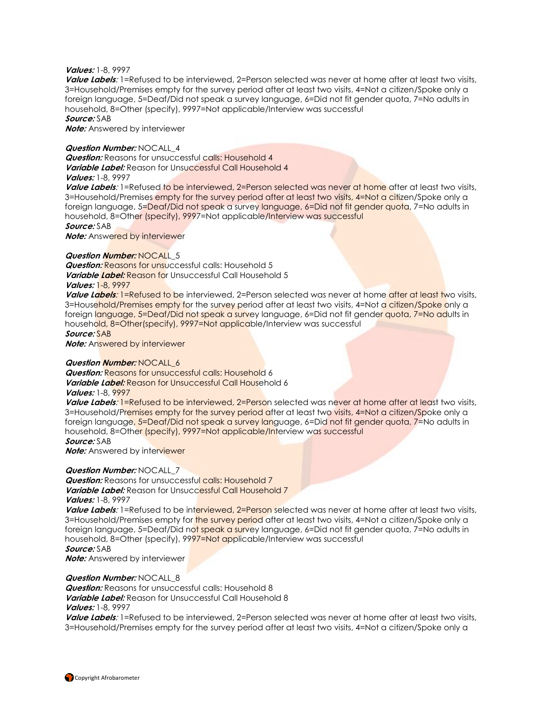#### **Values:** 1-8, 9997

**Value Labels**: 1=Refused to be interviewed, 2=Person selected was never at home after at least two visits, 3=Household/Premises empty for the survey period after at least two visits, 4=Not a citizen/Spoke only a foreign language, 5=Deaf/Did not speak a survey language, 6=Did not fit gender quota, 7=No adults in household, 8=Other (specify), 9997=Not applicable/Interview was successful **Source:** SAB

**Note:** Answered by interviewer

#### **Question Number:** NOCALL\_4

**Question:** Reasons for unsuccessful calls: Household 4 **Variable Label:** Reason for Unsuccessful Call Household 4 **Values:** 1-8, 9997

Value Labels: 1=Refused to be interviewed, 2=Person selected was never at home after at least two visits, 3=Household/Premises empty for the survey period after at least two visits, 4=Not a citizen/Spoke only a

foreign language, 5=Deaf/Did not speak a survey language, 6=Did not fit gender quota, 7=No adults in household, 8=Other (specify), 9997=Not applicable/Interview was successful

**Source:** SAB

**Note:** Answered by interviewer

#### **Question Number: NOCALL 5**

**Question:** Reasons for unsuccessful calls: Household 5 **Variable Label:** Reason for Unsuccessful Call Household 5

#### **Values:** 1-8, 9997

**Value Labels**: 1=Refused to be interviewed, 2=Person selected was never at home after at least two visits, 3=Household/Premises empty for the survey period after at least two visits, 4=Not a citizen/Spoke only a foreign language, 5=Deaf/Did not speak a survey language, 6=Did not fit gender quota, 7=No adults in household, 8=Other(specify), 9997=Not applicable/Interview was successful

#### **Source:** SAB

**Note:** Answered by interviewer

#### **Question Number:** NOCALL\_6

**Question:** Reasons for unsuccessful calls: Household 6 **Variable Label:** Reason for Unsuccessful Call Household 6

#### **Values:** 1-8, 9997

Value Labels: 1=Refused to be interviewed, 2=Person selected was never at home after at least two visits, 3=Household/Premises empty for the survey period after at least two visits, 4=Not a citizen/Spoke only a foreign language, 5=Deaf/Did not speak a survey language, 6=Did not fit gender quota, 7=No adults in household, 8=Other (specify), 9997=Not applicable/Interview was successful

### **Source:** SAB

**Note:** Answered by interviewer

#### **Question Number:** NOCALL\_7

**Question:** Reasons for unsuccessful calls: Household 7 **Variable Label:** Reason for Unsuccessful Call Household 7 **Values:** 1-8, 9997

Value Labels: 1=Refused to be interviewed, 2=Person selected was never at home after at least two visits, 3=Household/Premises empty for the survey period after at least two visits, 4=Not a citizen/Spoke only a foreign language, 5=Deaf/Did not speak a survey language, 6=Did not fit gender quota, 7=No adults in household, 8=Other (specify), 9997=Not applicable/Interview was successful **Source:** SAB

**Note:** Answered by interviewer

### **Question Number:** NOCALL\_8

**Question:** Reasons for unsuccessful calls: Household 8 **Variable Label:** Reason for Unsuccessful Call Household 8

#### **Values:** 1-8, 9997

**Value Labels**: 1=Refused to be interviewed, 2=Person selected was never at home after at least two visits, 3=Household/Premises empty for the survey period after at least two visits, 4=Not a citizen/Spoke only a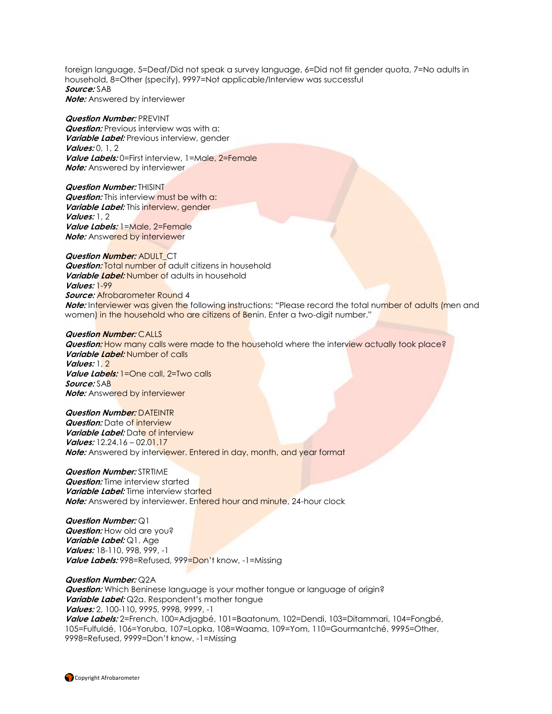foreign language, 5=Deaf/Did not speak a survey language, 6=Did not fit gender quota, 7=No adults in household, 8=Other (specify), 9997=Not applicable/Interview was successful **Source:** SAB **Note:** Answered by interviewer

**Question Number:** PREVINT **Question:** Previous interview was with a: **Variable Label:** Previous interview, gender **Values:** 0, 1, 2 Value Labels: 0=First interview, 1=Male, 2=Female **Note:** Answered by interviewer

**Question Number:** THISINT **Question:** This interview must be with a: **Variable Label:** This interview, gender **Values:** 1, 2 **Value Labels:** 1=Male, 2=Female **Note:** Answered by interviewer

**Question Number:** ADULT\_CT **Question: Total number of adult citizens in household Variable Label:** Number of adults in household **Values:** 1-99 **Source:** Afrobarometer Round 4 **Note:** Interviewer was given the following instructions: "Please record the total number of adults (men and women) in the household who are citizens of Benin. Enter a two-digit number."

**Question Number:** CALLS **Question:** How many calls were made to the household where the interview actually took place? **Variable Label:** Number of calls **Values:** 1, 2 **Value Labels:** 1=One call, 2=Two calls **Source:** SAB **Note:** Answered by interviewer

**Question Number:** DATEINTR **Question:** Date of interview **Variable Label:** Date of interview **Values:** 12.24.16 – 02.01.17 **Note:** Answered by interviewer. Entered in day, month, and year format

**Question Number:** STRTIME **Question:** Time interview started **Variable Label:** Time interview started **Note:** Answered by interviewer. Entered hour and minute, 24-hour clock

**Question Number:** Q1 **Question:** How old are you? **Variable Label:** Q1. Age **Values:** 18-110, 998, 999, -1 **Value Labels:** 998=Refused, 999=Don't know, -1=Missing

#### **Question Number:** Q2A

**Question:** Which Beninese language is your mother tongue or language of origin? **Variable Label:** Q2a. Respondent's mother tongue **Values:** 2, 100-110, 9995, 9998, 9999, -1 **Value Labels:** 2=French, 100=Adjagbé, 101=Baatonum, 102=Dendi, 103=Ditammari, 104=Fongbé, 105=Fulfuldé, 106=Yoruba, 107=Lopka, 108=Waama, 109=Yom, 110=Gourmantché, 9995=Other, 9998=Refused, 9999=Don't know, -1=Missing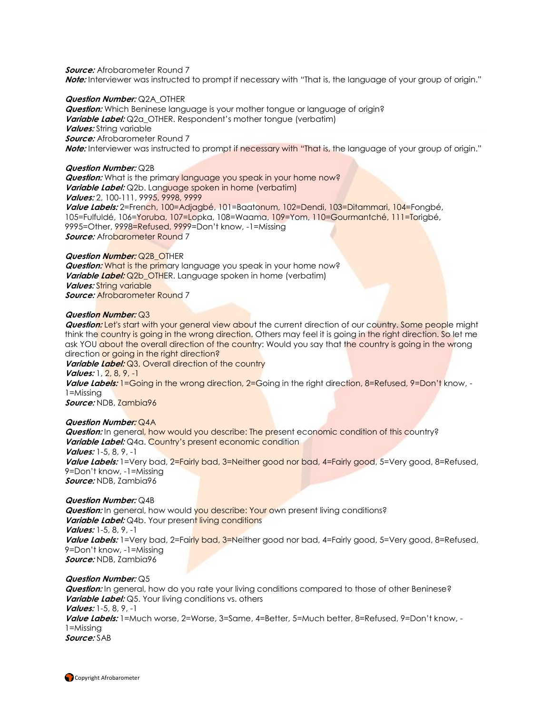**Source:** Afrobarometer Round 7 **Note:** Interviewer was instructed to prompt if necessary with "That is, the language of your group of origin."

#### **Question Number:** Q2A\_OTHER

**Question:** Which Beninese language is your mother tongue or language of origin? **Variable Label:** Q2a OTHER. Respondent's mother tongue (verbatim) **Values:** String variable **Source:** Afrobarometer Round 7 **Note:** Interviewer was instructed to prompt if necessary with "That is, the language of your group of origin."

#### **Question Number:** Q2B

**Question:** What is the primary language you speak in your home now? **Variable Label:** Q2b. Language spoken in home (verbatim) **Values:** 2, 100-111, 9995, 9998, 9999 **Value Labels:** 2=French, 100=Adjagbé, 101=Baatonum, 102=Dendi, 103=Ditammari, 104=Fongbé, 105=Fulfuldé, 106=Yoruba, 107=Lopka, 108=Waama, 109=Yom, 110=Gourmantché, 111=Torigbé, 9995=Other, 9998=Refused, 9999=Don't know, -1=Missing **Source:** Afrobarometer Round 7

#### **Question Number: Q2B\_OTHER**

**Question:** What is the primary language you speak in your home now? *Variable Label:* Q2b OTHER. Language spoken in home (verbatim) **Values:** String variable *Source:* Afrobarometer Round 7

#### **Question Number:** Q3

**Question:** Let's start with your general view about the current direction of our country. Some people might think the country is going in the wrong direction. Others may feel it is going in the right direction. So let me ask YOU about the overall direction of the country: Would you say that the country is going in the wrong direction or going in the right direction?

**Variable Label:** Q3. Overall direction of the country **Values:** 1, 2, 8, 9, -1

Value Labels: 1=Going in the wrong direction, 2=Going in the right direction, 8=Refused, 9=Don't know, -1=Missing

**Source:** NDB, Zambia96

#### **Question Number:** Q4A

**Question:** In general, how would you describe: The present economic condition of this country? **Variable Label:** Q4a. Country's present economic condition **Values:** 1-5, 8, 9, -1 **Value Labels:** 1=Very bad, 2=Fairly bad, 3=Neither good nor bad, 4=Fairly good, 5=Very good, 8=Refused, 9=Don't know, -1=Missing **Source:** NDB, Zambia96

#### **Question Number:** Q4B

**Question:** In general, how would you describe: Your own present living conditions? **Variable Label:** Q4b. Your present living conditions **Values:** 1-5, 8, 9, -1 **Value Labels:** 1=Very bad, 2=Fairly bad, 3=Neither good nor bad, 4=Fairly good, 5=Very good, 8=Refused, 9=Don't know, -1=Missing **Source:** NDB, Zambia96

**Question Number:** Q5

**Question:** In general, how do you rate your living conditions compared to those of other Beninese? **Variable Label:** Q5. Your living conditions vs. others **Values:** 1-5, 8, 9, -1 **Value Labels:** 1=Much worse, 2=Worse, 3=Same, 4=Better, 5=Much better, 8=Refused, 9=Don't know, - 1=Missing **Source:** SAB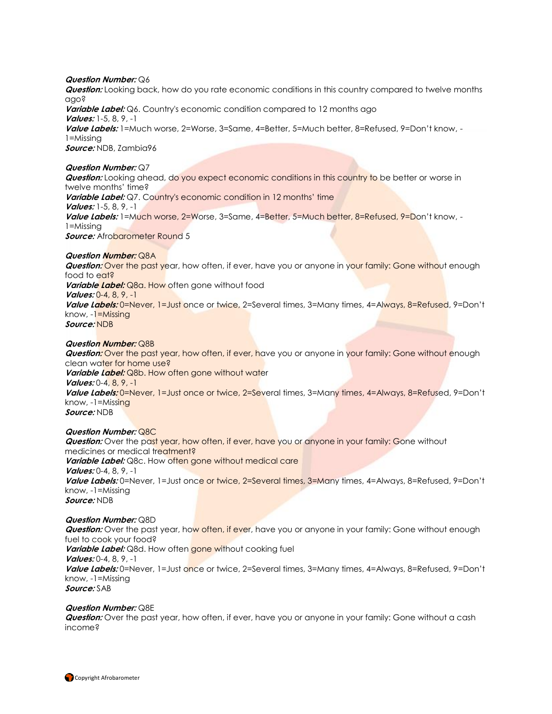#### **Question Number:** Q6

**Question:** Looking back, how do you rate economic conditions in this country compared to twelve months ago?

**Variable Label:** Q6. Country's economic condition compared to 12 months ago **Values:** 1-5, 8, 9, -1 **Value Labels:** 1=Much worse, 2=Worse, 3=Same, 4=Better, 5=Much better, 8=Refused, 9=Don't know, - 1=Missing **Source:** NDB, Zambia96

#### **Question Number:** Q7

**Question:** Looking ahead, do you expect economic conditions in this country to be better or worse in twelve months' time? **Variable Label:** Q7. Country's economic condition in 12 months' time **Values:** 1-5, 8, 9, -1 **Value Labels:** 1=Much worse, 2=Worse, 3=Same, 4=Better, 5=Much better, 8=Refused, 9=Don't know, - 1=Missing **Source:** Afrobarometer Round 5

#### **Question Number:** Q8A

*Question:* Over the past year, how often, if ever, have you or anyone in your family: Gone without enough food to eat? **Variable Label:** Q8a. How often gone without food **Values:** 0-4, 8, 9, -1 **Value Labels:** 0=Never, 1=Just once or twice, 2=Several times, 3=Many times, 4=Always, 8=Refused, 9=Don't know, -1=Missing **Source:** NDB

#### **Question Number:** Q8B

**Question:** Over the past year, how often, if ever, have you or anyone in your family: Gone without enough clean water for home use? *Variable Label:* Q8b. How often gone without water **Values:** 0-4, 8, 9, -1 **Value Labels:** 0=Never, 1=Just once or twice, 2=Several times, 3=Many times, 4=Always, 8=Refused, 9=Don't know, -1=Missing **Source:** NDB

#### **Question Number:** Q8C

**Question:** Over the past year, how often, if ever, have you or anyone in your family: Gone without medicines or medical treatment? **Variable Label:** Q8c. How often gone without medical care **Values:** 0-4, 8, 9, -1 **Value Labels:** 0=Never, 1=Just once or twice, 2=Several times, 3=Many times, 4=Always, 8=Refused, 9=Don't know, -1=Missing **Source:** NDB

#### **Question Number:** Q8D

**Question:** Over the past year, how often, if ever, have you or anyone in your family: Gone without enough fuel to cook your food? **Variable Label:** Q8d. How often gone without cooking fuel **Values:** 0-4, 8, 9, -1 **Value Labels:** 0=Never, 1=Just once or twice, 2=Several times, 3=Many times, 4=Always, 8=Refused, 9=Don't know, -1=Missing **Source:** SAB

#### **Question Number:** Q8E

**Question:** Over the past year, how often, if ever, have you or anyone in your family: Gone without a cash income?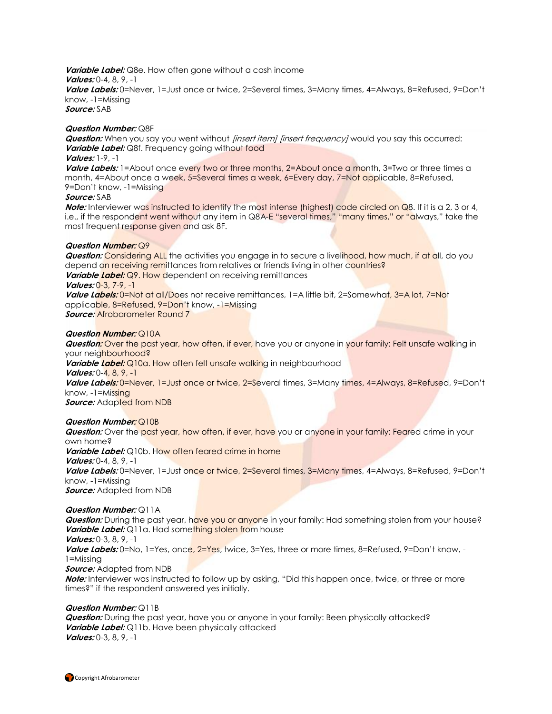**Variable Label:** Q8e. How often gone without a cash income **Values:** 0-4, 8, 9, -1 **Value Labels:** 0=Never, 1=Just once or twice, 2=Several times, 3=Many times, 4=Always, 8=Refused, 9=Don't know, -1=Missing **Source:** SAB

#### **Question Number:** Q8F

**Question:** When you say you went without [insert item] [insert frequency] would you say this occurred: **Variable Label:** Q8f. Frequency going without food

# **Values:** 1-9, -1

Value Labels: 1=About once every two or three months, 2=About once a month, 3=Two or three times a month, 4=About once a week, 5=Several times a week, 6=Every day, 7=Not applicable, 8=Refused, 9=Don't know, -1=Missing

#### **Source:** SAB

**Note:** Interviewer was instructed to identify the most intense (highest) code circled on Q8. If it is a 2, 3 or 4, i.e., if the respondent went without any item in Q8A-E "several times," "many times," or "always," take the most frequent response given and ask 8F.

#### **Question Number:** Q9

**Question:** Considering ALL the activities you engage in to secure a livelihood, how much, if at all, do you depend on receiving remittances from relatives or friends living in other countries? **Variable Label:** Q9. How dependent on receiving remittances **Values:** 0-3, 7-9, -1

**Value Labels:** 0=Not at all/Does not receive remittances, 1=A little bit, 2=Somewhat, 3=A lot, 7=Not applicable, 8=Refused, 9=Don't know, -1=Missing **Source:** Afrobarometer Round 7

#### **Question Number:** Q10A

**Question:** Over the past year, how often, if ever, have you or anyone in your family: Felt unsafe walking in your neighbourhood?

Variable Label: Q10a. How often felt unsafe walking in neighbourhood **Values:** 0-4, 8, 9, -1

**Value Labels:** 0=Never, 1=Just once or twice, 2=Several times, 3=Many times, 4=Always, 8=Refused, 9=Don't know, -1=Missing

*Source:* Adapted from NDB

### **Question Number:** Q10B

**Question:** Over the past year, how often, if ever, have you or anyone in your family: Feared crime in your own home? Variable Label: Q10b. How often feared crime in home **Values:** 0-4, 8, 9, -1 **Value Labels:** 0=Never, 1=Just once or twice, 2=Several times, 3=Many times, 4=Always, 8=Refused, 9=Don't know, -1=Missing **Source:** Adapted from NDB

### **Question Number:** Q11A

**Question:** During the past year, have you or anyone in your family: Had something stolen from your house? **Variable Label:** Q11a. Had something stolen from house

**Values:** 0-3, 8, 9, -1

**Value Labels:** 0=No, 1=Yes, once, 2=Yes, twice, 3=Yes, three or more times, 8=Refused, 9=Don't know, - 1=Missing

**Source:** Adapted from NDB

**Note:** Interviewer was instructed to follow up by asking, "Did this happen once, twice, or three or more times?" if the respondent answered yes initially.

### **Question Number:** Q11B

**Question:** During the past year, have you or anyone in your family: Been physically attacked? **Variable Label:** Q11b. Have been physically attacked **Values:** 0-3, 8, 9, -1

**Copyright Afrobarometer**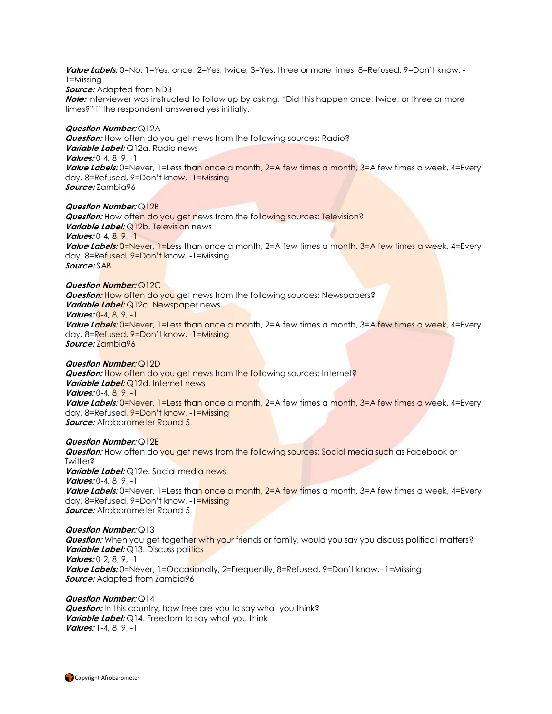**Value Labels:** 0=No, 1=Yes, once, 2=Yes, twice, 3=Yes, three or more times, 8=Refused, 9=Don't know, - 1=Missing

#### **Source:** Adapted from NDB

**Note:** Interviewer was instructed to follow up by asking, "Did this happen once, twice, or three or more times?" if the respondent answered yes initially.

#### **Question Number:** Q12A

**Question:** How often do you get news from the following sources: Radio? **Variable Label:** Q12a. Radio news **Values:** 0-4, 8, 9, -1 **Value Labels:** 0=Never, 1=Less than once a month, 2=A few times a month, 3=A few times a week, 4=Every day, 8=Refused, 9=Don't know, -1=Missing **Source:** Zambia96

#### **Question Number:** Q12B

**Question:** How often do you get news from the following sources: Television? **Variable Label:** Q12b. Television news **Values:** 0-4, 8, 9, -1 **Value Labels:** 0=Never, 1=Less than once a month, 2=A few times a month, 3=A few times a week, 4=Every day, 8=Refused, 9=Don't know, -1=Missing **Source:** SAB

#### **Question Number:** Q12C

**Question:** How often do you get news from the following sources: Newspapers? *Variable Label: Q12c. Newspaper news* **Values:** 0-4, 8, 9, -1 **Value Labels:** 0=Never, 1=Less than once a month, 2=A few times a month, 3=A few times a week, 4=Every day, 8=Refused, 9=Don't know, -1=Missing **Source:** Zambia96

#### **Question Number:** Q12D

*Question:* How often do you get news from the following sources: Internet? **Variable Label:** Q12d. Internet news **Values:** 0-4, 8, 9, -1 **Value Labels: 0=Never, 1=Less than once a month, 2=A few times a month, 3=A few times a week, 4=Every** day, 8=Refused, 9=Don't know, -1=Missing **Source:** Afrobarometer Round 5

#### **Question Number:** Q12E

**Question:** How often do you get news from the following sources: Social media such as Facebook or Twitter? **Variable Label:** Q12e. Social media news **Values:** 0-4, 8, 9, -1 **Value Labels:** 0=Never, 1=Less than once a month, 2=A few times a month, 3=A few times a week, 4=Every day, 8=Refused, 9=Don't know, -1=Missing **Source:** Afrobarometer Round 5

### **Question Number:** Q13

**Question:** When you get together with your friends or family, would you say you discuss political matters? *Variable Label:* Q13. Discuss politics **Values:** 0-2, 8, 9, -1 **Value Labels:** 0=Never, 1=Occasionally, 2=Frequently, 8=Refused, 9=Don't know, -1=Missing **Source:** Adapted from Zambia96

#### **Question Number:** Q14 **Question:** In this country, how free are you to say what you think? **Variable Label:** Q14. Freedom to say what you think **Values:** 1-4, 8, 9, -1

Copyright Afrobarometer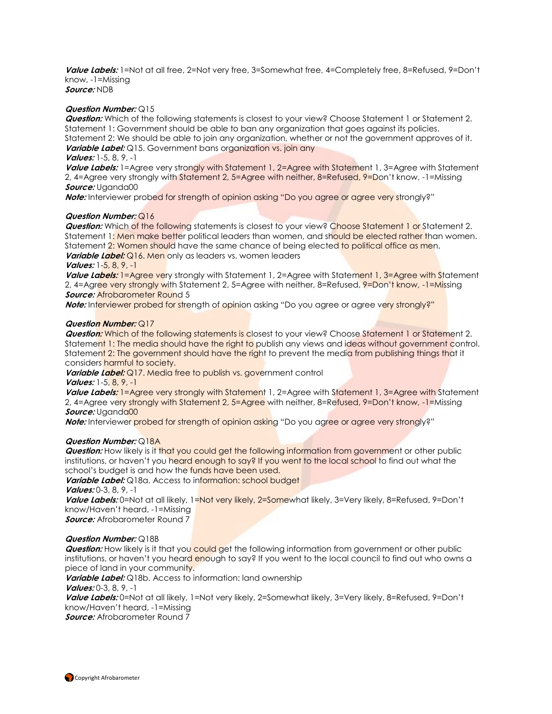**Value Labels:** 1=Not at all free, 2=Not very free, 3=Somewhat free, 4=Completely free, 8=Refused, 9=Don't know, -1=Missing **Source:** NDB

**Question Number:** Q15

**Question:** Which of the following statements is closest to your view? Choose Statement 1 or Statement 2. Statement 1: Government should be able to ban any organization that goes against its policies. Statement 2: We should be able to join any organization, whether or not the government approves of it. **Variable Label:** Q15. Government bans organization vs. join any

**Values:** 1-5, 8, 9, -1

**Value Labels:** 1=Agree very strongly with Statement 1, 2=Agree with Statement 1, 3=Agree with Statement 2, 4=Agree very strongly with Statement 2, 5=Agree with neither, 8=Refused, 9=Don't know, -1=Missing **Source:** Uganda00

**Note:** Interviewer probed for strength of opinion asking "Do you agree or agree very strongly?"

#### **Question Number:** Q16

**Question:** Which of the following statements is closest to your view? Choose Statement 1 or Statement 2. Statement 1: Men make better political leaders than women, and should be elected rather than women. Statement 2: Women should have the same chance of being elected to political office as men. **Variable Label:** Q16. Men only as leaders vs. women leaders

#### **Values:** 1-5, 8, 9, -1

**Value Labels:** 1=Agree very strongly with Statement 1, 2=Agree with Statement 1, 3=Agree with Statement 2, 4=Agree very strongly with Statement 2, 5=Agree with neither, 8=Refused, 9=Don't know, -1=Missing *Source:* Afrobarometer Round 5

**Note:** Interviewer probed for strength of opinion asking "Do you agree or agree very strongly?"

#### **Question Number:** Q17

**Question:** Which of the following statements is closest to your view? Choose Statement 1 or Statement 2. Statement 1: The media should have the right to publish any views and ideas without government control. Statement 2: The government should have the right to prevent the media from publishing things that it considers harmful to society.

**Variable Label:** Q17. Media free to publish vs. government control **Values:** 1-5, 8, 9, -1

Value Labels: 1=Agree very strongly with Statement 1, 2=Agree with Statement 1, 3=Agree with Statement 2, 4=Agree very strongly with Statement 2, 5=Agree with neither, 8=Refused, 9=Don't know, -1=Missing **Source:** Uganda00

**Note:** Interviewer probed for strength of opinion asking "Do you agree or agree very strongly?"

#### **Question Number:** Q18A

**Question:** How likely is it that you could get the following information from government or other public institutions, or haven't you heard enough to say? If you went to the local school to find out what the school's budget is and how the funds have been used.

Variable Label: Q18a. Access to information: school budget **Values:** 0-3, 8, 9, -1

**Value Labels:** 0=Not at all likely, 1=Not very likely, 2=Somewhat likely, 3=Very likely, 8=Refused, 9=Don't know/Haven't heard, -1=Missing

**Source:** Afrobarometer Round 7

#### **Question Number:** Q18B

**Question:** How likely is it that you could get the following information from government or other public institutions, or haven't you heard enough to say? If you went to the local council to find out who owns a piece of land in your community.

**Variable Label:** Q18b. Access to information: land ownership

**Values:** 0-3, 8, 9, -1

**Value Labels:** 0=Not at all likely, 1=Not very likely, 2=Somewhat likely, 3=Very likely, 8=Refused, 9=Don't know/Haven't heard, -1=Missing

**Source:** Afrobarometer Round 7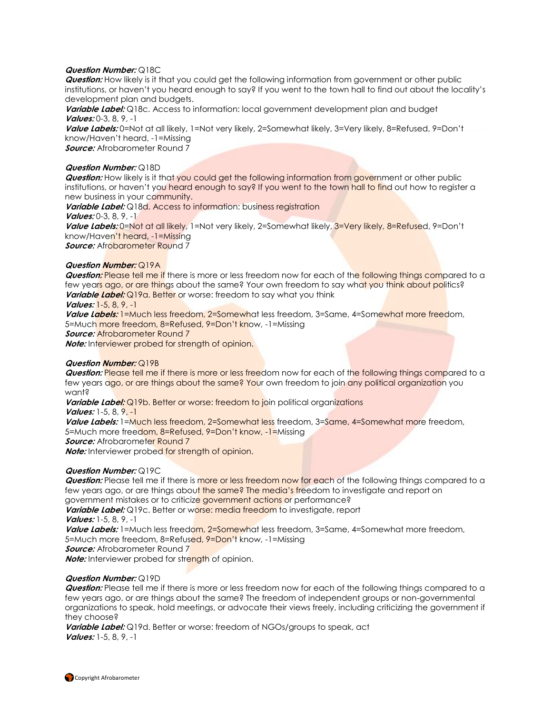#### **Question Number:** Q18C

**Question:** How likely is it that you could get the following information from government or other public institutions, or haven't you heard enough to say? If you went to the town hall to find out about the locality's development plan and budgets.

**Variable Label:** Q18c. Access to information: local government development plan and budget **Values:** 0-3, 8, 9, -1

**Value Labels:** 0=Not at all likely, 1=Not very likely, 2=Somewhat likely, 3=Very likely, 8=Refused, 9=Don't know/Haven't heard, -1=Missing

**Source:** Afrobarometer Round 7

#### **Question Number:** Q18D

**Question:** How likely is it that you could get the following information from government or other public institutions, or haven't you heard enough to say? If you went to the town hall to find out how to register a new business in your community.

**Variable Label:** Q18d. Access to information: business registration

#### **Values:** 0-3, 8, 9, -1

**Value Labels:** 0=Not at all likely, 1=Not very likely, 2=Somewhat likely, 3=Very likely, 8=Refused, 9=Don't know/Haven't heard, -1=Missing

*Source:* Afrobarometer Round 7

#### **Question Number:** Q19A

**Question:** Please tell me if there is more or less freedom now for each of the following things compared to a few years ago, or are things about the same? Your own freedom to say what you think about politics? **Variable Label:** Q19a. Better or worse: freedom to say what you think

#### **Values:** 1-5, 8, 9, -1

**Value Labels:** 1=Much less freedom, 2=Somewhat less freedom, 3=Same, 4=Somewhat more freedom, 5=Much more freedom, 8=Refused, 9=Don't know, -1=Missing

**Source: Afrobarometer Round 7** 

**Note:** Interviewer probed for strength of opinion.

#### **Question Number:** Q19B

**Question:** Please tell me if there is more or less freedom now for each of the following things compared to a few years ago, or are things about the same? Your own freedom to join any political organization you want?

*Variable Label:* Q19b. Better or worse: freedom to join political organizations

**Values:** 1-5, 8, 9, -1

**Value Labels:** 1=Much less freedom, 2=Somewhat less freedom, 3=Same, 4=Somewhat more freedom, 5=Much more freedom, 8=Refused, 9=Don't know, -1=Missing

**Source:** Afrobarometer Round 7

**Note:** Interviewer probed for strength of opinion.

### **Question Number:** Q19C

**Question:** Please tell me if there is more or less freedom now for each of the following things compared to a few years ago, or are things about the same? The media's freedom to investigate and report on government mistakes or to criticize government actions or performance?

**Variable Label:** Q19c. Better or worse: media freedom to investigate, report **Values:** 1-5, 8, 9, -1

**Value Labels:** 1=Much less freedom, 2=Somewhat less freedom, 3=Same, 4=Somewhat more freedom, 5=Much more freedom, 8=Refused, 9=Don't know, -1=Missing

**Source:** Afrobarometer Round 7

**Note:** Interviewer probed for strength of opinion.

### **Question Number:** Q19D

**Question:** Please tell me if there is more or less freedom now for each of the following things compared to a few years ago, or are things about the same? The freedom of independent groups or non-governmental organizations to speak, hold meetings, or advocate their views freely, including criticizing the government if they choose?

**Variable Label:** Q19d. Better or worse: freedom of NGOs/groups to speak, act **Values:** 1-5, 8, 9, -1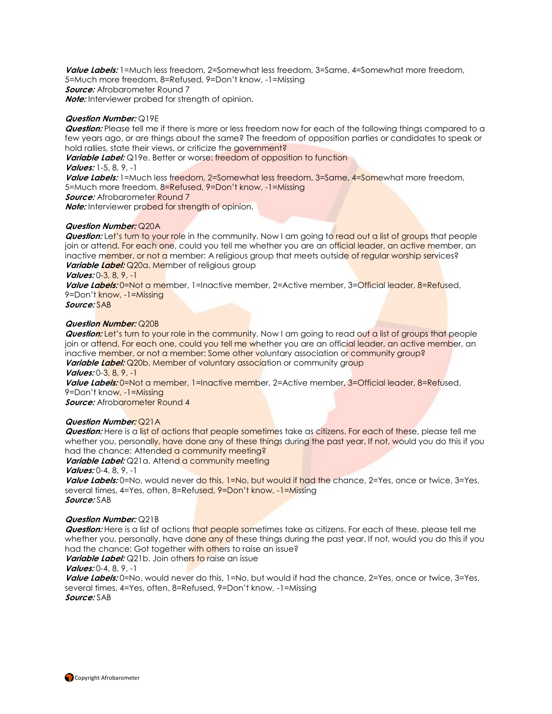**Value Labels:** 1=Much less freedom, 2=Somewhat less freedom, 3=Same, 4=Somewhat more freedom, 5=Much more freedom, 8=Refused, 9=Don't know, -1=Missing **Source:** Afrobarometer Round 7 **Note:** Interviewer probed for strength of opinion.

#### **Question Number:** Q19E

**Question:** Please tell me if there is more or less freedom now for each of the following things compared to a few years ago, or are things about the same? The freedom of opposition parties or candidates to speak or hold rallies, state their views, or criticize the government?

**Variable Label:** Q19e. Better or worse: freedom of opposition to function

**Values:** 1-5, 8, 9, -1

**Value Labels:** 1=Much less freedom, 2=Somewhat less freedom, 3=Same, 4=Somewhat more freedom, 5=Much more freedom, 8=Refused, 9=Don't know, -1=Missing

**Source:** Afrobarometer Round 7

**Note:** Interviewer probed for strength of opinion.

#### **Question Number:** Q20A

**Question:** Let's turn to your role in the community. Now I am going to read out a list of groups that people join or attend. For each one, could you tell me whether you are an official leader, an active member, an inactive member, or not a member: A religious group that meets outside of regular worship services? **Variable Label:** Q20a. Member of religious group

**Values:** 0-3, 8, 9, -1

**Value Labels:** 0=Not a member, 1=Inactive member, 2=Active member, 3=Official leader, 8=Refused, 9=Don't know, -1=Missing

**Source:** SAB

#### **Question Number:** Q20B

**Question:** Let's turn to your role in the community. Now I am going to read out a list of groups that people join or attend. For each one, could you tell me whether you are an official leader, an active member, an inactive member, or not a member: Some other voluntary association or community group?

**Variable Label:** Q20b. Member of voluntary association or community group **Values:** 0-3, 8, 9, -1

**Value Labels:** 0=Not a member, 1=Inactive member, 2=Active member, 3=Official leader, 8=Refused, 9=Don't know, -1=Missing

**Source:** Afrobarometer Round 4

### **Question Number:** Q21A

**Question:** Here is a list of actions that people sometimes take as citizens. For each of these, please tell me whether you, personally, have done any of these things during the past year. If not, would you do this if you had the chance: Attended a community meeting?

Variable Label: Q21a. Attend a community meeting **Values:** 0-4, 8, 9, -1

Value Labels: 0=No, would never do this, 1=No, but would if had the chance, 2=Yes, once or twice, 3=Yes, several times, 4=Yes, often, 8=Refused, 9=Don't know, -1=Missing **Source:** SAB

#### **Question Number:** Q21B

**Question:** Here is a list of actions that people sometimes take as citizens. For each of these, please tell me whether you, personally, have done any of these things during the past year. If not, would you do this if you had the chance: Got together with others to raise an issue?

*Variable Label:* Q21b. Join others to raise an issue

#### **Values:** 0-4, 8, 9, -1

**Value Labels:** 0=No, would never do this, 1=No, but would if had the chance, 2=Yes, once or twice, 3=Yes, several times, 4=Yes, often, 8=Refused, 9=Don't know, -1=Missing **Source:** SAB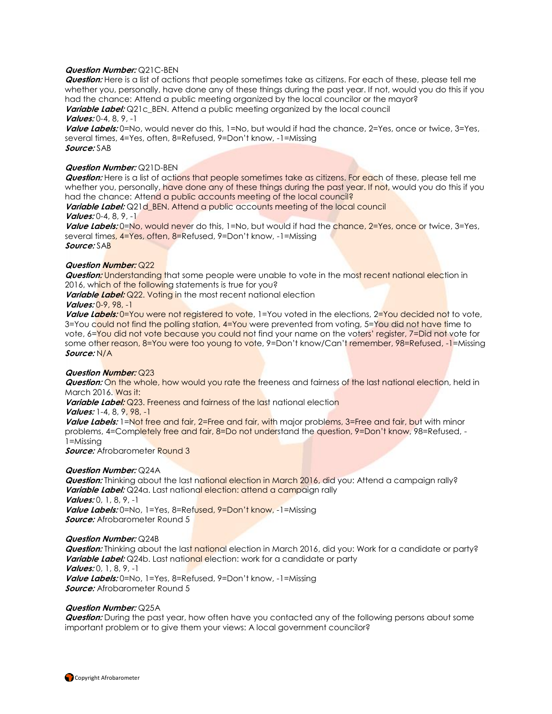#### **Question Number:** Q21C-BEN

**Question:** Here is a list of actions that people sometimes take as citizens. For each of these, please tell me whether you, personally, have done any of these things during the past year. If not, would you do this if you had the chance: Attend a public meeting organized by the local councilor or the mayor? **Variable Label:** Q21c\_BEN. Attend a public meeting organized by the local council

**Values:** 0-4, 8, 9, -1

**Value Labels:** 0=No, would never do this, 1=No, but would if had the chance, 2=Yes, once or twice, 3=Yes, several times, 4=Yes, often, 8=Refused, 9=Don't know, -1=Missing **Source:** SAB

#### **Question Number:** Q21D-BEN

**Question:** Here is a list of actions that people sometimes take as citizens. For each of these, please tell me whether you, personally, have done any of these things during the past year. If not, would you do this if you had the chance: Attend a public accounts meeting of the local council?

**Variable Label:** Q21d BEN. Attend a public accounts meeting of the local council **Values:** 0-4, 8, 9, -1

Value Labels: 0=No, would never do this, 1=No, but would if had the chance, 2=Yes, once or twice, 3=Yes, several times, 4=Yes, often, 8=Refused, 9=Don't know, -1=Missing **Source:** SAB

#### **Question Number:** Q22

**Question:** Understanding that some people were unable to vote in the most recent national election in 2016, which of the following statements is true for you?

**Variable Label:** Q22. Voting in the most recent national election

#### **Values:** 0-9, 98, -1

Value Labels: 0=You were not registered to vote, 1=You voted in the elections, 2=You decided not to vote, 3=You could not find the polling station, 4=You were prevented from voting, 5=You did not have time to vote, 6=You did not vote because you could not find your name on the voters' register, 7=Did not vote for some other reason, 8=You were too young to vote, 9=Don't know/Can't remember, 98=Refused, -1=Missing **Source:** N/A

#### **Question Number:** Q23

**Question:** On the whole, how would you rate the freeness and fairness of the last national election, held in March 2016. Was it:

**Variable Label:** Q23. Freeness and fairness of the last national election

**Values:** 1-4, 8, 9, 98, -1

Value Labels: 1=Not free and fair, 2=Free and fair, with major problems, 3=Free and fair, but with minor problems, 4=Completely free and fair, 8=Do not understand the question, 9=Don't know, 98=Refused, -1=Missing

**Source:** Afrobarometer Round 3

#### **Question Number:** Q24A

*Question:* Thinking about the last national election in March 2016, did you: Attend a campaign rally? **Variable Label:** Q24a. Last national election: attend a campaign rally **Values:** 0, 1, 8, 9, -1 Value Labels: 0=No, 1=Yes, 8=Refused, 9=Don't know, -1=Missing **Source:** Afrobarometer Round 5

#### **Question Number:** Q24B

**Question:** Thinking about the last national election in March 2016, did you: Work for a candidate or party? **Variable Label:** Q24b. Last national election: work for a candidate or party **Values:** 0, 1, 8, 9, -1 **Value Labels:** 0=No, 1=Yes, 8=Refused, 9=Don't know, -1=Missing **Source:** Afrobarometer Round 5

#### **Question Number:** Q25A

**Question:** During the past year, how often have you contacted any of the following persons about some important problem or to give them your views: A local government councilor?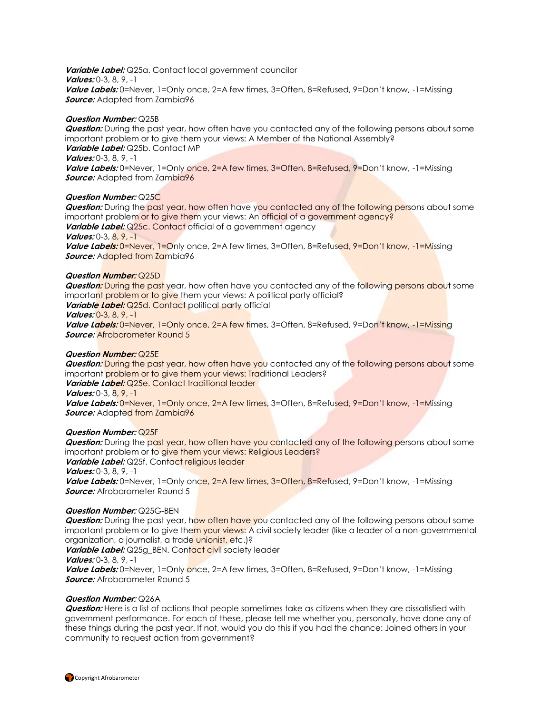**Variable Label:** Q25a. Contact local government councilor **Values:** 0-3, 8, 9, -1 **Value Labels:** 0=Never, 1=Only once, 2=A few times, 3=Often, 8=Refused, 9=Don't know, -1=Missing **Source:** Adapted from Zambia96

#### **Question Number:** Q25B

**Question:** During the past year, how often have you contacted any of the following persons about some important problem or to give them your views: A Member of the National Assembly? **Variable Label:** Q25b. Contact MP **Values:** 0-3, 8, 9, -1 Value Labels: 0=Never, 1=Only once, 2=A few times, 3=Often, 8=Refused, 9=Don't know, -1=Missing **Source:** Adapted from Zambia96

#### **Question Number:** Q25C

**Question:** During the past year, how often have you contacted any of the following persons about some important problem or to give them your views: An official of a government agency? Variable Label: Q25c. Contact official of a government agency **Values:** 0-3, 8, 9, -1 Value Labels: 0=Never, 1=Only once, 2=A few times, 3=Often, 8=Refused, 9=Don't know, -1=Missing *Source:* Adapted from Zambia96

#### **Question Number:** Q25D

**Question:** During the past year, how often have you contacted any of the following persons about some important problem or to give them your views: A political party official? **Variable Label:** Q25d. Contact political party official **Values:** 0-3, 8, 9, -1 Value Labels: 0=Never, 1=Only once, 2=A few times, 3=Often, 8=Refused, 9=Don't know, -1=Missing **Source:** Afrobarometer Round 5

#### **Question Number:** Q25E

**Question:** During the past year, how often have you contacted any of the following persons about some important problem or to give them your views: Traditional Leaders? **Variable Label:** Q25e. Contact traditional leader **Values:** 0-3, 8, 9, -1

Value Labels: 0=Never, 1=Only once, 2=A few times, 3=Often, 8=Refused, 9=Don't know, -1=Missing *Source:* Adapted from Zambia96

#### **Question Number:** Q25F

**Question:** During the past year, how often have you contacted any of the following persons about some important problem or to give them your views: Religious Leaders? Variable Label: Q25f. Contact religious leader **Values:** 0-3, 8, 9, -1 Value Labels: 0=Never, 1=Only once, 2=A few times, 3=Often, 8=Refused, 9=Don't know, -1=Missing **Source:** Afrobarometer Round 5

#### **Question Number:** Q25G-BEN

**Question:** During the past year, how often have you contacted any of the following persons about some important problem or to give them your views: A civil society leader (like a leader of a non-governmental organization, a journalist, a trade unionist, etc.)?

Variable Label: Q25g\_BEN. Contact civil society leader **Values:** 0-3, 8, 9, -1

Value Labels: 0=Never, 1=Only once, 2=A few times, 3=Often, 8=Refused, 9=Don't know, -1=Missing **Source:** Afrobarometer Round 5

#### **Question Number:** Q26A

**Question:** Here is a list of actions that people sometimes take as citizens when they are dissatisfied with government performance. For each of these, please tell me whether you, personally, have done any of these things during the past year. If not, would you do this if you had the chance: Joined others in your community to request action from government?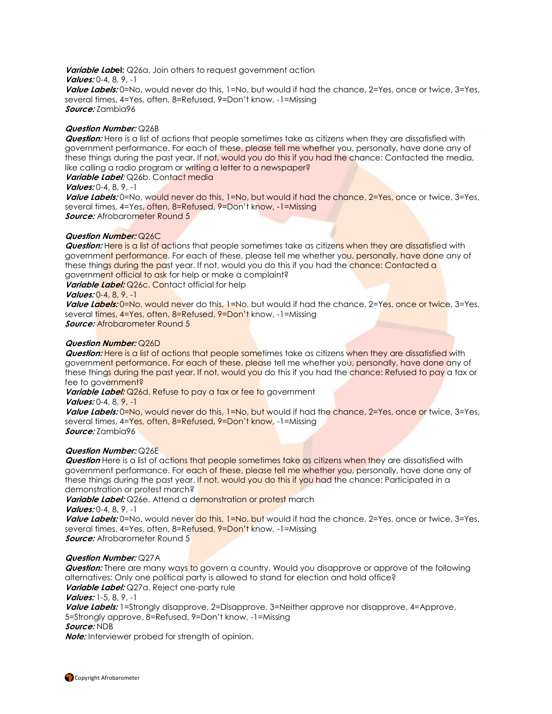**Variable Label:** Q26a. Join others to request government action **Values:** 0-4, 8, 9, -1 **Value Labels:** 0=No, would never do this, 1=No, but would if had the chance, 2=Yes, once or twice, 3=Yes, several times, 4=Yes, often, 8=Refused, 9=Don't know, -1=Missing **Source:** Zambia96

#### **Question Number:** Q26B

**Question:** Here is a list of actions that people sometimes take as citizens when they are dissatisfied with government performance. For each of these, please tell me whether you, personally, have done any of these things during the past year. If not, would you do this if you had the chance: Contacted the media, like calling a radio program or writing a letter to a newspaper?

### **Variable Label**: Q26b. Contact media

#### **Values:** 0-4, 8, 9, -1

Value Labels: 0=No, would never do this, 1=No, but would if had the chance, 2=Yes, once or twice, 3=Yes, several times, 4=Yes, often, 8=Refused, 9=Don't know, -1=Missing *Source:* Afrobarometer Round 5

#### **Question Number:** Q26C

**Question:** Here is a list of actions that people sometimes take as citizens when they are dissatisfied with government performance. For each of these, please tell me whether you, personally, have done any of these things during the past year. If not, would you do this if you had the chance: Contacted a government official to ask for help or make a complaint?

**Variable Label:** Q26c. Contact official for help

#### **Values:** 0-4, 8, 9, -1

**Value Labels:** 0=No, would never do this, 1=No, but would if had the chance, 2=Yes, once or twice, 3=Yes, several times, 4=Yes, often, 8=Refused, 9=Don't know, -1=Missing **Source:** Afrobarometer Round 5

#### **Question Number:** Q26D

**Question:** Here is a list of actions that people sometimes take as citizens when they are dissatisfied with government performance. For each of these, please tell me whether you, personally, have done any of these things during the past year. If not, would you do this if you had the chance: Refused to pay a tax or fee to government?

Variable Label: Q26d. Refuse to pay a tax or fee to government

#### **Values:** 0-4, 8, 9, -1

Value Labels: 0=No, would never do this, 1=No, but would if had the chance, 2=Yes, once or twice, 3=Yes, several times, 4=Yes, often, 8=Refused, 9=Don't know, -1=Missing **Source:** Zambia96

#### **Question Number:** Q26E

**Question** Here is a list of actions that people sometimes take as citizens when they are dissatisfied with government performance. For each of these, please tell me whether you, personally, have done any of these things during the past year. If not, would you do this if you had the chance: Participated in a demonstration or protest march?

**Variable Label:** Q26e. Attend a demonstration or protest march

**Values:** 0-4, 8, 9, -1

Value Labels: 0=No, would never do this, 1=No, but would if had the chance, 2=Yes, once or twice, 3=Yes, several times, 4=Yes, often, 8=Refused, 9=Don't know, -1=Missing

## **Source:** Afrobarometer Round 5

#### **Question Number:** Q27A

**Question:** There are many ways to govern a country. Would you disapprove or approve of the following alternatives: Only one political party is allowed to stand for election and hold office? **Variable Label:** Q27a. Reject one-party rule

# **Values:** 1-5, 8, 9, -1

**Value Labels:** 1=Strongly disapprove, 2=Disapprove, 3=Neither approve nor disapprove, 4=Approve, 5=Strongly approve, 8=Refused, 9=Don't know, -1=Missing **Source:** NDB

**Note:** Interviewer probed for strength of opinion.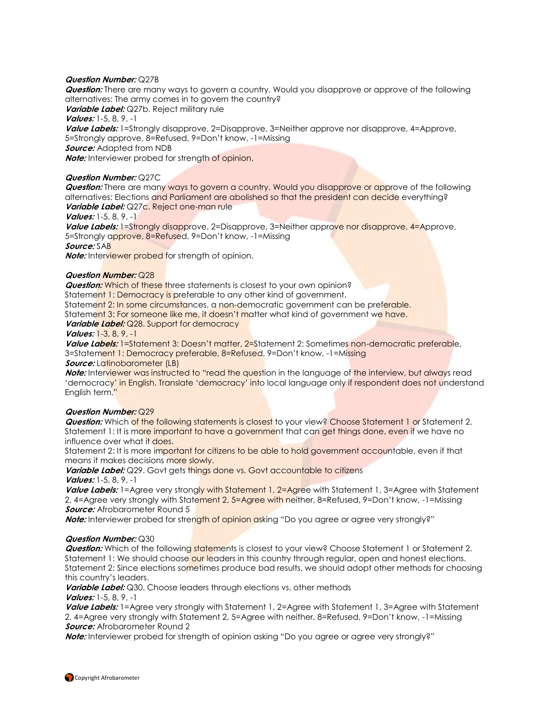#### **Question Number:** Q27B

**Question:** There are many ways to govern a country. Would you disapprove or approve of the following alternatives: The army comes in to govern the country?

**Variable Label:** Q27b. Reject military rule

**Values:** 1-5, 8, 9, -1

Value Labels: 1=Strongly disapprove, 2=Disapprove, 3=Neither approve nor disapprove, 4=Approve, 5=Strongly approve, 8=Refused, 9=Don't know, -1=Missing **Source:** Adapted from NDB

**Note:** Interviewer probed for strength of opinion.

#### **Question Number:** Q27C

**Question:** There are many ways to govern a country. Would you disapprove or approve of the following alternatives: Elections and Parliament are abolished so that the president can decide everything? **Variable Label:** Q27c. Reject one-man rule

**Values:** 1-5, 8, 9, -1

**Value Labels:** 1=Strongly disapprove, 2=Disapprove, 3=Neither approve nor disapprove, 4=Approve, 5=Strongly approve, 8=Refused, 9=Don't know, -1=Missing **Source:** SAB

**Note:** Interviewer probed for strength of opinion.

#### **Question Number:** Q28

**Question:** Which of these three statements is closest to your own opinion?

Statement 1: Democracy is preferable to any other kind of government.

Statement 2: In some circumstances, a non-democratic government can be preferable.

Statement 3: For someone like me, it doesn't matter what kind of government we have.

**Variable Label:** Q28. Support for democracy

#### **Values:** 1-3, 8, 9, -1

Value Labels: 1=Statement 3: Doesn't matter, 2=Statement 2: Sometimes non-democratic preferable, 3=Statement 1: Democracy preferable, 8=Refused, 9=Don't know, -1=Missing

#### *Source:* Latinobarometer (LB)

**Note:** Interviewer was instructed to "read the question in the language of the interview, but always read 'democracy' in English. Translate 'democracy' into local language only if respondent does not understand English term."

#### **Question Number:** Q29

**Question:** Which of the following statements is closest to your view? Choose Statement 1 or Statement 2. Statement 1: It is more important to have a government that can get things done, even if we have no influence over what it does.

Statement 2: It is more important for citizens to be able to hold government accountable, even if that means it makes decisions more slowly.

Variable Label: Q29. Govt gets things done vs. Govt accountable to citizens **Values:** 1-5, 8, 9, -1

Value Labels: 1=Agree very strongly with Statement 1, 2=Agree with Statement 1, 3=Agree with Statement 2, 4=Agree very strongly with Statement 2, 5=Agree with neither, 8=Refused, 9=Don't know, -1=Missing **Source:** Afrobarometer Round 5

**Note:** Interviewer probed for strength of opinion asking "Do you agree or agree very strongly?"

#### **Question Number:** Q30

**Question:** Which of the following statements is closest to your view? Choose Statement 1 or Statement 2. Statement 1: We should choose our leaders in this country through regular, open and honest elections. Statement 2: Since elections sometimes produce bad results, we should adopt other methods for choosing this country's leaders.

**Variable Label:** Q30. Choose leaders through elections vs. other methods

**Values:** 1-5, 8, 9, -1 **Value Labels:** 1=Agree very strongly with Statement 1, 2=Agree with Statement 1, 3=Agree with Statement 2, 4=Agree very strongly with Statement 2, 5=Agree with neither, 8=Refused, 9=Don't know, -1=Missing **Source:** Afrobarometer Round 2

**Note:** Interviewer probed for strength of opinion asking "Do you agree or agree very strongly?"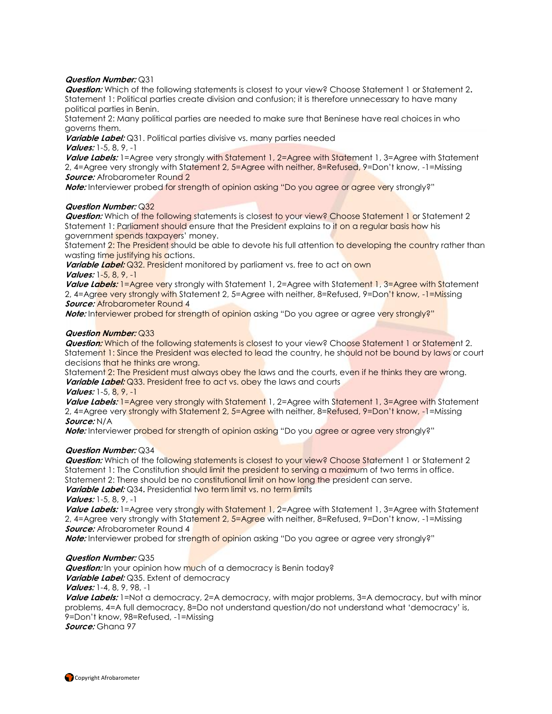#### **Question Number:** Q31

**Question:** Which of the following statements is closest to your view? Choose Statement 1 or Statement 2**.**  Statement 1: Political parties create division and confusion; it is therefore unnecessary to have many political parties in Benin.

Statement 2: Many political parties are needed to make sure that Beninese have real choices in who governs them.

**Variable Label:** Q31. Political parties divisive vs. many parties needed **Values:** 1-5, 8, 9, -1

**Value Labels:** 1=Agree very strongly with Statement 1, 2=Agree with Statement 1, 3=Agree with Statement 2, 4=Agree very strongly with Statement 2, 5=Agree with neither, 8=Refused, 9=Don't know, -1=Missing **Source:** Afrobarometer Round 2

**Note:** Interviewer probed for strength of opinion asking "Do you agree or agree very strongly?"

#### **Question Number:** Q32

**Question:** Which of the following statements is closest to your view? Choose Statement 1 or Statement 2 Statement 1: Parliament should ensure that the President explains to it on a regular basis how his government spends taxpayers' money.

Statement 2: The President should be able to devote his full attention to developing the country rather than wasting time justifying his actions.

**Variable Label:** Q32. President monitored by parliament vs. free to act on own **Values:** 1-5, 8, 9, -1

**Value Labels:** 1=Agree very strongly with Statement 1, 2=Agree with Statement 1, 3=Agree with Statement 2, 4=Agree very strongly with Statement 2, 5=Agree with neither, 8=Refused, 9=Don't know, -1=Missing **Source:** Afrobarometer Round 4

**Note:** Interviewer probed for strength of opinion asking "Do you agree or agree very strongly?"

#### **Question Number:** Q33

**Question:** Which of the following statements is closest to your view? Choose Statement 1 or Statement 2. Statement 1: Since the President was elected to lead the country, he should not be bound by laws or court decisions that he thinks are wrong.

Statement 2: The President must always obey the laws and the courts, even if he thinks they are wrong. **Variable Label:** Q33. President free to act vs. obey the laws and courts

#### **Values:** 1-5, 8, 9, -1

Value Labels: 1=Agree very strongly with Statement 1, 2=Agree with Statement 1, 3=Agree with Statement 2, 4=Agree very strongly with Statement 2, 5=Agree with neither, 8=Refused, 9=Don't know, -1=Missing **Source:** N/A

**Note:** Interviewer probed for strength of opinion asking "Do you agree or agree very strongly?"

#### **Question Number:** Q34

**Question:** Which of the following statements is closest to your view? Choose Statement 1 or Statement 2 Statement 1: The Constitution should limit the president to serving a maximum of two terms in office. Statement 2: There should be no constitutional limit on how long the president can serve.

**Variable Label:** Q34. Presidential two term limit vs. no term limits

**Values:** 1-5, 8, 9, -1

Value Labels: 1=Agree very strongly with Statement 1, 2=Agree with Statement 1, 3=Agree with Statement 2, 4=Agree very strongly with Statement 2, 5=Agree with neither, 8=Refused, 9=Don't know, -1=Missing **Source:** Afrobarometer Round 4

**Note:** Interviewer probed for strength of opinion asking "Do you agree or agree very strongly?"

#### **Question Number:** Q35

*Question:* In your opinion how much of a democracy is Benin today? **Variable Label:** Q35. Extent of democracy **Values:** 1-4, 8, 9, 98, -1

**Value Labels:** 1=Not a democracy, 2=A democracy, with major problems, 3=A democracy, but with minor problems, 4=A full democracy, 8=Do not understand question/do not understand what 'democracy' is, 9=Don't know, 98=Refused, -1=Missing **Source:** Ghana 97

**Copyright Afrobarometer**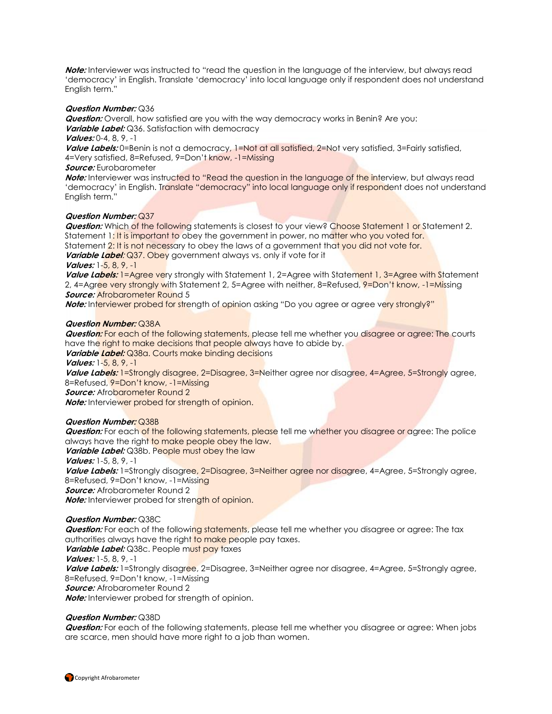**Note:** Interviewer was instructed to "read the question in the language of the interview, but always read 'democracy' in English. Translate 'democracy' into local language only if respondent does not understand English term."

#### **Question Number:** Q36

**Question:** Overall, how satisfied are you with the way democracy works in Benin? Are you: **Variable Label:** Q36. Satisfaction with democracy

**Values:** 0-4, 8, 9, -1

Value Labels: 0=Benin is not a democracy, 1=Not at all satisfied, 2=Not very satisfied, 3=Fairly satisfied, 4=Very satisfied, 8=Refused, 9=Don't know, -1=Missing

#### **Source:** Eurobarometer

**Note:** Interviewer was instructed to "Read the question in the language of the interview, but always read 'democracy' in English. Translate "democracy" into local language only if respondent does not understand English term."

### **Question Number:** Q37

**Question:** Which of the following statements is closest to your view? Choose Statement 1 or Statement 2. Statement 1: It is important to obey the government in power, no matter who you voted for.

Statement 2: It is not necessary to obey the laws of a government that you did not vote for.

# **Variable Label:** Q37. Obey government always vs. only if vote for it

**Values:** 1-5, 8, 9, -1

**Value Labels:** 1=Agree very strongly with Statement 1, 2=Agree with Statement 1, 3=Agree with Statement 2, 4=Agree very strongly with Statement 2, 5=Agree with neither, 8=Refused, 9=Don't know, -1=Missing **Source: Afrobarometer Round 5** 

**Note:** Interviewer probed for strength of opinion asking "Do you agree or agree very strongly?"

#### **Question Number:** Q38A

**Question:** For each of the following statements, please tell me whether you disagree or agree: The courts have the right to make decisions that people always have to abide by.

**Variable Label:** Q38a. Courts make binding decisions

**Values:** 1-5, 8, 9, -1

Value Labels: 1=Strongly disagree, 2=Disagree, 3=Neither agree nor disagree, 4=Agree, 5=Strongly agree, 8=Refused, 9=Don't know, -1=Missing

**Source:** Afrobarometer Round 2

**Note:** Interviewer probed for strength of opinion.

### **Question Number:** Q38B

**Question:** For each of the following statements, please tell me whether you disagree or agree: The police always have the right to make people obey the law.

**Variable Label:** Q38b. People must obey the law

**Values:** 1-5, 8, 9, -1

Value Labels: 1=Strongly disagree, 2=Disagree, 3=Neither agree nor disagree, 4=Agree, 5=Strongly agree, 8=Refused, 9=Don't know, -1=Missing

**Source:** Afrobarometer Round 2

**Note:** Interviewer probed for strength of opinion.

### **Question Number:** Q38C

**Question:** For each of the following statements, please tell me whether you disagree or agree: The tax authorities always have the right to make people pay taxes.

**Variable Label:** Q38c. People must pay taxes

**Values:** 1-5, 8, 9, -1

Value Labels: 1=Strongly disagree, 2=Disagree, 3=Neither agree nor disagree, 4=Agree, 5=Strongly agree, 8=Refused, 9=Don't know, -1=Missing **Source:** Afrobarometer Round 2

**Note:** Interviewer probed for strength of opinion.

### **Question Number:** Q38D

**Question:** For each of the following statements, please tell me whether you disagree or agree: When jobs are scarce, men should have more right to a job than women.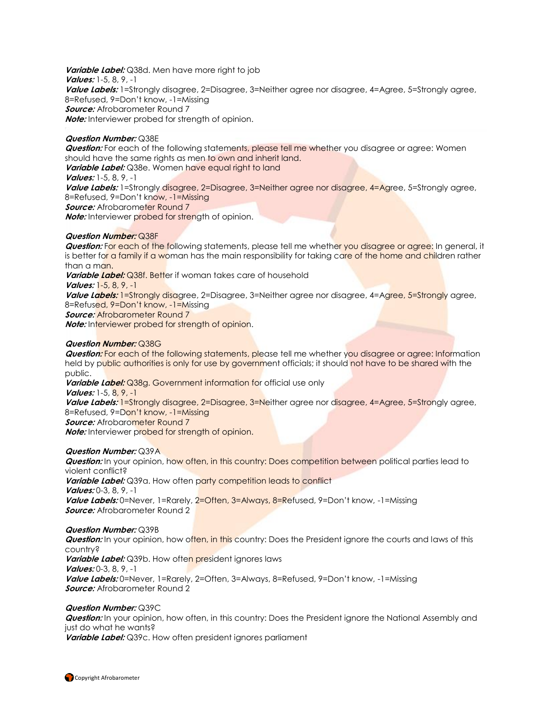**Variable Label:** Q38d. Men have more right to job **Values:** 1-5, 8, 9, -1 **Value Labels:** 1=Strongly disagree, 2=Disagree, 3=Neither agree nor disagree, 4=Agree, 5=Strongly agree, 8=Refused, 9=Don't know, -1=Missing **Source:** Afrobarometer Round 7 **Note:** Interviewer probed for strength of opinion.

#### **Question Number:** Q38E

**Question:** For each of the following statements, please tell me whether you disagree or agree: Women should have the same rights as men to own and inherit land. **Variable Label:** Q38e. Women have equal right to land

**Values:** 1-5, 8, 9, -1

Value Labels: 1=Strongly disagree, 2=Disagree, 3=Neither agree nor disagree, 4=Agree, 5=Strongly agree, 8=Refused, 9=Don't know, -1=Missing

**Source:** Afrobarometer Round 7

**Note:** Interviewer probed for strength of opinion.

#### **Question Number:** Q38F

**Question:** For each of the following statements, please tell me whether you disagree or agree: In general, it is better for a family if a woman has the main responsibility for taking care of the home and children rather than a man.

**Variable Label:** Q38f. Better if woman takes care of household

**Values:** 1-5, 8, 9, -1

**Value Labels:** 1=Strongly disagree, 2=Disagree, 3=Neither agree nor disagree, 4=Agree, 5=Strongly agree, 8=Refused, 9=Don't know, -1=Missing

**Source:** Afrobarometer Round 7

**Note:** Interviewer probed for strength of opinion.

### **Question Number:** Q38G

**Question:** For each of the following statements, please tell me whether you disagree or agree: Information held by public authorities is only for use by government officials; it should not have to be shared with the public.

*Variable Label:* Q38g. Government information for official use only **Values:** 1-5, 8, 9, -1

Value Labels: 1=Strongly disagree, 2=Disagree, 3=Neither agree nor disagree, 4=Agree, 5=Strongly agree, 8=Refused, 9=Don't know, -1=Missing

**Source:** Afrobarometer Round 7

**Note:** Interviewer probed for strength of opinion.

### **Question Number:** Q39A

**Question:** In your opinion, how often, in this country: Does competition between political parties lead to violent conflict? **Variable Label:** Q39a. How often party competition leads to conflict **Values:** 0-3, 8, 9, -1 **Value Labels:** 0=Never, 1=Rarely, 2=Often, 3=Always, 8=Refused, 9=Don't know, -1=Missing **Source:** Afrobarometer Round 2

#### **Question Number:** Q39B

**Question:** In your opinion, how often, in this country: Does the President ignore the courts and laws of this country? **Variable Label:** Q39b. How often president ignores laws **Values:** 0-3, 8, 9, -1 **Value Labels:** 0=Never, 1=Rarely, 2=Often, 3=Always, 8=Refused, 9=Don't know, -1=Missing **Source:** Afrobarometer Round 2

#### **Question Number:** Q39C

**Question:** In your opinion, how often, in this country: Does the President ignore the National Assembly and just do what he wants?

**Variable Label:** Q39c. How often president ignores parliament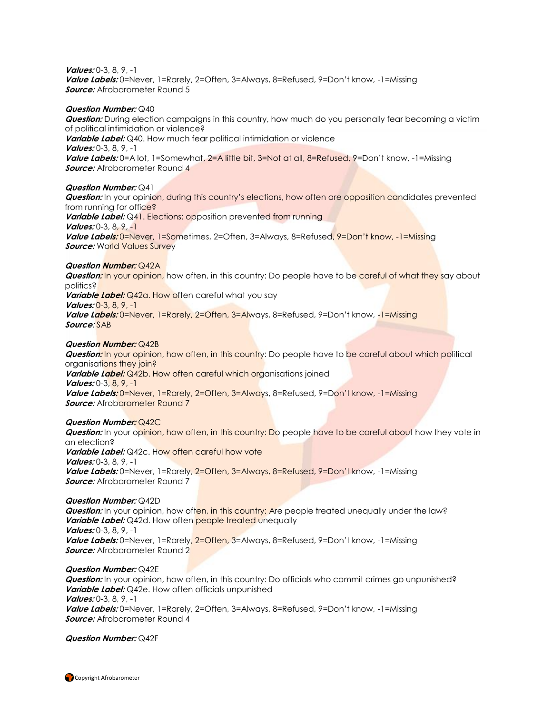#### **Values:** 0-3, 8, 9, -1

**Value Labels:** 0=Never, 1=Rarely, 2=Often, 3=Always, 8=Refused, 9=Don't know, -1=Missing **Source:** Afrobarometer Round 5

#### **Question Number:** Q40

**Question:** During election campaigns in this country, how much do you personally fear becoming a victim of political intimidation or violence? **Variable Label:** Q40. How much fear political intimidation or violence **Values:** 0-3, 8, 9, -1 **Value Labels:** 0=A lot, 1=Somewhat, 2=A little bit, 3=Not at all, 8=Refused, 9=Don't know, -1=Missing **Source:** Afrobarometer Round 4

#### **Question Number:** Q41

**Question:** In your opinion, during this country's elections, how often are opposition candidates prevented from running for office? **Variable Label:** Q41. Elections: opposition prevented from running **Values:** 0-3, 8, 9, -1 **Value Labels:** 0=Never, 1=Sometimes, 2=Often, 3=Always, 8=Refused, 9=Don't know, -1=Missing **Source:** World Values Survey

#### **Question Number:** Q42A

**Question:** In your opinion, how often, in this country: Do people have to be careful of what they say about politics? **Variable Label:** Q42a. How often careful what you say **Values:** 0-3, 8, 9, -1 **Value Labels:** 0=Never, 1=Rarely, 2=Often, 3=Always, 8=Refused, 9=Don't know, -1=Missing **Source**: SAB

#### **Question Number:** Q42B

**Question:** In your opinion, how often, in this country: Do people have to be careful about which political organisations they join? **Variable Label:** Q42b. How often careful which organisations joined **Values:** 0-3, 8, 9, -1 **Value Labels:** 0=Never, 1=Rarely, 2=Often, 3=Always, 8=Refused, 9=Don't know, -1=Missing **Source:** Afrobarometer Round 7

#### **Question Number:** Q42C

**Question:** In your opinion, how often, in this country: Do people have to be careful about how they vote in an election? Variable Label: Q42c. How often careful how vote **Values:** 0-3, 8, 9, -1 Value Labels: 0=Never, 1=Rarely, 2=Often, 3=Always, 8=Refused, 9=Don't know, -1=Missing **Source**: Afrobarometer Round 7

#### **Question Number:** Q42D

**Question:** In your opinion, how often, in this country: Are people treated unequally under the law? **Variable Label:** Q42d. How often **people treated unequally Values:** 0-3, 8, 9, -1 **Value Labels:** 0=Never, 1=Rarely, 2=Often, 3=Always, 8=Refused, 9=Don't know, -1=Missing **Source:** Afrobarometer Round 2

#### **Question Number:** Q42E

**Question:** In your opinion, how often, in this country: Do officials who commit crimes go unpunished? **Variable Label:** Q42e. How often officials unpunished **Values:** 0-3, 8, 9, -1

**Value Labels:** 0=Never, 1=Rarely, 2=Often, 3=Always, 8=Refused, 9=Don't know, -1=Missing **Source:** Afrobarometer Round 4

#### **Question Number:** Q42F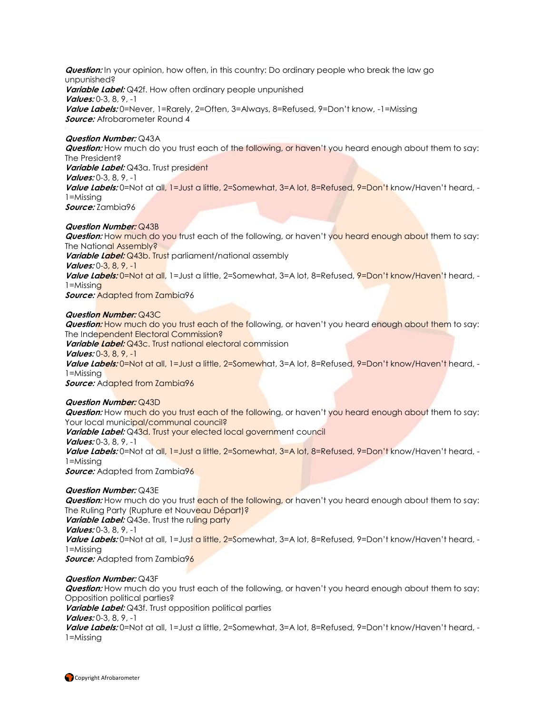**Question:** In your opinion, how often, in this country: Do ordinary people who break the law go unpunished? **Variable Label:** Q42f. How often ordinary people unpunished **Values:** 0-3, 8, 9, -1 **Value Labels:** 0=Never, 1=Rarely, 2=Often, 3=Always, 8=Refused, 9=Don't know, -1=Missing **Source:** Afrobarometer Round 4

#### **Question Number:** Q43A

**Question:** How much do you trust each of the following, or haven't you heard enough about them to say: The President? **Variable Label:** Q43a. Trust president **Values:** 0-3, 8, 9, -1 **Value Labels:** 0=Not at all, 1=Just a little, 2=Somewhat, 3=A lot, 8=Refused, 9=Don't know/Haven't heard, - 1=Missing **Source:** Zambia96

#### **Question Number:** Q43B

**Question:** How much do you trust each of the following, or haven't you heard enough about them to say: The National Assembly? **Variable Label:** Q43b. Trust parliament/national assembly **Values:** 0-3, 8, 9, -1 **Value Labels:** 0=Not at all, 1=Just a little, 2=Somewhat, 3=A lot, 8=Refused, 9=Don't know/Haven't heard, -  $1 = M$ issing **Source:** Adapted from Zambia96

#### **Question Number:** Q43C

**Question:** How much do you trust each of the following, or haven't you heard enough about them to say: The Independent Electoral Commission? **Variable Label:** Q43c. Trust national electoral commission **Values:** 0-3, 8, 9, -1 **Value Labels:** 0=Not at all, 1=Just a little, 2=Somewhat, 3=A lot, 8=Refused, 9=Don't know/Haven't heard, - 1=Missing

**Source:** Adapted from Zambia96

#### **Question Number:** Q43D

**Question:** How much do you trust each of the following, or haven't you heard enough about them to say: Your local municipal/communal council? Variable Label: Q43d. Trust your elected local government council **Values:** 0-3, 8, 9, -1 **Value Labels:** 0=Not at all, 1=Just a little, 2=Somewhat, 3=A lot, 8=Refused, 9=Don't know/Haven't heard, - 1=Missing **Source:** Adapted from Zambia96

#### **Question Number:** Q43E

**Question:** How much do you trust each of the following, or haven't you heard enough about them to say: The Ruling Party (Rupture et Nouveau Départ)? **Variable Label:** Q43e. Trust the ruling party **Values:** 0-3, 8, 9, -1 **Value Labels:** 0=Not at all, 1=Just a little, 2=Somewhat, 3=A lot, 8=Refused, 9=Don't know/Haven't heard, - 1=Missing **Source:** Adapted from Zambia96

#### **Question Number:** Q43F

**Question:** How much do you trust each of the following, or haven't you heard enough about them to say: Opposition political parties? **Variable Label:** Q43f. Trust opposition political parties

### **Values:** 0-3, 8, 9, -1

**Value Labels:** 0=Not at all, 1=Just a little, 2=Somewhat, 3=A lot, 8=Refused, 9=Don't know/Haven't heard, - 1=Missing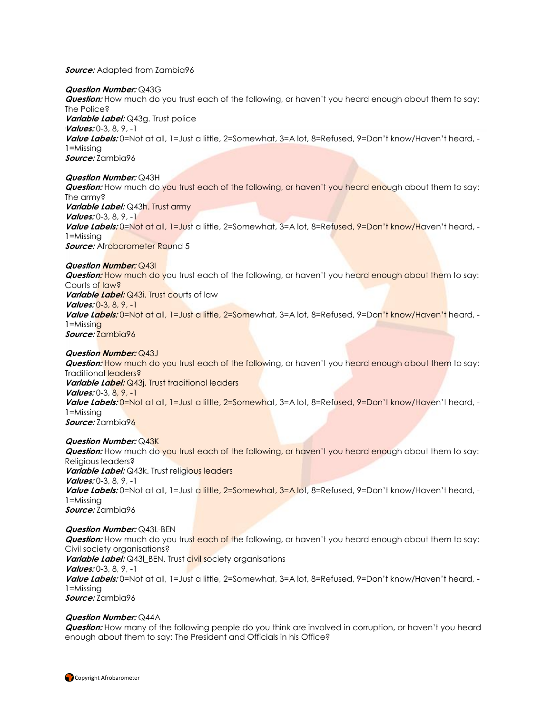**Source:** Adapted from Zambia96

#### **Question Number:** Q43G

**Question:** How much do you trust each of the following, or haven't you heard enough about them to say: The Police? **Variable Label:** Q43g. Trust police **Values:** 0-3, 8, 9, -1 **Value Labels:** 0=Not at all, 1=Just a little, 2=Somewhat, 3=A lot, 8=Refused, 9=Don't know/Haven't heard, - 1=Missing **Source:** Zambia96

#### **Question Number:** Q43H

**Question:** How much do you trust each of the following, or haven't you heard enough about them to say: The army? **Variable Label:** Q43h. Trust army **Values:** 0-3, 8, 9, -1 **Value Labels:** 0=Not at all, 1=Just a little, 2=Somewhat, 3=A lot, 8=Refused, 9=Don't know/Haven't heard, - 1=Missing **Source:** Afrobarometer Round 5

#### **Question Number:** Q43I

**Question:** How much do you trust each of the following, or haven't you heard enough about them to say: Courts of law? *Variable Label:* Q43i. Trust courts of law **Values:** 0-3, 8, 9, -1 **Value Labels:** 0=Not at all, 1=Just a little, 2=Somewhat, 3=A lot, 8=Refused, 9=Don't know/Haven't heard, - 1=Missing **Source:** Zambia96

#### **Question Number:** Q43J

*Question:* How much do you trust each of the following, or haven't you heard enough about them to say: Traditional leaders? **Variable Label:** Q43j. Trust traditional leaders **Values:** 0-3, 8, 9, -1 **Value Labels:** 0=Not at all, 1=Just a little, 2=Somewhat, 3=A lot, 8=Refused, 9=Don't know/Haven't heard, - 1=Missing **Source:** Zambia96

#### **Question Number:** Q43K

**Question:** How much do you trust each of the following, or haven't you heard enough about them to say: Religious leaders? **Variable Label:** Q43k. Trust religious leaders **Values:** 0-3, 8, 9, -1 **Value Labels:** 0=Not at all, 1=Just a little, 2=Somewhat, 3=A lot, 8=Refused, 9=Don't know/Haven't heard, - 1=Missing **Source:** Zambia96

#### **Question Number:** Q43L-BEN

**Question:** How much do you trust each of the following, or haven't you heard enough about them to say: Civil society organisations? **Variable Label:** Q431 BEN. Trust civil society organisations **Values:** 0-3, 8, 9, -1 **Value Labels:** 0=Not at all, 1=Just a little, 2=Somewhat, 3=A lot, 8=Refused, 9=Don't know/Haven't heard, - 1=Missing **Source:** Zambia96

#### **Question Number:** Q44A

**Question:** How many of the following people do you think are involved in corruption, or haven't you heard enough about them to say: The President and Officials in his Office?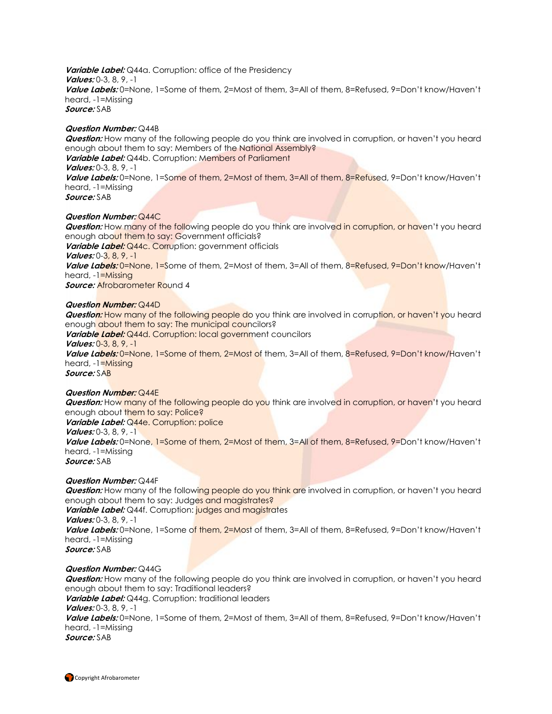**Variable Label:** Q44a. Corruption: office of the Presidency **Values:** 0-3, 8, 9, -1 **Value Labels:** 0=None, 1=Some of them, 2=Most of them, 3=All of them, 8=Refused, 9=Don't know/Haven't heard, -1=Missing **Source:** SAB

#### **Question Number:** Q44B

**Question:** How many of the following people do you think are involved in corruption, or haven't you heard enough about them to say: Members of the National Assembly? **Variable Label:** Q44b. Corruption: Members of Parliament **Values:** 0-3, 8, 9, -1 **Value Labels:** 0=None, 1=Some of them, 2=Most of them, 3=All of them, 8=Refused, 9=Don't know/Haven't heard, -1=Missing **Source:** SAB

#### **Question Number:** Q44C

**Question:** How many of the following people do you think are involved in corruption, or haven't you heard enough about them to say: Government officials? **Variable Label:** Q44c. Corruption: government officials **Values:** 0-3, 8, 9, -1 **Value Labels:** 0=None, 1=Some of them, 2=Most of them, 3=All of them, 8=Refused, 9=Don't know/Haven't heard, -1=Missing *Source:* Afrobarometer Round 4

#### **Question Number:** Q44D

**Question:** How many of the following people do you think are involved in corruption, or haven't you heard enough about them to say: The municipal councilors?

**Variable Label:** Q44d. Corruption: local government councilors

#### **Values:** 0-3, 8, 9, -1

**Value Labels:** 0=None, 1=Some of them, 2=Most of them, 3=All of them, 8=Refused, 9=Don't know/Haven't heard, -1=Missing **Source:** SAB

## **Question Number:** Q44E

**Question:** How many of the following people do you think are involved in corruption, or haven't you heard enough about them to say: Police? **Variable Label:** Q44e. Corruption: police **Values:** 0-3, 8, 9, -1

**Value Labels:** 0=None, 1=Some of them, 2=Most of them, 3=All of them, 8=Refused, 9=Don't know/Haven't heard, -1=Missing

**Source:** SAB

#### **Question Number:** Q44F

**Question:** How many of the following people do you think are involved in corruption, or haven't you heard enough about them to say: Judges and magistrates? *Variable Label:* Q44f. Corruption: *judges and magistrates* 

**Values:** 0-3, 8, 9, -1

**Value Labels:** 0=None, 1=Some of them, 2=Most of them, 3=All of them, 8=Refused, 9=Don't know/Haven't heard, -1=Missing

**Source:** SAB

#### **Question Number:** Q44G

**Question:** How many of the following people do you think are involved in corruption, or haven't you heard enough about them to say: Traditional leaders? **Variable Label:** Q44g. Corruption: traditional leaders

#### **Values:** 0-3, 8, 9, -1

**Value Labels:** 0=None, 1=Some of them, 2=Most of them, 3=All of them, 8=Refused, 9=Don't know/Haven't heard, -1=Missing

**Source:** SAB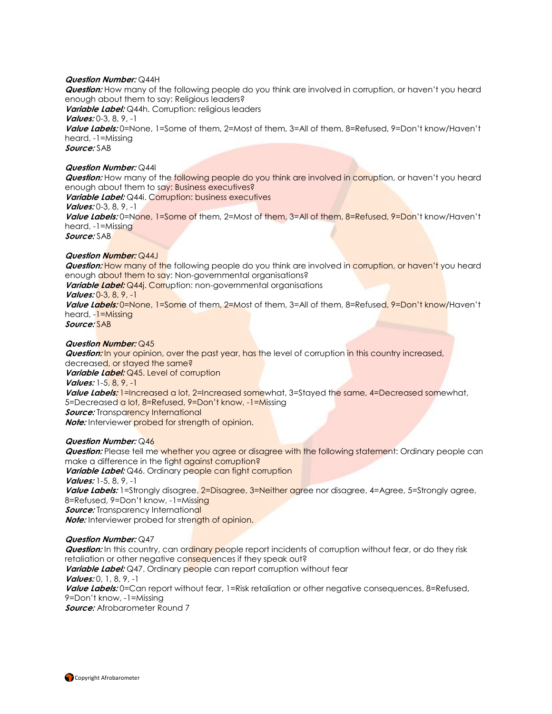#### **Question Number:** Q44H

**Question:** How many of the following people do you think are involved in corruption, or haven't you heard enough about them to say: Religious leaders? **Variable Label:** Q44h. Corruption: religious leaders **Values:** 0-3, 8, 9, -1 **Value Labels:** 0=None, 1=Some of them, 2=Most of them, 3=All of them, 8=Refused, 9=Don't know/Haven't heard, -1=Missing **Source:** SAB

#### **Question Number:** Q44I

**Question:** How many of the following people do you think are involved in corruption, or haven't you heard enough about them to say: Business executives? Variable Label: Q44i. Corruption: business executives **Values:** 0-3, 8, 9, -1 **Value Labels:** 0=None, 1=Some of them, 2=Most of them, 3=All of them, 8=Refused, 9=Don't know/Haven't heard, -1=Missing **Source:** SAB

#### **Question Number:** Q44J

**Question:** How many of the following people do you think are involved in corruption, or haven't you heard enough about them to say: Non-governmental organisations? *Variable Label:* Q44*j.* Corruption: non-governmental organisations **Values:** 0-3, 8, 9, -1 **Value Labels:** 0=None, 1=Some of them, 2=Most of them, 3=All of them, 8=Refused, 9=Don't know/Haven't heard, -1=Missing **Source:** SAB

#### **Question Number:** Q45

**Question:** In your opinion, over the past year, has the level of corruption in this country increased, decreased, or stayed the same? **Variable Label:** Q45. Level of corruption **Values:** 1-5, 8, 9, -1 Value Labels: 1=Increased a lot, 2=Increased somewhat, 3=Stayed the same, 4=Decreased somewhat, 5=Decreased a lot, 8=Refused, 9=Don't know, -1=Missing **Source:** Transparency International

**Note:** Interviewer probed for strength of opinion.

#### **Question Number:** Q46

**Question:** Please tell me whether you agree or disagree with the following statement: Ordinary people can make a difference in the fight against corruption? **Variable Label:** Q46. Ordinary people can fight corruption **Values:** 1-5, 8, 9, -1 Value Labels: 1=Strongly disagree, 2=Disagree, 3=Neither agree nor disagree, 4=Agree, 5=Strongly agree, 8=Refused, 9=Don't know, -1=Missing **Source:** Transparency International

**Note:** Interviewer probed for strength of opinion.

#### **Question Number:** Q47

**Question:** In this country, can ordinary people report incidents of corruption without fear, or do they risk retaliation or other negative consequences if they speak out? **Variable Label:** Q47. Ordinary people can report corruption without fear **Values:** 0, 1, 8, 9, -1 **Value Labels:** 0=Can report without fear, 1=Risk retaliation or other negative consequences, 8=Refused, 9=Don't know, -1=Missing **Source:** Afrobarometer Round 7

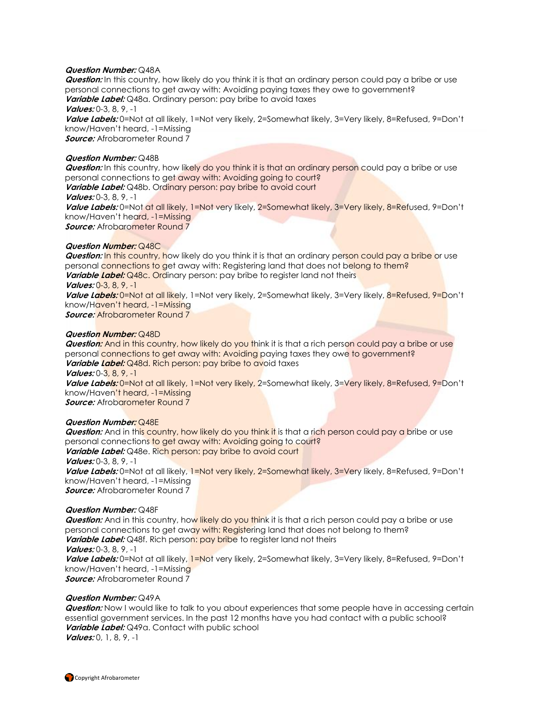#### **Question Number:** Q48A

**Question:** In this country, how likely do you think it is that an ordinary person could pay a bribe or use personal connections to get away with: Avoiding paying taxes they owe to government? **Variable Label:** Q48a. Ordinary person: pay bribe to avoid taxes **Values:** 0-3, 8, 9, -1 **Value Labels:** 0=Not at all likely, 1=Not very likely, 2=Somewhat likely, 3=Very likely, 8=Refused, 9=Don't know/Haven't heard, -1=Missing **Source:** Afrobarometer Round 7

#### **Question Number:** Q48B

**Question:** In this country, how likely do you think it is that an ordinary person could pay a bribe or use personal connections to get away with: Avoiding going to court? **Variable Label:** Q48b. Ordinary person: pay bribe to avoid court **Values:** 0-3, 8, 9, -1 **Value Labels:** 0=Not at all likely, 1=Not very likely, 2=Somewhat likely, 3=Very likely, 8=Refused, 9=Don't know/Haven't heard, -1=Missing *Source:* Afrobarometer Round 7

#### **Question Number:** Q48C

**Question:** In this country, how likely do you think it is that an ordinary person could pay a bribe or use personal connections to get away with: Registering land that does not belong to them? **Variable Label:** Q48c. Ordinary person: pay bribe to register land not theirs **Values:** 0-3, 8, 9, -1 **Value Labels:** 0=Not at all likely, 1=Not very likely, 2=Somewhat likely, 3=Very likely, 8=Refused, 9=Don't know/Haven't heard, -1=Missing

**Source:** Afrobarometer Round 7

#### **Question Number:** Q48D

**Question:** And in this country, how likely do you think it is that a rich person could pay a bribe or use personal connections to get away with: Avoiding paying taxes they owe to government? **Variable Label:** Q48d. Rich person: pay bribe to avoid taxes

**Values:** 0-3, 8, 9, -1

**Value Labels:** 0=Not at all likely, 1=Not very likely, 2=Somewhat likely, 3=Very likely, 8=Refused, 9=Don't know/Haven't heard, -1=Missing

**Source:** Afrobarometer Round 7

#### **Question Number:** Q48E

**Question:** And in this country, how likely do you think it is that a rich person could pay a bribe or use personal connections to get away with: Avoiding going to court? **Variable Label:** Q48e. Rich person: pay bribe to avoid court **Values:** 0-3, 8, 9, -1 **Value Labels:** 0=Not at all likely, 1=Not very likely, 2=Somewhat likely, 3=Very likely, 8=Refused, 9=Don't

know/Haven't heard, -1=Missing

**Source:** Afrobarometer Round 7

#### **Question Number:** Q48F

**Question:** And in this country, how likely do you think it is that a rich person could pay a bribe or use personal connections to get away with: Registering land that does not belong to them? **Variable Label:** Q48f. Rich person: pay bribe to register land not theirs **Values:** 0-3, 8, 9, -1 **Value Labels:** 0=Not at all likely, 1=Not very likely, 2=Somewhat likely, 3=Very likely, 8=Refused, 9=Don't know/Haven't heard, -1=Missing **Source:** Afrobarometer Round 7

#### **Question Number:** Q49A

**Question:** Now I would like to talk to you about experiences that some people have in accessing certain essential government services. In the past 12 months have you had contact with a public school? **Variable Label:** Q49a. Contact with public school **Values:** 0, 1, 8, 9, -1

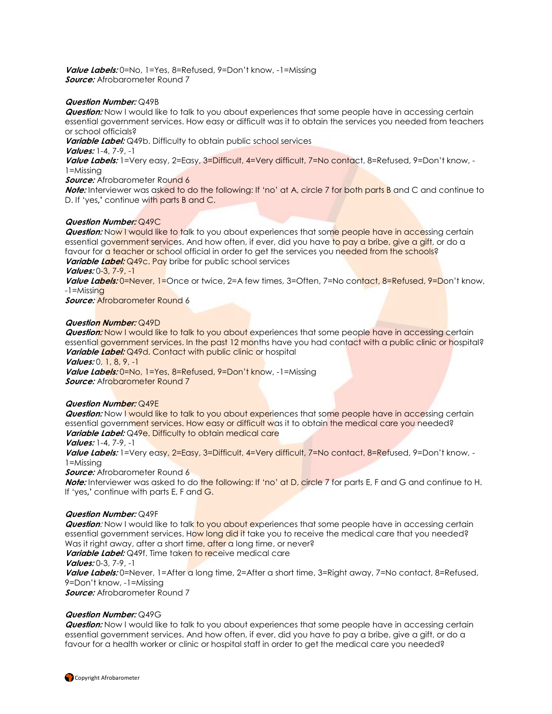**Value Labels:** 0=No, 1=Yes, 8=Refused, 9=Don't know, -1=Missing **Source:** Afrobarometer Round 7

#### **Question Number:** Q49B

**Question:** Now I would like to talk to you about experiences that some people have in accessing certain essential government services. How easy or difficult was it to obtain the services you needed from teachers or school officials?

**Variable Label:** Q49b. Difficulty to obtain public school services

**Values:** 1-4, 7-9, -1

**Value Labels:** 1=Very easy, 2=Easy, 3=Difficult, 4=Very difficult, 7=No contact, 8=Refused, 9=Don't know, - 1=Missing

#### *Source:* Afrobarometer Round 6

**Note:** Interviewer was asked to do the following: If 'no' at A, circle 7 for both parts B and C and continue to D. If 'yes**,'** continue with parts B and C.

### **Question Number:** Q49C

**Question:** Now I would like to talk to you about experiences that some people have in accessing certain essential government services. And how often, if ever, did you have to pay a bribe, give a gift, or do a favour for a teacher or school official in order to get the services you needed from the schools?

**Variable Label:** Q49c. Pay bribe for public school services

# **Values:** 0-3, 7-9, -1

**Value Labels:** 0=Never, 1=Once or twice, 2=A few times, 3=Often, 7=No contact, 8=Refused, 9=Don't know, -1=Missing

**Source:** Afrobarometer Round 6

#### **Question Number:** Q49D

**Question:** Now I would like to talk to you about experiences that some people have in accessing certain essential government services. In the past 12 months have you had contact with a public clinic or hospital? Variable Label: Q49d. Contact with public clinic or hospital

**Values:** 0, 1, 8, 9, -1

Value Labels: 0=No, 1=Yes, 8=Refused, 9=Don't know, -1=Missing **Source:** Afrobarometer Round 7

### **Question Number:** Q49E

**Question:** Now I would like to talk to you about experiences that some people have in accessing certain essential government services. How easy or difficult was it to obtain the medical care you needed? **Variable Label:** Q49e. Difficulty to obtain medical care

#### **Values:** 1-4, 7-9, -1

Value Labels: 1=Very easy, 2=Easy, 3=Difficult, 4=Very difficult, 7=No contact, 8=Refused, 9=Don't know, -1=Missing

**Source:** Afrobarometer Round 6

**Note:** Interviewer was asked to do the following: If 'no' at D, circle 7 for parts E, F and G and continue to H. If 'yes**,'** continue with parts E, F and G.

#### **Question Number:** Q49F

**Question:** Now I would like to talk to you about experiences that some people have in accessing certain essential government services. How long did it take you to receive the medical care that you needed? Was it right away, after a short time, after a long time, or never?

**Variable Label:** Q49f. Time taken to receive medical care

**Values:** 0-3, 7-9, -1

**Value Labels:** 0=Never, 1=After a long time, 2=After a short time, 3=Right away, 7=No contact, 8=Refused, 9=Don't know, -1=Missing

**Source:** Afrobarometer Round 7

### **Question Number:** Q49G

**Question:** Now I would like to talk to you about experiences that some people have in accessing certain essential government services. And how often, if ever, did you have to pay a bribe, give a gift, or do a favour for a health worker or clinic or hospital staff in order to get the medical care you needed?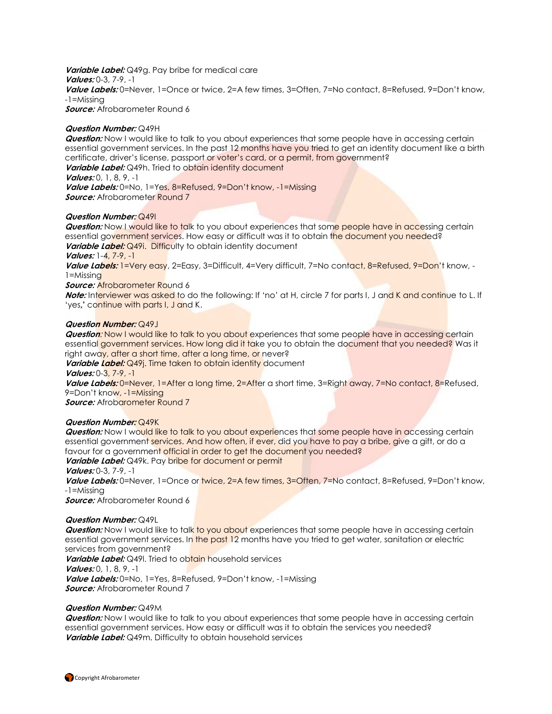**Variable Label:** Q49g. Pay bribe for medical care **Values:** 0-3, 7-9, -1 **Value Labels:** 0=Never, 1=Once or twice, 2=A few times, 3=Often, 7=No contact, 8=Refused, 9=Don't know, -1=Missing **Source:** Afrobarometer Round 6

**Question Number:** Q49H

**Question:** Now I would like to talk to you about experiences that some people have in accessing certain essential government services. In the past 12 months have you tried to get an identity document like a birth certificate, driver's license, passport or voter's card, or a permit, from government? Variable Label: Q49h. Tried to obtain identity document

**Values:** 0, 1, 8, 9, -1

**Value Labels:** 0=No, 1=Yes, 8=Refused, 9=Don't know, -1=Missing *Source:* Afrobarometer Round 7

#### **Question Number:** Q49I

**Question:** Now I would like to talk to you about experiences that some people have in accessing certain essential government services. How easy or difficult was it to obtain the document you needed?

**Variable Label:** Q49i. Difficulty to obtain identity document

**Values:** 1-4, 7-9, -1

**Value Labels:** 1=Very easy, 2=Easy, 3=Difficult, 4=Very difficult, 7=No contact, 8=Refused, 9=Don't know, - 1=Missing

*Source:* Afrobarometer Round 6

**Note:** Interviewer was asked to do the following: If 'no' at H, circle 7 for parts I, J and K and continue to L. If 'yes**,'** continue with parts I, J and K.

#### **Question Number:** Q49J

**Question:** Now I would like to talk to you about experiences that some people have in accessing certain essential government services. How long did it take you to obtain the document that you needed? Was it right away, after a short time, after a long time, or never?

**Variable Label:** Q49*j*. Time taken to obtain identity document

**Values:** 0-3, 7-9, -1

Value Labels: 0=Never, 1=After a long time, 2=After a short time, 3=Right away, 7=No contact, 8=Refused, 9=Don't know, -1=Missing

**Source:** Afrobarometer Round 7

#### **Question Number:** Q49K

**Question:** Now I would like to talk to you about experiences that some people have in accessing certain essential government services. And how often, if ever, did you have to pay a bribe, give a gift, or do a favour for a government official in order to get the document you needed?

**Variable Label:** Q49k. Pay bribe for document or permit

**Values:** 0-3, 7-9, -1

**Value Labels:** 0=Never, 1=Once or twice, 2=A few times, 3=Often, 7=No contact, 8=Refused, 9=Don't know, -1=Missing

**Source:** Afrobarometer Round 6

#### **Question Number:** Q49L

**Question:** Now I would like to talk to you about experiences that some people have in accessing certain essential government services. In the past 12 months have you tried to get water, sanitation or electric services from government?

**Variable Label:** Q49I. Tried to obtain household services **Values:** 0, 1, 8, 9, -1

**Value Labels:** 0=No, 1=Yes, 8=Refused, 9=Don't know, -1=Missing **Source:** Afrobarometer Round 7

#### **Question Number:** Q49M

**Question:** Now I would like to talk to you about experiences that some people have in accessing certain essential government services. How easy or difficult was it to obtain the services you needed? **Variable Label:** Q49m. Difficulty to obtain household services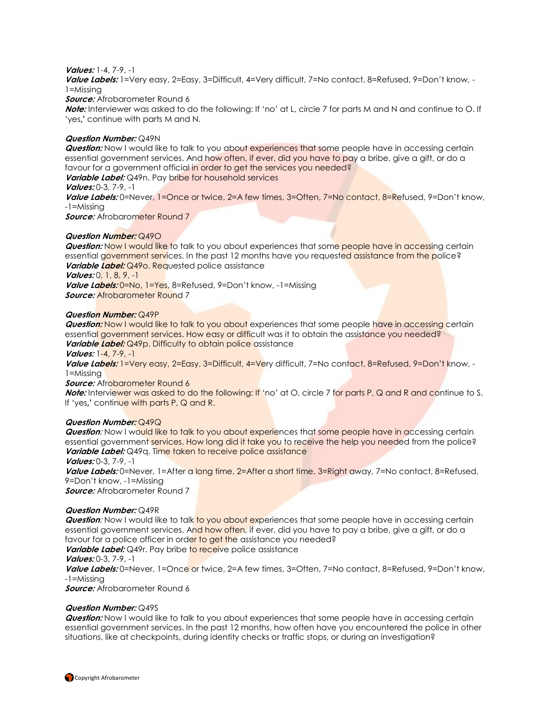#### **Values:** 1-4, 7-9, -1

Value Labels: 1=Very easy, 2=Easy, 3=Difficult, 4=Very difficult, 7=No contact, 8=Refused, 9=Don't know, -1=Missing

**Source:** Afrobarometer Round 6

**Note:** Interviewer was asked to do the following: If 'no' at L, circle 7 for parts M and N and continue to O. If 'yes**,'** continue with parts M and N.

#### **Question Number:** Q49N

**Question:** Now I would like to talk to you about experiences that some people have in accessing certain essential government services. And how often, if ever, did you have to pay a bribe, give a gift, or do a favour for a government official in order to get the services you needed?

**Variable Label:** Q49n. Pay bribe for household services

**Values:** 0-3, 7-9, -1

**Value Labels:** 0=Never, 1=Once or twice, 2=A few times, 3=Often, 7=No contact, 8=Refused, 9=Don't know, -1=Missing

*Source:* Afrobarometer Round 7

#### **Question Number:** Q49O

**Question: Now I would like to talk to you about experiences that some people have in accessing certain** essential government services. In the past 12 months have you requested assistance from the police? **Variable Label:** Q49o. Requested police assistance

**Values:** 0, 1, 8, 9, -1

**Value Labels:** 0=No, 1=Yes, 8=Refused, 9=Don't know, -1=Missing **Source:** Afrobarometer Round 7

#### **Question Number:** Q49P

**Question:** Now I would like to talk to you about experiences that some people have in accessing certain essential government services. How easy or difficult was it to obtain the assistance you needed? Variable Label: Q49p. Difficulty to obtain police assistance

#### **Values:** 1-4, 7-9, -1

**Value Labels:** 1=Very easy, 2=Easy, 3=Difficult, 4=Very difficult, 7=No contact, 8=Refused, 9=Don't know, - 1=Missing

#### **Source:** Afrobarometer Round 6

**Note:** Interviewer was asked to do the following: If 'no' at O, circle 7 for parts P, Q and R and continue to S. If 'yes**,'** continue with parts P, Q and R.

#### **Question Number:** Q49Q

**Question:** Now I would like to talk to you about experiences that some people have in accessing certain essential government services. How long did it take you to receive the help you needed from the police? Variable Label: Q49q. Time taken to receive police assistance

**Values:** 0-3, 7-9, -1

**Value Labels:** 0=Never, 1=After a long time, 2=After a short time, 3=Right away, 7=No contact, 8=Refused, 9=Don't know, -1=Missing

**Source:** Afrobarometer Round 7

#### **Question Number:** Q49R

**Question:** Now I would like to talk to you about experiences that some people have in accessing certain essential government services. And how often, if ever, did you have to pay a bribe, give a gift, or do a favour for a police officer in order to get the assistance you needed?

**Variable Label:** Q49r. Pay bribe to receive police assistance

#### **Values:** 0-3, 7-9, -1

**Value Labels:** 0=Never, 1=Once or twice, 2=A few times, 3=Often, 7=No contact, 8=Refused, 9=Don't know, -1=Missing

**Source:** Afrobarometer Round 6

#### **Question Number:** Q49S

**Question:** Now I would like to talk to you about experiences that some people have in accessing certain essential government services. In the past 12 months, how often have you encountered the police in other situations, like at checkpoints, during identity checks or traffic stops, or during an investigation?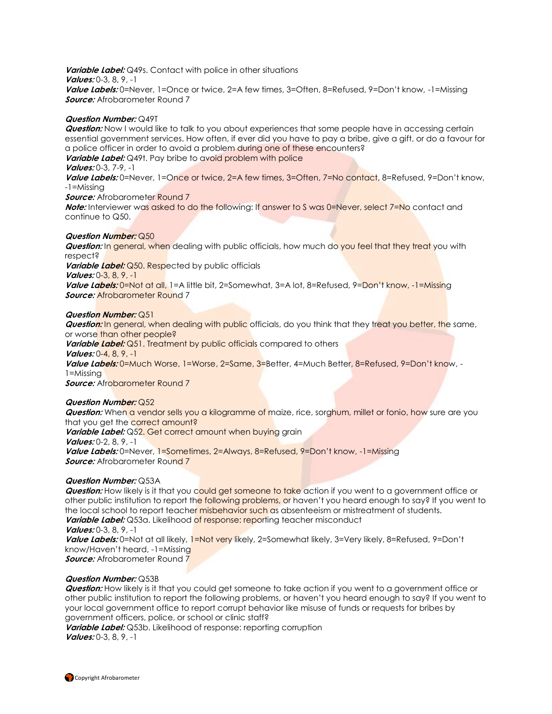**Variable Label:** Q49s. Contact with police in other situations **Values:** 0-3, 8, 9, -1 Value Labels: 0=Never, 1=Once or twice, 2=A few times, 3=Often, 8=Refused, 9=Don't know, -1=Missing **Source:** Afrobarometer Round 7

#### **Question Number:** Q49T

**Question:** Now I would like to talk to you about experiences that some people have in accessing certain essential government services. How often, if ever did you have to pay a bribe, give a gift, or do a favour for a police officer in order to avoid a problem during one of these encounters?

**Variable Label:** Q49t. Pay bribe to avoid problem with police

#### **Values:** 0-3, 7-9, -1

**Value Labels:** 0=Never, 1=Once or twice, 2=A few times, 3=Often, 7=No contact, 8=Refused, 9=Don't know, -1=Missing

**Source:** Afrobarometer Round 7

**Note:** Interviewer was asked to do the following: If answer to S was 0=Never, select 7=No contact and continue to Q50.

#### **Question Number:** Q50

**Question:** In general, when dealing with public officials, how much do you feel that they treat you with respect? **Variable Label:** Q50. Respected by public officials **Values:** 0-3, 8, 9, -1 **Value Labels:** 0=Not at all, 1=A little bit, 2=Somewhat, 3=A lot, 8=Refused, 9=Don't know, -1=Missing **Source:** Afrobarometer Round 7

#### **Question Number:** Q51

**Question:** In general, when dealing with public officials, do you think that they treat you better, the same, or worse than other people? **Variable Label:** Q51. Treatment by public officials compared to others **Values:** 0-4, 8, 9, -1 **Value Labels:** 0=Much Worse, 1=Worse, 2=Same, 3=Better, 4=Much Better, 8=Refused, 9=Don't know, - 1=Missing **Source:** Afrobarometer Round 7

#### **Question Number:** Q52

**Question:** When a vendor sells you a kilogramme of maize, rice, sorghum, millet or fonio, how sure are you that you get the correct amount? Variable Label: Q52. Get correct amount when buying grain **Values:** 0-2, 8, 9, -1 **Value Labels:** 0=Never, 1=Sometimes, 2=Always, 8=Refused, 9=Don't know, -1=Missing *Source:* Afrobarometer Round 7

### **Question Number:** Q53A

**Question:** How likely is it that you could get someone to take action if you went to a government office or other public institution to report the following problems, or haven't you heard enough to say? If you went to the local school to report teacher misbehavior such as absenteeism or mistreatment of students. Variable Label: Q53a. Likelihood of response: reporting teacher misconduct **Values:** 0-3, 8, 9, -1

**Value Labels:** 0=Not at all likely, 1=Not very likely, 2=Somewhat likely, 3=Very likely, 8=Refused, 9=Don't know/Haven't heard, -1=Missing **Source:** Afrobarometer Round 7

#### **Question Number:** Q53B

**Question:** How likely is it that you could get someone to take action if you went to a government office or other public institution to report the following problems, or haven't you heard enough to say? If you went to your local government office to report corrupt behavior like misuse of funds or requests for bribes by government officers, police, or school or clinic staff?

**Variable Label:** Q53b. Likelihood of response: reporting corruption **Values:** 0-3, 8, 9, -1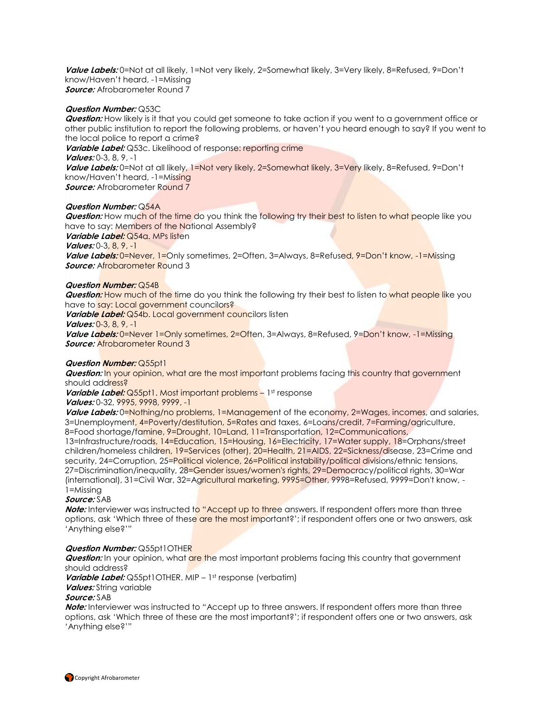**Value Labels:** 0=Not at all likely, 1=Not very likely, 2=Somewhat likely, 3=Very likely, 8=Refused, 9=Don't know/Haven't heard, -1=Missing **Source:** Afrobarometer Round 7

#### **Question Number:** Q53C

**Question:** How likely is it that you could get someone to take action if you went to a government office or other public institution to report the following problems, or haven't you heard enough to say? If you went to the local police to report a crime? **Variable Label:** Q53c. Likelihood of response: reporting crime **Values:** 0-3, 8, 9, -1 **Value Labels:** 0=Not at all likely, 1=Not very likely, 2=Somewhat likely, 3=Very likely, 8=Refused, 9=Don't know/Haven't heard, -1=Missing **Source:** Afrobarometer Round 7

#### **Question Number:** Q54A

**Question:** How much of the time do you think the following try their best to listen to what people like you have to say: Members of the National Assembly?

**Variable Label:** Q54a. MPs listen

**Values:** 0-3, 8, 9, -1

**Value Labels:** 0=Never, 1=Only sometimes, 2=Often, 3=Always, 8=Refused, 9=Don't know, -1=Missing *Source:* Afrobarometer Round 3

#### **Question Number:** Q54B

**Question:** How much of the time do you think the following try their best to listen to what people like you have to say: Local government councilors?

**Variable Label:** Q54b. Local government councilors listen

**Values:** 0-3, 8, 9, -1

**Value Labels:** 0=Never 1=Only sometimes, 2=Often, 3=Always, 8=Refused, 9=Don't know, -1=Missing **Source:** Afrobarometer Round 3

#### **Question Number:** Q55pt1

**Question:** In your opinion, what are the most important problems facing this country that government should address?

*Variable Label:* Q55pt1. Most important problems – 1st response

**Values:** 0-32, 9995, 9998, 9999, -1

**Value Labels:** 0=Nothing/no problems, 1=Management of the economy, 2=Wages, incomes, and salaries, 3=Unemployment, 4=Poverty/destitution, 5=Rates and taxes, 6=Loans/credit, 7=Farming/agriculture, 8=Food shortage/famine, 9=Drought, 10=Land, 11=Transportation, 12=Communications,

13=Infrastructure/roads, 14=Education, 15=Housing, 16=Electricity, 17=Water supply, 18=Orphans/street children/homeless children, 19=Services (other), 20=Health, 21=AIDS, 22=Sickness/disease, 23=Crime and security, 24=Corruption, 25=Political violence, 26=Political instability/political divisions/ethnic tensions, 27=Discrimination/inequality, 28=Gender issues/women's rights, 29=Democracy/political rights, 30=War (international), 31=Civil War, 32=Agricultural marketing, 9995=Other, 9998=Refused, 9999=Don't know, -1=Missing

#### **Source:** SAB

**Note:** Interviewer was instructed to "Accept up to three answers. If respondent offers more than three options, ask 'Which three of these are the most important?'; if respondent offers one or two answers, ask 'Anything else?'"

#### **Question Number:** Q55pt1OTHER

**Question:** In your opinion, what are the most important problems facing this country that government should address?

**Variable Label:** Q55pt1OTHER. MIP - 1st response (verbatim)

### **Values:** String variable

#### **Source:** SAB

**Note:** Interviewer was instructed to "Accept up to three answers. If respondent offers more than three options, ask 'Which three of these are the most important?'; if respondent offers one or two answers, ask 'Anything else?'"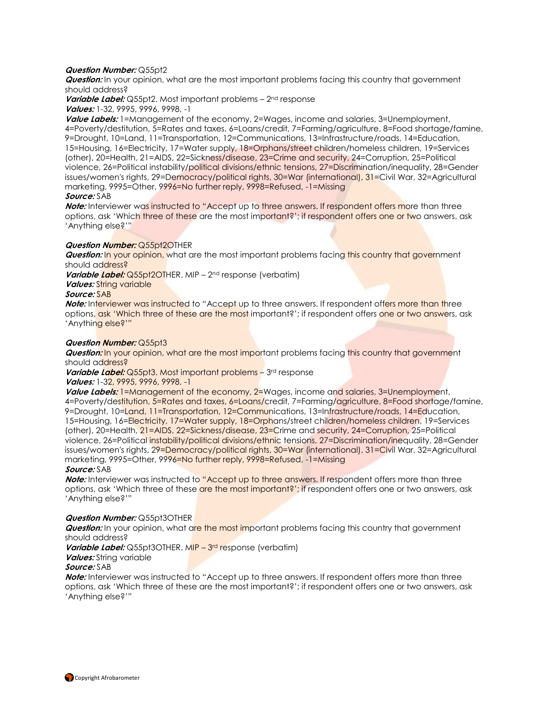#### **Question Number:** Q55pt2

**Question:** In your opinion, what are the most important problems facing this country that government should address?

**Variable Label:** Q55pt2. Most important problems – 2<sup>nd</sup> response **Values:** 1-32, 9995, 9996, 9998, -1

**Value Labels:** 1=Management of the economy, 2=Wages, income and salaries, 3=Unemployment, 4=Poverty/destitution, 5=Rates and taxes, 6=Loans/credit, 7=Farming/agriculture, 8=Food shortage/famine, 9=Drought, 10=Land, 11=Transportation, 12=Communications, 13=Infrastructure/roads, 14=Education, 15=Housing, 16=Electricity, 17=Water supply, 18=Orphans/street children/homeless children, 19=Services (other), 20=Health, 21=AIDS, 22=Sickness/disease, 23=Crime and security, 24=Corruption, 25=Political violence, 26=Political instability/political divisions/ethnic tensions, 27=Discrimination/inequality, 28=Gender issues/women's rights, 29=Democracy/political rights, 30=War (international), 31=Civil War, 32=Agricultural marketing, 9995=Other, 9996=No further reply, 9998=Refused, -1=Missing **Source:** SAB

**Note:** Interviewer was instructed to "Accept up to three answers. If respondent offers more than three options, ask 'Which three of these are the most important?'; if respondent offers one or two answers, ask 'Anything else?'"

#### **Question Number:** Q55pt2OTHER

**Question:** In your opinion, what are the most important problems facing this country that government should address?

**Variable Label:** Q55pt2OTHER. MIP - 2<sup>nd</sup> response (verbatim)

*Values:* String variable

**Source:** SAB

**Note:** Interviewer was instructed to "Accept up to three answers. If respondent offers more than three options, ask 'Which three of these are the most important?'; if respondent offers one or two answers, ask 'Anything else?'"

#### **Question Number:** Q55pt3

**Question:** In your opinion, what are the most important problems facing this country that government should address?

**Variable Label:** Q55pt3. Most important problems - 3<sup>rd</sup> response

#### **Values:** 1-32, 9995, 9996, 9998, -1

**Value Labels:** 1=Management of the economy, 2=Wages, income and salaries, 3=Unemployment, 4=Poverty/destitution, 5=Rates and taxes, 6=Loans/credit, 7=Farming/agriculture, 8=Food shortage/famine, 9=Drought, 10=Land, 11=Transportation, 12=Communications, 13=Infrastructure/roads, 14=Education, 15=Housing, 16=Electricity, 17=Water supply, 18=Orphans/street children/homeless children, 19=Services (other), 20=Health, 21=AIDS, 22=Sickness/disease, 23=Crime and security, 24=Corruption, 25=Political violence, 26=Political instability/political divisions/ethnic tensions, 27=Discrimination/inequality, 28=Gender issues/women's rights, 29=Democracy/political rights, 30=War (international), 31=Civil War, 32=Agricultural marketing, 9995=Other, 9996=No further reply, 9998=Refused, -1=Missing

#### **Source:** SAB

**Note:** Interviewer was instructed to "Accept up to three answers. If respondent offers more than three options, ask 'Which three of these are the most important?'; if respondent offers one or two answers, ask 'Anything else?'"

#### **Question Number:** Q55pt3OTHER

**Question:** In your opinion, what are the most important problems facing this country that government should address?

*Variable Label:* Q55pt3OTHER. MIP - 3<sup>rd</sup> response (verbatim)

#### **Values:** String variable

#### **Source:** SAB

**Note:** Interviewer was instructed to "Accept up to three answers. If respondent offers more than three options, ask 'Which three of these are the most important?'; if respondent offers one or two answers, ask 'Anything else?'"

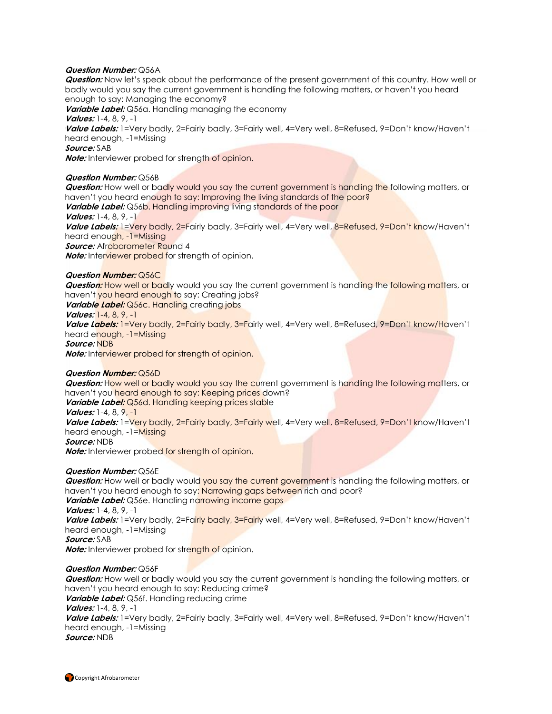#### **Question Number:** Q56A

**Question:** Now let's speak about the performance of the present government of this country. How well or badly would you say the current government is handling the following matters, or haven't you heard enough to say: Managing the economy?

**Variable Label:** Q56a. Handling managing the economy

**Values:** 1-4, 8, 9, -1

**Value Labels:** 1=Very badly, 2=Fairly badly, 3=Fairly well, 4=Very well, 8=Refused, 9=Don't know/Haven't heard enough, -1=Missing

**Source:** SAB

**Note:** Interviewer probed for strength of opinion.

#### **Question Number:** Q56B

**Question:** How well or badly would you say the current government is handling the following matters, or haven't you heard enough to say: Improving the living standards of the poor?

**Variable Label:** Q56b. Handling improving living standards of the poor

**Values:** 1-4, 8, 9, -1

**Value Labels:** 1=Very badly, 2=Fairly badly, 3=Fairly well, 4=Very well, 8=Refused, 9=Don't know/Haven't heard enough, -1=Missing

*Source:* Afrobarometer Round 4

**Note:** Interviewer probed for strength of opinion.

#### **Question Number:** Q56C

**Question:** How well or badly would you say the current government is handling the following matters, or haven't you heard enough to say: Creating jobs?

**Variable Label:** Q56c. Handling creating jobs

**Values:** 1-4, 8, 9, -1

**Value Labels:** 1=Very badly, 2=Fairly badly, 3=Fairly well, 4=Very well, 8=Refused, 9=Don't know/Haven't heard enough, -1=Missing

**Source:** NDB

**Note:** Interviewer probed for strength of opinion.

### **Question Number:** Q56D

**Question:** How well or badly would you say the current government is handling the following matters, or haven't you heard enough to say: Keeping prices down?

- **Variable Label:** Q56d. Handling keeping prices stable
- **Values:** 1-4, 8, 9, -1

**Value Labels:** 1=Very badly, 2=Fairly badly, 3=Fairly well, 4=Very well, 8=Refused, 9=Don't know/Haven't heard enough, -1=Missing

**Source:** NDB

**Note:** Interviewer probed for strength of opinion.

### **Question Number:** Q56E

**Question:** How well or badly would you say the current government is handling the following matters, or haven't you heard enough to say: Narrowing gaps between rich and poor? **Variable Label:** Q56e. Handling narrowing income gaps **Values:** 1-4, 8, 9, -1 **Value Labels:** 1=Very badly, 2=Fairly badly, 3=Fairly well, 4=Very well, 8=Refused, 9=Don't know/Haven't heard enough, -1=Missing **Source:** SAB **Note:** Interviewer probed for strength of opinion.

#### **Question Number:** Q56F

**Question:** How well or badly would you say the current government is handling the following matters, or haven't you heard enough to say: Reducing crime? **Variable Label:** Q56f. Handling reducing crime **Values:** 1-4, 8, 9, -1 **Value Labels:** 1=Very badly, 2=Fairly badly, 3=Fairly well, 4=Very well, 8=Refused, 9=Don't know/Haven't heard enough, -1=Missing **Source:** NDB

Copyright Afrobarometer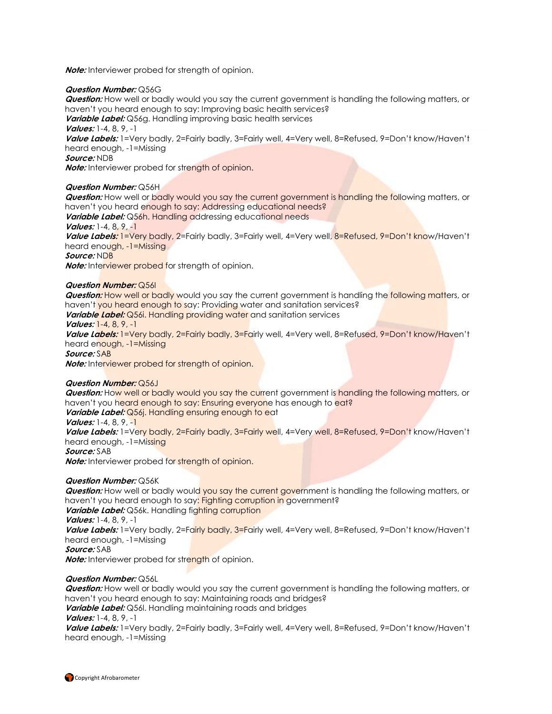**Note:** Interviewer probed for strength of opinion.

#### **Question Number:** Q56G

**Question:** How well or badly would you say the current government is handling the following matters, or haven't you heard enough to say: Improving basic health services?

**Variable Label:** Q56g. Handling improving basic health services

**Values:** 1-4, 8, 9, -1

**Value Labels:** 1=Very badly, 2=Fairly badly, 3=Fairly well, 4=Very well, 8=Refused, 9=Don't know/Haven't heard enough, -1=Missing

**Source:** NDB

**Note:** Interviewer probed for strength of opinion.

#### **Question Number:** Q56H

**Question:** How well or badly would you say the current government is handling the following matters, or haven't you heard enough to say: Addressing educational needs? **Variable Label:** Q56h. Handling addressing educational needs

**Values:** 1-4, 8, 9, -1

**Value Labels:** 1=Very badly, 2=Fairly badly, 3=Fairly well, 4=Very well, 8=Refused, 9=Don't know/Haven't heard enough, -1=Missing

**Source:** NDB

**Note:** Interviewer probed for strength of opinion.

#### **Question Number:** Q56I

**Question:** How well or badly would you say the current government is handling the following matters, or haven't you heard enough to say: Providing water and sanitation services?

**Variable Label:** Q56i. Handling providing water and sanitation services

**Values:** 1-4, 8, 9, -1

**Value Labels:** 1=Very badly, 2=Fairly badly, 3=Fairly well, 4=Very well, 8=Refused, 9=Don't know/Haven't heard enough, -1=Missing

**Source:** SAB

**Note:** Interviewer probed for strength of opinion.

#### **Question Number:** Q56J

**Question:** How well or badly would you say the current government is handling the following matters, or haven't you heard enough to say: Ensuring everyone has enough to eat?

Variable Label: Q56j. Handling ensuring enough to eat

**Values:** 1-4, 8, 9, -1

**Value Labels:** 1=Very badly, 2=Fairly badly, 3=Fairly well, 4=Very well, 8=Refused, 9=Don't know/Haven't heard enough, -1=Missing

**Source:** SAB

**Note:** Interviewer probed for strength of opinion.

### **Question Number:** Q56K

**Question:** How well or badly would you say the current government is handling the following matters, or haven't you heard enough to say: Fighting corruption in government?

Variable Label: Q56k. Handling fighting corruption

**Values:** 1-4, 8, 9, -1

**Value Labels:** 1=Very badly, 2=Fairly badly, 3=Fairly well, 4=Very well, 8=Refused, 9=Don't know/Haven't heard enough, -1=Missing

**Source:** SAB

**Note:** Interviewer probed for strength of opinion.

### **Question Number:** Q56L

**Question:** How well or badly would you say the current government is handling the following matters, or haven't you heard enough to say: Maintaining roads and bridges?

**Variable Label:** Q56I. Handling maintaining roads and bridges

**Values:** 1-4, 8, 9, -1

**Value Labels:** 1=Very badly, 2=Fairly badly, 3=Fairly well, 4=Very well, 8=Refused, 9=Don't know/Haven't heard enough, -1=Missing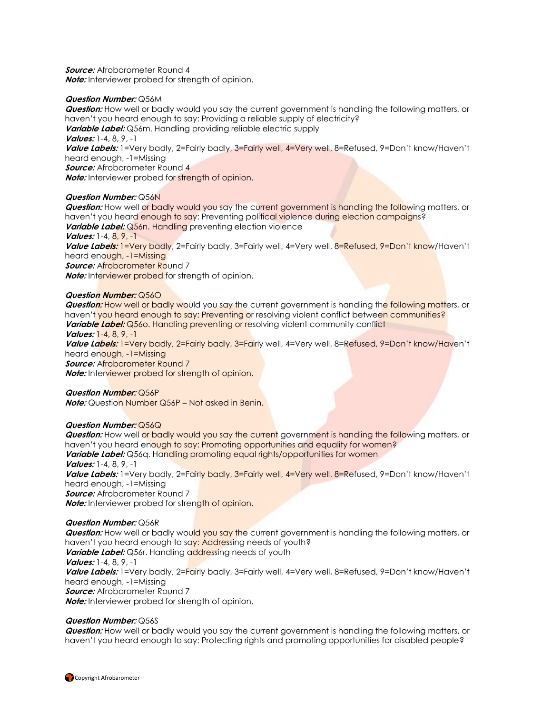**Source:** Afrobarometer Round 4 **Note:** Interviewer probed for strength of opinion.

#### **Question Number:** Q56M

**Question:** How well or badly would you say the current government is handling the following matters, or haven't you heard enough to say: Providing a reliable supply of electricity?

**Variable Label:** Q56m. Handling providing reliable electric supply

**Values:** 1-4, 8, 9, -1

**Value Labels:** 1=Very badly, 2=Fairly badly, 3=Fairly well, 4=Very well, 8=Refused, 9=Don't know/Haven't heard enough, -1=Missing

**Source:** Afrobarometer Round 4

**Note:** Interviewer probed for strength of opinion.

#### **Question Number:** Q56N

**Question:** How well or badly would you say the current government is handling the following matters, or haven't you heard enough to say: Preventing political violence during election campaigns? **Variable Label:** Q56n. Handling preventing election violence

**Values:** 1-4, 8, 9, -1

**Value Labels:** 1=Very badly, 2=Fairly badly, 3=Fairly well, 4=Very well, 8=Refused, 9=Don't know/Haven't heard enough, -1=Missing

*Source:* Afrobarometer Round 7

**Note:** Interviewer probed for strength of opinion.

#### **Question Number:** Q56O

**Question:** How well or badly would you say the current government is handling the following matters, or haven't you heard enough to say: Preventing or resolving violent conflict between communities? **Variable Label:** Q560. Handling preventing or resolving violent community conflict

#### **Values:** 1-4, 8, 9, -1

**Value Labels:** 1=Very badly, 2=Fairly badly, 3=Fairly well, 4=Very well, 8=Refused, 9=Don't know/Haven't heard enough, -1=Missing

*Source:* Afrobarometer Round 7

**Note:** Interviewer probed for strength of opinion.

#### **Question Number:** Q56P

**Note:** Question Number Q56P – Not asked in Benin.

#### **Question Number:** Q56Q

**Question:** How well or badly would you say the current government is handling the following matters, or haven't you heard enough to say: Promoting opportunities and equality for women? **Variable Label:** Q56q. Handling promoting equal rights/opportunities for women **Values:** 1-4, 8, 9, -1 **Value Labels:** 1=Very badly, 2=Fairly badly, 3=Fairly well, 4=Very well, 8=Refused, 9=Don't know/Haven't

heard enough, -1=Missing

**Source:** Afrobarometer Round 7

**Note:** Interviewer probed for strength of opinion.

### **Question Number:** Q56R

**Question:** How well or badly would you say the current government is handling the following matters, or haven't you heard enough to say: Addressing needs of youth? **Variable Label:** Q56r. Handling addressing needs of youth **Values:** 1-4, 8, 9, -1 **Value Labels:** 1=Very badly, 2=Fairly badly, 3=Fairly well, 4=Very well, 8=Refused, 9=Don't know/Haven't heard enough, -1=Missing **Source:** Afrobarometer Round 7 **Note:** Interviewer probed for strength of opinion.

#### **Question Number:** Q56S

**Question:** How well or badly would you say the current government is handling the following matters, or haven't you heard enough to say: Protecting rights and promoting opportunities for disabled people?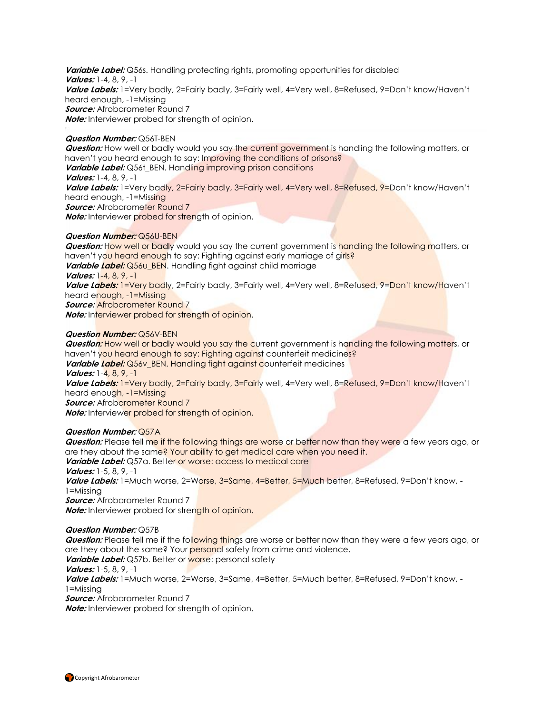**Variable Label:** Q56s. Handling protecting rights, promoting opportunities for disabled **Values:** 1-4, 8, 9, -1 **Value Labels:** 1=Very badly, 2=Fairly badly, 3=Fairly well, 4=Very well, 8=Refused, 9=Don't know/Haven't heard enough, -1=Missing **Source:** Afrobarometer Round 7 **Note:** Interviewer probed for strength of opinion.

#### **Question Number:** Q56T-BEN

**Question:** How well or badly would you say the current government is handling the following matters, or haven't you heard enough to say: Improving the conditions of prisons? **Variable Label:** Q56t\_BEN. Handling improving prison conditions **Values:** 1-4, 8, 9, -1 **Value Labels:** 1=Very badly, 2=Fairly badly, 3=Fairly well, 4=Very well, 8=Refused, 9=Don't know/Haven't heard enough, -1=Missing **Source:** Afrobarometer Round 7 **Note:** Interviewer probed for strength of opinion.

#### **Question Number:** Q56U-BEN

**Question:** How well or badly would you say the current government is handling the following matters, or haven't you heard enough to say: Fighting against early marriage of girls? Variable Label: Q56u\_BEN. Handling fight against child marriage **Values:** 1-4, 8, 9, -1 **Value Labels:** 1=Very badly, 2=Fairly badly, 3=Fairly well, 4=Very well, 8=Refused, 9=Don't know/Haven't heard enough, -1=Missing **Source:** Afrobarometer Round 7 **Note:** Interviewer probed for strength of opinion.

#### **Question Number:** Q56V-BEN

**Question:** How well or badly would you say the current government is handling the following matters, or haven't you heard enough to say: Fighting against counterfeit medicines? **Variable Label:** Q56y BEN. Handling fight against counterfeit medicines **Values:** 1-4, 8, 9, -1 **Value Labels:** 1=Very badly, 2=Fairly badly, 3=Fairly well, 4=Very well, 8=Refused, 9=Don't know/Haven't heard enough, -1=Missing *Source:* Afrobarometer Round 7 **Note:** Interviewer probed for strength of opinion.

#### **Question Number:** Q57A

**Question:** Please tell me if the following things are worse or better now than they were a few years ago, or are they about the same? Your ability to get medical care when you need it.

**Variable Label:** Q57a. Better or worse: access to medical care

**Values:** 1-5, 8, 9, -1

**Value Labels:** 1=Much worse, 2=Worse, 3=Same, 4=Better, 5=Much better, 8=Refused, 9=Don't know, - 1=Missing

**Source:** Afrobarometer Round 7 **Note:** Interviewer probed for strength of opinion.

#### **Question Number:** Q57B

**Question:** Please tell me if the following things are worse or better now than they were a few years ago, or are they about the same? Your personal safety from crime and violence.

**Variable Label:** Q57b. Better or worse: personal safety

**Values:** 1-5, 8, 9, -1

**Value Labels:** 1=Much worse, 2=Worse, 3=Same, 4=Better, 5=Much better, 8=Refused, 9=Don't know, - 1=Missing

**Source:** Afrobarometer Round 7

**Note:** Interviewer probed for strength of opinion.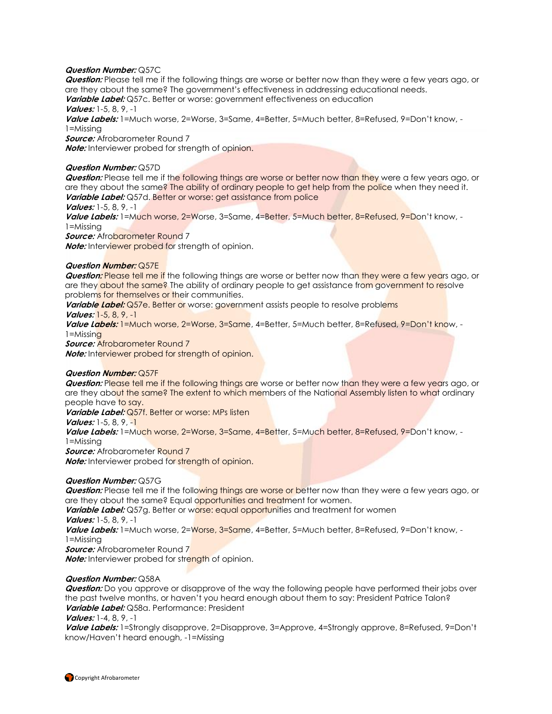#### **Question Number:** Q57C

**Question:** Please tell me if the following things are worse or better now than they were a few years ago, or are they about the same? The government's effectiveness in addressing educational needs. Variable Label: Q57c. Better or worse: government effectiveness on education

# **Values:** 1-5, 8, 9, -1

**Value Labels:** 1=Much worse, 2=Worse, 3=Same, 4=Better, 5=Much better, 8=Refused, 9=Don't know, - 1=Missing

**Source:** Afrobarometer Round 7

**Note:** Interviewer probed for strength of opinion.

#### **Question Number:** Q57D

**Question:** Please tell me if the following things are worse or better now than they were a few years ago, or are they about the same? The ability of ordinary people to get help from the police when they need it. **Variable Label:** Q57d. Better or worse: get assistance from police

#### **Values:** 1-5, 8, 9, -1

**Value Labels:** 1=Much worse, 2=Worse, 3=Same, 4=Better, 5=Much better, 8=Refused, 9=Don't know, - 1=Missing

*Source:* Afrobarometer Round 7

**Note:** Interviewer probed for strength of opinion.

#### **Question Number:** Q57E

**Question:** Please tell me if the following things are worse or better now than they were a few years ago, or are they about the same? The ability of ordinary people to get assistance from government to resolve problems for themselves or their communities.

Variable Label: Q57e. Better or worse: government assists people to resolve problems

**Values:** 1-5, 8, 9, -1

**Value Labels:** 1=Much worse, 2=Worse, 3=Same, 4=Better, 5=Much better, 8=Refused, 9=Don't know, - 1=Missing

**Source:** Afrobarometer Round 7

**Note:** Interviewer probed for strength of opinion.

#### **Question Number:** Q57F

**Question:** Please tell me if the following things are worse or better now than they were a few years ago, or are they about the same? The extent to which members of the National Assembly listen to what ordinary people have to say.

**Variable Label:** Q57f. Better or worse: MPs listen

**Values:** 1-5, 8, 9, -1

Value Labels: 1=Much worse, 2=Worse, 3=Same, 4=Better, 5=Much better, 8=Refused, 9=Don't know, -

1=Missing

**Source:** Afrobarometer Round 7

**Note:** Interviewer probed for strength of opinion.

#### **Question Number:** Q57G

**Question:** Please tell me if the following things are worse or better now than they were a few years ago, or are they about the same? Equal opportunities and treatment for women.

**Variable Label:** Q57g. Better or worse: equal opportunities and treatment for women **Values:** 1-5, 8, 9, -1

**Value Labels:** 1=Much worse, 2=Worse, 3=Same, 4=Better, 5=Much better, 8=Refused, 9=Don't know, - 1=Missing

**Source:** Afrobarometer Round 7

**Note:** Interviewer probed for strength of opinion.

#### **Question Number:** Q58A

**Question:** Do you approve or disapprove of the way the following people have performed their jobs over the past twelve months, or haven't you heard enough about them to say: President Patrice Talon? **Variable Label:** Q58a. Performance: President

**Values:** 1-4, 8, 9, -1

**Value Labels:** 1=Strongly disapprove, 2=Disapprove, 3=Approve, 4=Strongly approve, 8=Refused, 9=Don't know/Haven't heard enough, -1=Missing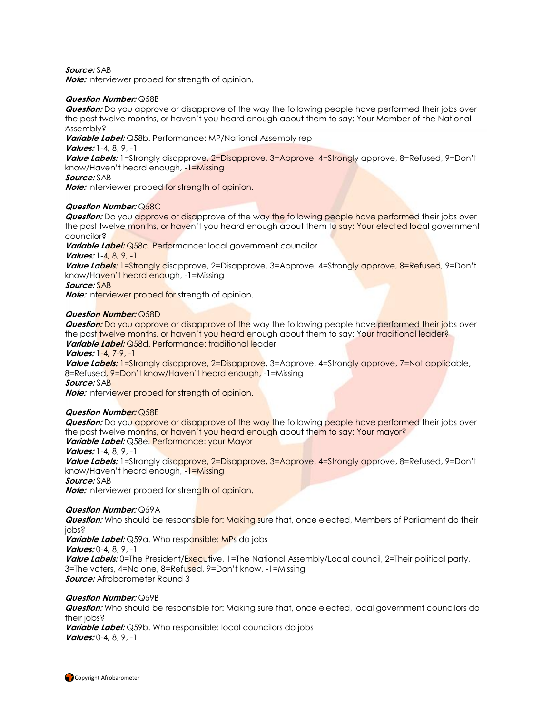#### **Source:** SAB

**Note:** Interviewer probed for strength of opinion.

#### **Question Number:** Q58B

**Question:** Do you approve or disapprove of the way the following people have performed their jobs over the past twelve months, or haven't you heard enough about them to say: Your Member of the National Assembly?

**Variable Label:** Q58b. Performance: MP/National Assembly rep

**Values:** 1-4, 8, 9, -1

**Value Labels:** 1=Strongly disapprove, 2=Disapprove, 3=Approve, 4=Strongly approve, 8=Refused, 9=Don't know/Haven't heard enough, -1=Missing

**Source:** SAB

**Note:** Interviewer probed for strength of opinion.

#### **Question Number:** Q58C

**Question:** Do you approve or disapprove of the way the following people have performed their jobs over the past twelve months, or haven't you heard enough about them to say: Your elected local government councilor?

**Variable Label:** Q58c. Performance: local government councilor

**Values:** 1-4, 8, 9, -1

**Value Labels:** 1=Strongly disapprove, 2=Disapprove, 3=Approve, 4=Strongly approve, 8=Refused, 9=Don't know/Haven't heard enough, -1=Missing

**Source:** SAB

**Note:** Interviewer probed for strength of opinion.

#### **Question Number:** Q58D

**Question:** Do you approve or disapprove of the way the following people have performed their jobs over the past twelve months, or haven't you heard enough about them to say: Your traditional leader? **Variable Label:** Q58d. Performance: traditional leader

**Values:** 1-4, 7-9, -1

**Value Labels:** 1=Strongly disapprove, 2=Disapprove, 3=Approve, 4=Strongly approve, 7=Not applicable, 8=Refused, 9=Don't know/Haven't heard enough, -1=Missing **Source:** SAB

**Note:** Interviewer probed for strength of opinion.

#### **Question Number:** Q58E

**Question:** Do you approve or disapprove of the way the following people have performed their jobs over the past twelve months, or haven't you heard enough about them to say: Your mayor? **Variable Label:** Q58e. Performance: your Mayor

**Values:** 1-4, 8, 9, -1

**Value Labels:** 1=Strongly disapprove, 2=Disapprove, 3=Approve, 4=Strongly approve, 8=Refused, 9=Don't know/Haven't heard enough, -1=Missing

**Source:** SAB

**Note:** Interviewer probed for strength of opinion.

#### **Question Number:** Q59A

**Question:** Who should be responsible for: Making sure that, once elected, Members of Parliament do their jobs?

**Variable Label:** Q59a. Who responsible: MPs do jobs **Values:** 0-4, 8, 9, -1 **Value Labels:** 0=The President/Executive, 1=The National Assembly/Local council, 2=Their political party, 3=The voters, 4=No one, 8=Refused, 9=Don't know, -1=Missing **Source:** Afrobarometer Round 3

#### **Question Number:** Q59B

**Question:** Who should be responsible for: Making sure that, once elected, local government councilors do their jobs?

**Variable Label:** Q59b. Who responsible: local councilors do jobs **Values:** 0-4, 8, 9, -1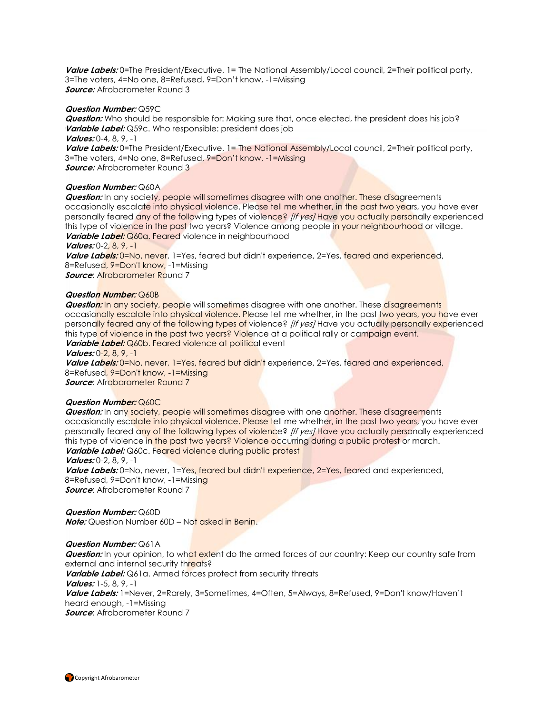**Value Labels:** 0=The President/Executive, 1= The National Assembly/Local council, 2=Their political party, 3=The voters, 4=No one, 8=Refused, 9=Don't know, -1=Missing **Source:** Afrobarometer Round 3

#### **Question Number:** Q59C

**Question:** Who should be responsible for: Making sure that, once elected, the president does his job? **Variable Label:** Q59c. Who responsible: president does job **Values:** 0-4, 8, 9, -1

Value Labels: 0=The President/Executive, 1= The National Assembly/Local council, 2=Their political party, 3=The voters, 4=No one, 8=Refused, 9=Don't know, -1=Missing **Source:** Afrobarometer Round 3

#### **Question Number:** Q60A

**Question:** In any society, people will sometimes disagree with one another. These disagreements occasionally escalate into physical violence. Please tell me whether, in the past two years, you have ever personally feared any of the following types of violence? *[If yes]* Have you actually personally experienced this type of violence in the past two years? Violence among people in your neighbourhood or village. **Variable Label:** Q60a. Feared violence in neighbourhood

**Values:** 0-2, 8, 9, -1

**Value Labels:** 0=No, never, 1=Yes, feared but didn't experience, 2=Yes, feared and experienced, 8=Refused, 9=Don't know, -1=Missing **Source: Afrobarometer Round 7** 

#### **Question Number:** Q60B

**Question:** In any society, people will sometimes disagree with one another. These disagreements occasionally escalate into physical violence. Please tell me whether, in the past two years, you have ever personally feared any of the following types of violence? *[If yes]* Have you actually personally experienced this type of violence in the past two years? Violence at a political rally or campaign event. Variable Label: Q60b. Feared violence at political event

**Values:** 0-2, 8, 9, -1

**Value Labels:** 0=No, never, 1=Yes, feared but didn't experience, 2=Yes, feared and experienced, 8=Refused, 9=Don't know, -1=Missing

**Source:** Afrobarometer Round 7

#### **Question Number:** Q60C

**Question:** In any society, people will sometimes disagree with one another. These disagreements occasionally escalate into physical violence. Please tell me whether, in the past two years, you have ever personally feared any of the following types of violence? *[If yes]* Have you actually personally experienced this type of violence in the past two years? Violence occurring during a public protest or march. **Variable Label:** Q60c. Feared violence during public protest

#### **Values:** 0-2, 8, 9, -1

Value Labels: 0=No, never, 1=Yes, feared but didn't experience, 2=Yes, feared and experienced, 8=Refused, 9=Don't know, -1=Missing

**Source:** Afrobarometer Round 7

**Question Number:** Q60D **Note:** Question Number 60D – Not asked in Benin.

#### **Question Number:** Q61A

**Question:** In your opinion, to what extent do the armed forces of our country: Keep our country safe from external and internal security threats?

**Variable Label:** Q61a. Armed forces protect from security threats

**Values:** 1-5, 8, 9, -1

**Value Labels:** 1=Never, 2=Rarely, 3=Sometimes, 4=Often, 5=Always, 8=Refused, 9=Don't know/Haven't heard enough, -1=Missing

**Source**: Afrobarometer Round 7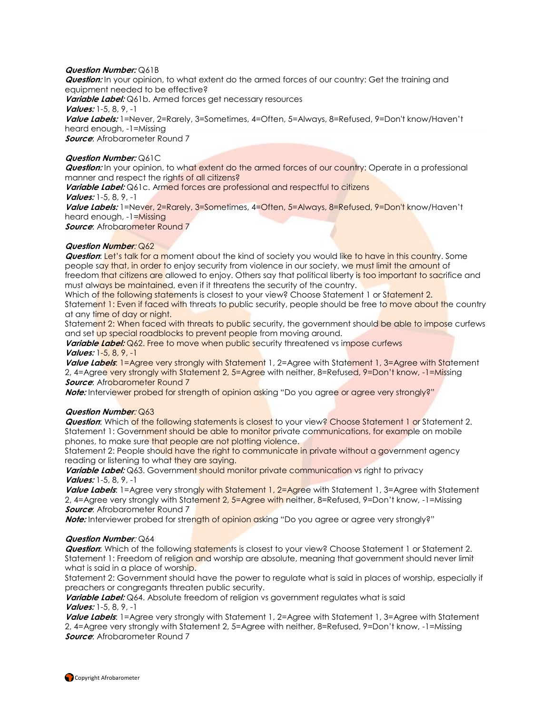#### **Question Number:** Q61B

**Question:** In your opinion, to what extent do the armed forces of our country: Get the training and equipment needed to be effective? **Variable Label:** Q61b. Armed forces get necessary resources **Values:** 1-5, 8, 9, -1 **Value Labels:** 1=Never, 2=Rarely, 3=Sometimes, 4=Often, 5=Always, 8=Refused, 9=Don't know/Haven't heard enough, -1=Missing **Source:** Afrobarometer Round 7

### **Question Number:** Q61C

**Question:** In your opinion, to what extent do the armed forces of our country: Operate in a professional manner and respect the rights of all citizens?

**Variable Label:** Q61c. Armed forces are professional and respectful to citizens **Values:** 1-5, 8, 9, -1

**Value Labels:** 1=Never, 2=Rarely, 3=Sometimes, 4=Often, 5=Always, 8=Refused, 9=Don't know/Haven't heard enough, -1=Missing

*Source:* Afrobarometer Round 7

#### **Question Number**: Q62

**Question:** Let's talk for a moment about the kind of society you would like to have in this country. Some people say that, in order to enjoy security from violence in our society, we must limit the amount of freedom that citizens are allowed to enjoy. Others say that political liberty is too important to sacrifice and must always be maintained, even if it threatens the security of the country.

Which of the following statements is closest to your view? Choose Statement 1 or Statement 2. Statement 1: Even if faced with threats to public security, people should be free to move about the country at any time of day or night.

Statement 2: When faced with threats to public security, the government should be able to impose curfews and set up special roadblocks to prevent people from moving around.

**Variable Label:** Q62. Free to move when public security threatened vs impose curfews **Values:** 1-5, 8, 9, -1

**Value Labels**: 1=Agree very strongly with Statement 1, 2=Agree with Statement 1, 3=Agree with Statement 2, 4=Agree very strongly with Statement 2, 5=Agree with neither, 8=Refused, 9=Don't know, -1=Missing **Source:** Afrobarometer Round 7

**Note:** Interviewer probed for strength of opinion asking "Do you agree or agree very strongly?"

#### **Question Number**: Q63

**Question**: Which of the following statements is closest to your view? Choose Statement 1 or Statement 2. Statement 1: Government should be able to monitor private communications, for example on mobile phones, to make sure that people are not plotting violence.

Statement 2: People should have the right to communicate in private without a government agency reading or listening to what they are saying.

Variable Label: Q63. Government should monitor private communication vs right to privacy **Values:** 1-5, 8, 9, -1

**Value Labels**: 1=Agree very strongly with Statement 1, 2=Agree with Statement 1, 3=Agree with Statement 2, 4=Agree very strongly with Statement 2, 5=Agree with neither, 8=Refused, 9=Don't know, -1=Missing **Source:** Afrobarometer Round 7

**Note:** Interviewer probed for strength of opinion asking "Do you agree or agree very strongly?"

#### **Question Number**: Q64

**Question:** Which of the following statements is closest to your view? Choose Statement 1 or Statement 2. Statement 1: Freedom of religion and worship are absolute, meaning that government should never limit what is said in a place of worship.

Statement 2: Government should have the power to regulate what is said in places of worship, especially if preachers or congregants threaten public security.

**Variable Label:** Q64. Absolute freedom of religion vs government regulates what is said **Values:** 1-5, 8, 9, -1

Value Labels: 1=Agree very strongly with Statement 1, 2=Agree with Statement 1, 3=Agree with Statement 2, 4=Agree very strongly with Statement 2, 5=Agree with neither, 8=Refused, 9=Don't know, -1=Missing **Source:** Afrobarometer Round 7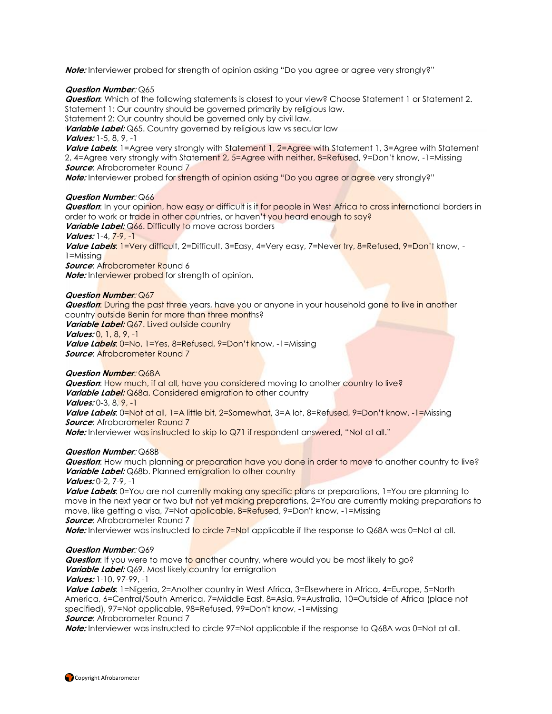**Note:** Interviewer probed for strength of opinion asking "Do you agree or agree very strongly?"

#### **Question Number**: Q65

**Question**: Which of the following statements is closest to your view? Choose Statement 1 or Statement 2. Statement 1: Our country should be governed primarily by religious law.

Statement 2: Our country should be governed only by civil law.

**Variable Label:** Q65. Country governed by religious law vs secular law

# **Values:** 1-5, 8, 9, -1

Value Labels: 1=Agree very strongly with Statement 1, 2=Agree with Statement 1, 3=Agree with Statement 2, 4=Agree very strongly with Statement 2, 5=Agree with neither, 8=Refused, 9=Don't know, -1=Missing **Source:** Afrobarometer Round 7

**Note:** Interviewer probed for strength of opinion asking "Do you agree or agree very strongly?"

#### **Question Number**: Q66

**Question**: In your opinion, how easy or difficult is it for people in West Africa to cross international borders in order to work or trade in other countries, or haven't you heard enough to say?

**Variable Label:** Q66. Difficulty to move across borders

**Values:** 1-4, 7-9, -1

**Value Labels**: 1=Very difficult, 2=Difficult, 3=Easy, 4=Very easy, 7=Never try, 8=Refused, 9=Don't know, - 1=Missing

**Source: Afrobarometer Round 6** 

**Note:** Interviewer probed for strength of opinion.

#### **Question Number**: Q67

**Question**: During the past three years, have you or anyone in your household gone to live in another country outside Benin for more than three months? Variable Label: Q67. Lived outside country

**Values:** 0, 1, 8, 9, -1

**Value Labels**: 0=No, 1=Yes, 8=Refused, 9=Don't know, -1=Missing **Source**: Afrobarometer Round 7

### **Question Number**: Q68A

**Question**: How much, if at all, have you considered moving to another country to live? **Variable Label:** Q68a. Considered emigration to other country **Values:** 0-3, 8, 9, -1

Value Labels: 0=Not at all, 1=A little bit, 2=Somewhat, 3=A lot, 8=Refused, 9=Don't know, -1=Missing **Source:** Afrobarometer Round 7

**Note:** Interviewer was instructed to skip to Q71 if respondent answered, "Not at all."

### **Question Number**: Q68B

*Question*: How much planning or preparation have you done in order to move to another country to live? **Variable Label:** Q68b. Planned emigration to other country **Values:** 0-2, 7-9, -1

**Value Labels**: 0=You are not currently making any specific plans or preparations, 1=You are planning to move in the next year or two but not yet making preparations, 2=You are currently making preparations to move, like getting a visa, 7=Not applicable, 8=Refused, 9=Don't know, -1=Missing **Source:** Afrobarometer Round 7

**Note:** Interviewer was instructed to circle 7=Not applicable if the response to Q68A was 0=Not at all.

#### **Question Number**: Q69

**Question:** If you were to move to another country, where would you be most likely to go? **Variable Label:** Q69. Most likely country for emigration

**Values:** 1-10, 97-99, -1

**Value Labels**: 1=Nigeria, 2=Another country in West Africa, 3=Elsewhere in Africa, 4=Europe, 5=North America, 6=Central/South America, 7=Middle East, 8=Asia, 9=Australia, 10=Outside of Africa (place not specified), 97=Not applicable, 98=Refused, 99=Don't know, -1=Missing **Source:** Afrobarometer Round 7

**Note:** Interviewer was instructed to circle 97=Not applicable if the response to Q68A was 0=Not at all.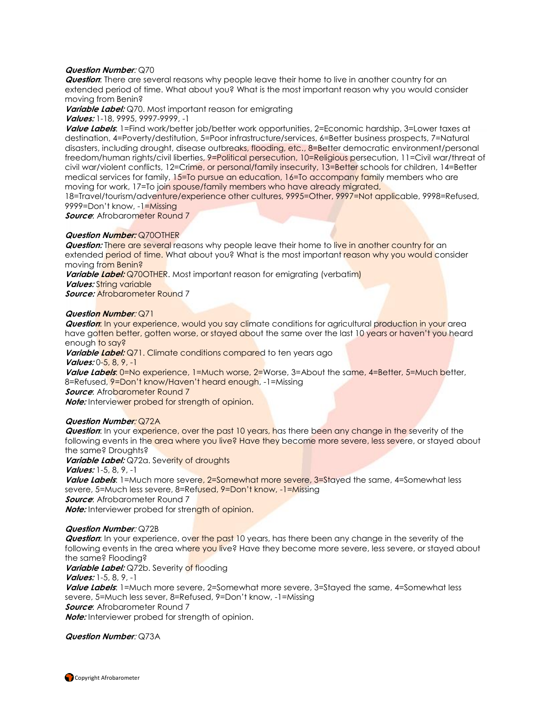#### **Question Number**: Q70

**Question**: There are several reasons why people leave their home to live in another country for an extended period of time. What about you? What is the most important reason why you would consider moving from Benin?

**Variable Label:** Q70. Most important reason for emigrating

**Values:** 1-18, 9995, 9997-9999, -1

**Value Labels**: 1=Find work/better job/better work opportunities, 2=Economic hardship, 3=Lower taxes at destination, 4=Poverty/destitution, 5=Poor infrastructure/services, 6=Better business prospects, 7=Natural disasters, including drought, disease outbreaks, flooding, etc., 8=Better democratic environment/personal freedom/human rights/civil liberties, 9=Political persecution, 10=Religious persecution, 11=Civil war/threat of civil war/violent conflicts, 12=Crime, or personal/family insecurity, 13=Better schools for children, 14=Better medical services for family, 15=To pursue an education, 16=To accompany family members who are moving for work, 17=To join spouse/family members who have already migrated,

18=Travel/tourism/adventure/experience other cultures, 9995=Other, 9997=Not applicable, 9998=Refused, 9999=Don't know, -1=Missing

**Source:** Afrobarometer Round 7

### **Question Number:** Q70OTHER

**Question:** There are several reasons why people leave their home to live in another country for an extended period of time. What about you? What is the most important reason why you would consider moving from Benin?

**Variable Label:** Q70OTHER. Most important reason for emigrating (verbatim)

*Values:* String variable

**Source:** Afrobarometer Round 7

#### **Question Number**: Q71

**Question:** In your experience, would you say climate conditions for agricultural production in your area have gotten better, gotten worse, or stayed about the same over the last 10 years or haven't you heard enough to say?

Variable Label: Q71. Climate conditions compared to ten years ago **Values:** 0-5, 8, 9, -1

Value Labels: 0=No experience, 1=Much worse, 2=Worse, 3=About the same, 4=Better, 5=Much better, 8=Refused, 9=Don't know/Haven't heard enough, -1=Missing

**Source:** Afrobarometer Round 7

**Note:** Interviewer probed for strength of opinion.

### **Question Number**: Q72A

**Question:** In your experience, over the past 10 years, has there been any change in the severity of the following events in the area where you live? Have they become more severe, less severe, or stayed about the same? Droughts?

**Variable Label:** Q72a. Severity of droughts

**Values:** 1-5, 8, 9, -1

**Value Labels**: 1=Much more severe, 2=Somewhat more severe, 3=Stayed the same, 4=Somewhat less severe, 5=Much less severe, 8=Refused, 9=Don't know, -1=Missing **Source:** Afrobarometer Round 7 **Note:** Interviewer probed for strength of opinion.

**Question Number**: Q72B

**Question:** In your experience, over the past 10 years, has there been any change in the severity of the following events in the area where you live? Have they become more severe, less severe, or stayed about the same? Flooding?

**Variable Label:** Q72b. Severity of flooding

**Values:** 1-5, 8, 9, -1

**Value Labels**: 1=Much more severe, 2=Somewhat more severe, 3=Stayed the same, 4=Somewhat less severe, 5=Much less sever, 8=Refused, 9=Don't know, -1=Missing **Source:** Afrobarometer Round 7 **Note:** Interviewer probed for strength of opinion.

**Question Number**: Q73A

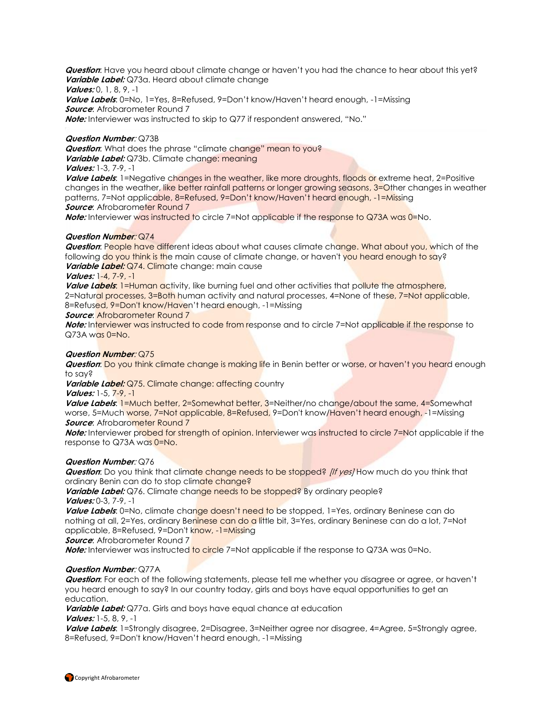**Question**: Have you heard about climate change or haven't you had the chance to hear about this yet? **Variable Label:** Q73a. Heard about climate change

**Values:** 0, 1, 8, 9, -1

**Value Labels**: 0=No, 1=Yes, 8=Refused, 9=Don't know/Haven't heard enough, -1=Missing **Source**: Afrobarometer Round 7

**Note:** Interviewer was instructed to skip to Q77 if respondent answered, "No."

#### **Question Number**: Q73B

**Question:** What does the phrase "climate change" mean to you? Variable Label: Q73b. Climate change: meaning **Values:** 1-3, 7-9, -1

Value Labels: 1=Negative changes in the weather, like more droughts, floods or extreme heat, 2=Positive changes in the weather, like better rainfall patterns or longer growing seasons, 3=Other changes in weather patterns, 7=Not applicable, 8=Refused, 9=Don't know/Haven't heard enough, -1=Missing **Source:** Afrobarometer Round 7

**Note:** Interviewer was instructed to circle 7=Not applicable if the response to Q73A was 0=No.

#### **Question Number**: Q74

**Question**: People have different ideas about what causes climate change. What about you, which of the following do you think is the main cause of climate change, or haven't you heard enough to say? Variable Label: Q74. Climate change: main cause

#### **Values:** 1-4, 7-9, -1

**Value Labels:** 1=Human activity, like burning fuel and other activities that pollute the atmosphere, 2=Natural processes, 3=Both human activity and natural processes, 4=None of these, 7=Not applicable, 8=Refused, 9=Don't know/Haven't heard enough, -1=Missing

#### **Source: Afrobarometer Round 7**

**Note:** Interviewer was instructed to code from response and to circle 7=Not applicable if the response to Q73A was 0=No.

### **Question Number**: Q75

**Question**: Do you think climate change is making life in Benin better or worse, or haven't you heard enough to say?

**Variable Label:** Q75. Climate change: affecting country **Values:** 1-5, 7-9, -1

**Value Labels: 1=Much better, 2=Somewhat better, 3=Neither/no change/about the same, 4=Somewhat** worse, 5=Much worse, 7=Not applicable, 8=Refused, 9=Don't know/Haven't heard enough, -1=Missing **Source:** Afrobarometer Round 7

**Note:** Interviewer probed for strength of opinion. Interviewer was instructed to circle 7=Not applicable if the response to Q73A was 0=No.

#### **Question Number**: Q76

**Question**: Do you think that climate change needs to be stopped? *[If yes]* How much do you think that ordinary Benin can do to stop climate change?

**Variable Label:** Q76. Climate change needs to be stopped? By ordinary people? **Values:** 0-3, 7-9, -1

**Value Labels**: 0=No, climate change doesn't need to be stopped, 1=Yes, ordinary Beninese can do nothing at all, 2=Yes, ordinary Beninese can do a little bit, 3=Yes, ordinary Beninese can do a lot, 7=Not applicable, 8=Refused, 9=Don't know, -1=Missing

**Source:** Afrobarometer Round 7

**Note:** Interviewer was instructed to circle 7=Not applicable if the response to Q73A was 0=No.

### **Question Number**: Q77A

**Question**: For each of the following statements, please tell me whether you disagree or agree, or haven't you heard enough to say? In our country today, girls and boys have equal opportunities to get an education.

**Variable Label:** Q77a. Girls and boys have equal chance at education **Values:** 1-5, 8, 9, -1

**Value Labels**: 1=Strongly disagree, 2=Disagree, 3=Neither agree nor disagree, 4=Agree, 5=Strongly agree, 8=Refused, 9=Don't know/Haven't heard enough, -1=Missing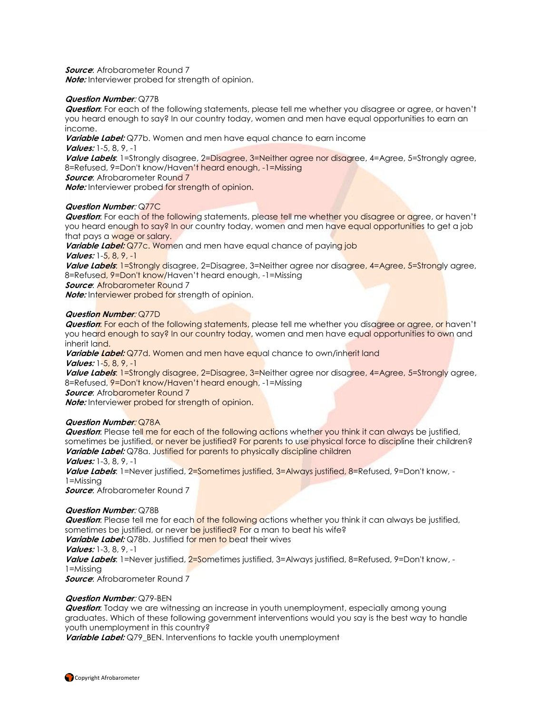**Source:** Afrobarometer Round 7

**Note:** Interviewer probed for strength of opinion.

#### **Question Number**: Q77B

**Question**: For each of the following statements, please tell me whether you disagree or agree, or haven't you heard enough to say? In our country today, women and men have equal opportunities to earn an income.

**Variable Label:** Q77b. Women and men have equal chance to earn income

**Values:** 1-5, 8, 9, -1

Value Labels: 1=Strongly disagree, 2=Disagree, 3=Neither agree nor disagree, 4=Agree, 5=Strongly agree, 8=Refused, 9=Don't know/Haven't heard enough, -1=Missing

**Source:** Afrobarometer Round 7

**Note:** Interviewer probed for strength of opinion.

#### **Question Number**: Q77C

**Question:** For each of the following statements, please tell me whether you disagree or agree, or haven't you heard enough to say? In our country today, women and men have equal opportunities to get a job that pays a wage or salary.

**Variable Label:** Q77c. Women and men have equal chance of paying job

**Values:** 1-5, 8, 9, -1

**Value Labels: 1=Strongly disagree, 2=Disagree, 3=Neither agree nor disagree, 4=Agree, 5=Strongly agree,** 8=Refused, 9=Don't know/Haven't heard enough, -1=Missing

*Source:* Afrobarometer Round 7

**Note:** Interviewer probed for strength of opinion.

### **Question Number**: Q77D

**Question:** For each of the following statements, please tell me whether you disagree or agree, or haven't you heard enough to say? In our country today, women and men have equal opportunities to own and inherit land.

Variable Label: Q77d. Women and men have equal chance to own/inherit land **Values:** 1-5, 8, 9, -1

**Value Labels**: 1=Strongly disagree, 2=Disagree, 3=Neither agree nor disagree, 4=Agree, 5=Strongly agree, 8=Refused, 9=Don't know/Haven't heard enough, -1=Missing

**Source:** Afrobarometer Round 7

**Note:** Interviewer probed for strength of opinion.

### **Question Number**: Q78A

**Question**: Please tell me for each of the following actions whether you think it can always be justified, sometimes be justified, or never be justified? For parents to use physical force to discipline their children? Variable Label: Q78a. Justified for parents to physically discipline children **Values:** 1-3, 8, 9, -1

**Value Labels**: 1=Never justified, 2=Sometimes justified, 3=Always justified, 8=Refused, 9=Don't know, - 1=Missing

**Source:** Afrobarometer Round 7

### **Question Number**: Q78B

**Question**: Please tell me for each of the following actions whether you think it can always be justified, sometimes be justified, or never be justified? For a man to beat his wife?

**Variable Label:** Q78b. Justified for men to beat their wives

**Values:** 1-3, 8, 9, -1

**Value Labels**: 1=Never justified, 2=Sometimes justified, 3=Always justified, 8=Refused, 9=Don't know, - 1=Missing

**Source**: Afrobarometer Round 7

### **Question Number**: Q79-BEN

**Question**: Today we are witnessing an increase in youth unemployment, especially among young graduates. Which of these following government interventions would you say is the best way to handle youth unemployment in this country?

**Variable Label:** Q79\_BEN. Interventions to tackle youth unemployment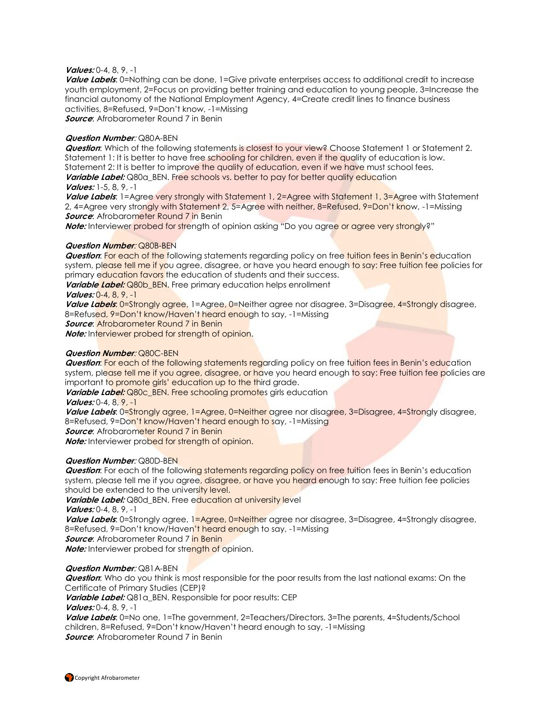#### **Values:** 0-4, 8, 9, -1

Value Labels: 0=Nothing can be done, 1=Give private enterprises access to additional credit to increase youth employment, 2=Focus on providing better training and education to young people, 3=Increase the financial autonomy of the National Employment Agency, 4=Create credit lines to finance business activities, 8=Refused, 9=Don't know, -1=Missing **Source**: Afrobarometer Round 7 in Benin

#### **Question Number**: Q80A-BEN

**Question**: Which of the following statements is closest to your view? Choose Statement 1 or Statement 2. Statement 1: It is better to have free schooling for children, even if the quality of education is low. Statement 2: It is better to improve the quality of education, even if we have must school fees. Variable Label: Q80a\_BEN. Free schools vs. better to pay for better quality education

#### **Values:** 1-5, 8, 9, -1

**Value Labels**: 1=Agree very strongly with Statement 1, 2=Agree with Statement 1, 3=Agree with Statement 2, 4=Agree very strongly with Statement 2, 5=Agree with neither, 8=Refused, 9=Don't know, -1=Missing **Source:** Afrobarometer Round 7 in Benin

**Note:** Interviewer probed for strength of opinion asking "Do you agree or agree very strongly?"

#### **Question Number**: Q80B-BEN

**Question:** For each of the following statements regarding policy on free tuition fees in Benin's education system, please tell me if you agree, disagree, or have you heard enough to say: Free tuition fee policies for primary education favors the education of students and their success.

**Variable Label:** Q80b\_BEN. Free primary education helps enrollment **Values:** 0-4, 8, 9, -1

**Value Labels**: 0=Strongly agree, 1=Agree, 0=Neither agree nor disagree, 3=Disagree, 4=Strongly disagree, 8=Refused, 9=Don't know/Haven't heard enough to say, -1=Missing **Source**: Afrobarometer Round 7 in Benin

**Note:** Interviewer probed for strength of opinion.

#### **Question Number**: Q80C-BEN

**Question:** For each of the following statements regarding policy on free tuition fees in Benin's education system, please tell me if you agree, disagree, or have you heard enough to say: Free tuition fee policies are important to promote girls' education up to the third grade.

**Variable Label:** Q80c\_BEN. Free schooling promotes girls education **Values:** 0-4, 8, 9, -1

Value Labels: 0=Strongly agree, 1=Agree, 0=Neither agree nor disagree, 3=Disagree, 4=Strongly disagree, 8=Refused, 9=Don't know/Haven't heard enough to say, -1=Missing

**Source:** Afrobarometer Round 7 in Benin

**Note:** Interviewer probed for strength of opinion.

#### **Question Number**: Q80D-BEN

**Question:** For each of the following statements regarding policy on free tuition fees in Benin's education system, please tell me if you agree, disagree, or have you heard enough to say: Free tuition fee policies should be extended to the university level.

Variable Label: Q80d\_BEN. Free education at university level

**Values:** 0-4, 8, 9, -1

Value Labels: 0=Strongly agree, 1=Agree, 0=Neither agree nor disagree, 3=Disagree, 4=Strongly disagree, 8=Refused, 9=Don't know/Haven't heard enough to say, -1=Missing

**Source:** Afrobarometer Round 7 in Benin

**Note:** Interviewer probed for strength of opinion.

#### **Question Number**: Q81A-BEN

**Question:** Who do you think is most responsible for the poor results from the last national exams: On the Certificate of Primary Studies (CEP)?

**Variable Label:** Q81a BEN. Responsible for poor results: CEP

**Values:** 0-4, 8, 9, -1

**Value Labels**: 0=No one, 1=The government, 2=Teachers/Directors, 3=The parents, 4=Students/School children, 8=Refused, 9=Don't know/Haven't heard enough to say, -1=Missing **Source**: Afrobarometer Round 7 in Benin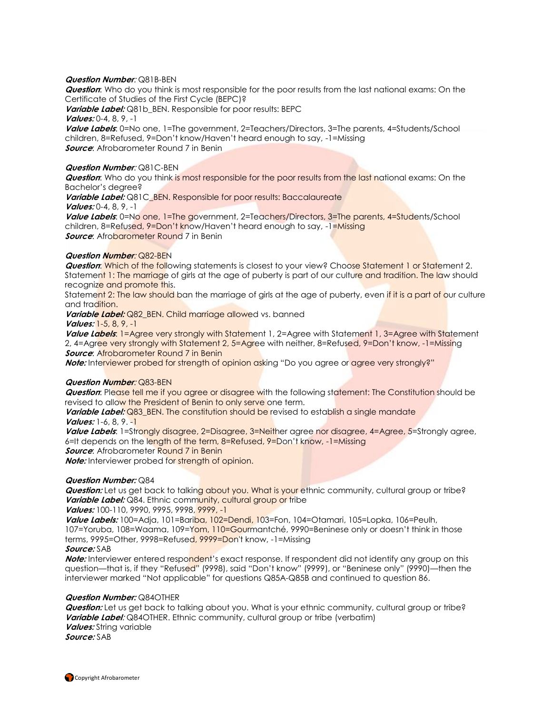#### **Question Number**: Q81B-BEN

**Question**: Who do you think is most responsible for the poor results from the last national exams: On the Certificate of Studies of the First Cycle (BEPC)?

**Variable Label:** Q81b\_BEN. Responsible for poor results: BEPC

**Values:** 0-4, 8, 9, -1

**Value Labels**: 0=No one, 1=The government, 2=Teachers/Directors, 3=The parents, 4=Students/School children, 8=Refused, 9=Don't know/Haven't heard enough to say, -1=Missing **Source**: Afrobarometer Round 7 in Benin

#### **Question Number**: Q81C-BEN

**Question:** Who do you think is most responsible for the poor results from the last national exams: On the Bachelor's degree?

**Variable Label:** Q81C\_BEN. Responsible for poor results: Baccalaureate

**Values:** 0-4, 8, 9, -1

**Value Labels**: 0=No one, 1=The government, 2=Teachers/Directors, 3=The parents, 4=Students/School children, 8=Refused, 9=Don't know/Haven't heard enough to say, -1=Missing **Source:** Afrobarometer Round 7 in Benin

#### **Question Number**: Q82-BEN

**Question:** Which of the following statements is closest to your view? Choose Statement 1 or Statement 2. Statement 1: The marriage of girls at the age of puberty is part of our culture and tradition. The law should recognize and promote this.

Statement 2: The law should ban the marriage of girls at the age of puberty, even if it is a part of our culture and tradition.

Variable Label: Q82\_BEN. Child marriage allowed vs. banned

**Values:** 1-5, 8, 9, -1

**Value Labels**: 1=Agree very strongly with Statement 1, 2=Agree with Statement 1, 3=Agree with Statement 2, 4=Agree very strongly with Statement 2, 5=Agree with neither, 8=Refused, 9=Don't know, -1=Missing **Source: Afrobarometer Round 7 in Benin** 

**Note:** Interviewer probed for strength of opinion asking "Do you agree or **agree very strongly?"** 

### **Question Number**: Q83-BEN

**Question**: Please tell me if you agree or disagree with the following statement: The Constitution should be revised to allow the President of Benin to only serve one term.

**Variable Label:** Q83\_BEN. The constitution should be revised to establish a single mandate **Values:** 1-6, 8, 9. -1

Value Labels: 1=Strongly disagree, 2=Disagree, 3=Neither agree nor disagree, 4=Agree, 5=Strongly agree, 6=It depends on the length of the term, 8=Refused, 9=Don't know, -1=Missing

**Source:** Afrobarometer Round 7 in Benin

**Note:** Interviewer probed for strength of opinion.

#### **Question Number:** Q84

**Question:** Let us get back to talking about you. What is your ethnic community, cultural group or tribe? **Variable Label:** Q84. Ethnic community, cultural group or tribe

**Values:** 100-110, 9990, 9995, 9998, 9999, -1

**Value Labels:** 100=Adja, 101=Bariba, 102=Dendi, 103=Fon, 104=Otamari, 105=Lopka, 106=Peulh, 107=Yoruba, 108=Waama, 109=Yom, 110=Gourmantché, 9990=Beninese only or doesn't think in those terms, 9995=Other, 9998=Refused, 9999=Don't know, -1=Missing

#### **Source:** SAB

**Note:** Interviewer entered respondent's exact response. If respondent did not identify any group on this question—that is, if they "Refused" (9998), said "Don't know" (9999), or "Beninese only" (9990)—then the interviewer marked "Not applicable" for questions Q85A-Q85B and continued to question 86.

#### **Question Number:** Q84OTHER

**Question:** Let us get back to talking about you. What is your ethnic community, cultural group or tribe? **Variable Label**: Q84OTHER. Ethnic community, cultural group or tribe (verbatim) **Values:** String variable **Source:** SAB

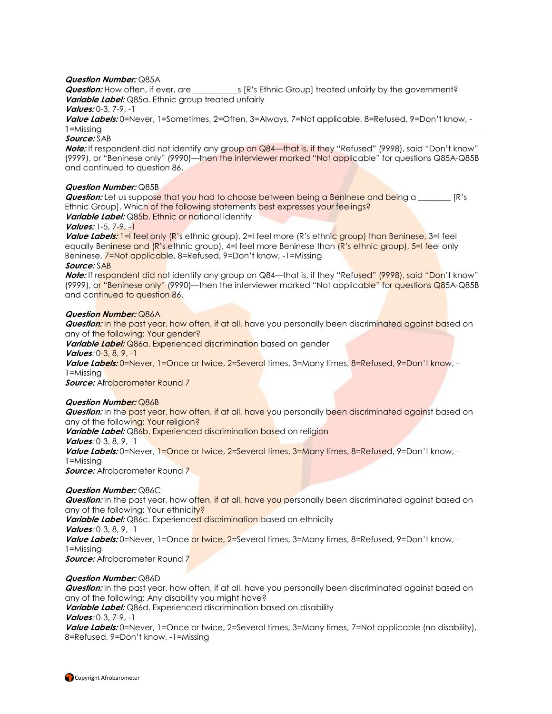#### **Question Number:** Q85A

**Question:** How often, if ever, are \_\_\_\_\_\_\_\_\_\_\_s [R's Ethnic Group] treated unfairly by the government? **Variable Label:** Q85a. Ethnic group treated unfairly

### **Values:** 0-3, 7-9, -1

**Value Labels:** 0=Never, 1=Sometimes, 2=Often, 3=Always, 7=Not applicable, 8=Refused, 9=Don't know, - 1=Missing

#### **Source:** SAB

**Note:** If respondent did not identify any group on Q84—that is, if they "Refused" (9998), said "Don't know" (9999), or "Beninese only" (9990)—then the interviewer marked "Not applicable" for questions Q85A-Q85B and continued to question 86.

#### **Question Number:** Q85B

**Question:** Let us suppose that you had to choose between being a Beninese and being a **R's** Ethnic Group]. Which of the following statements best expresses your feelings? **Variable Label:** Q85b. Ethnic or national identity

#### **Values:** 1-5, 7-9, -1

Value Labels: 1=I feel only (R's ethnic group), 2=I feel more (R's ethnic group) than Beninese, 3=I feel equally Beninese and (R's ethnic group), 4=I feel more Beninese than (R's ethnic group), 5=I feel only Beninese, 7=Not applicable, 8=Refused, 9=Don't know, -1=Missing **Source:** SAB

# **Note:** If respondent did not identify any group on Q84—that is, if they "Refused" (9998), said "Don't know" (9999), or "Beninese only" (9990)—then the interviewer marked "Not applicable" for questions Q85A-Q85B

and continued to question 86.

#### **Question Number:** Q86A

**Question:** In the past year, how often, if at all, have you personally been discriminated against based on any of the following: Your gender?

**Variable Label:** Q86a. Experienced discrimination based on gender

**Values**: 0-3, 8, 9, -1

**Value Labels:** 0=Never, 1=Once or twice, 2=Several times, 3=Many times, 8=Refused, 9=Don't know, - 1=Missing

**Source:** Afrobarometer Round 7

#### **Question Number:** Q86B

**Question:** In the past year, how often, if at all, have you personally been discriminated against based on any of the following: Your religion?

Variable Label: Q86b. Experienced discrimination based on religion **Values**: 0-3, 8, 9, -1

Value Labels: 0=Never, 1=Once or twice, 2=Several times, 3=Many times, 8=Refused, 9=Don't know, -1=Missing

**Source:** Afrobarometer Round 7

#### **Question Number:** Q86C

**Question:** In the past year, how often, if at all, have you personally been discriminated against based on any of the following: Your ethnicity? **Variable Label:** Q86c. Experienced discrimination based on ethnicity **Values**: 0-3, 8, 9, -1 **Value Labels:** 0=Never, 1=Once or twice, 2=Several times, 3=Many times, 8=Refused, 9=Don't know, - 1=Missing *Source:* Afrobarometer Round 7

#### **Question Number:** Q86D

**Question:** In the past year, how often, if at all, have you personally been discriminated against based on any of the following: Any disability you might have?

**Variable Label:** Q86d. Experienced discrimination based on disability

#### **Values**: 0-3, 7-9, -1

**Value Labels:** 0=Never, 1=Once or twice, 2=Several times, 3=Many times, 7=Not applicable (no disability), 8=Refused, 9=Don't know, -1=Missing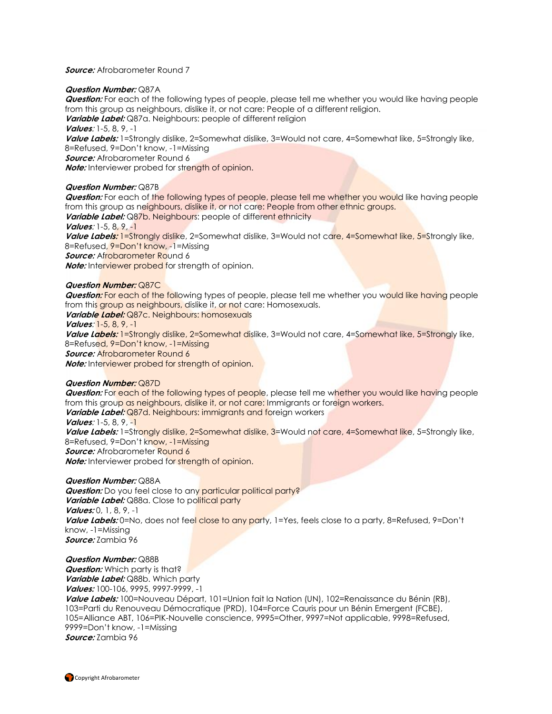#### **Source:** Afrobarometer Round 7

#### **Question Number:** Q87A

**Question:** For each of the following types of people, please tell me whether you would like having people from this group as neighbours, dislike it, or not care: People of a different religion.

**Variable Label:** Q87a. Neighbours: people of different religion

**Values**: 1-5, 8, 9, -1

**Value Labels:** 1=Strongly dislike, 2=Somewhat dislike, 3=Would not care, 4=Somewhat like, 5=Strongly like, 8=Refused, 9=Don't know, -1=Missing

**Source:** Afrobarometer Round 6

**Note:** Interviewer probed for strength of opinion.

#### **Question Number:** Q87B

**Question:** For each of the following types of people, please tell me whether you would like having people from this group as neighbours, dislike it, or not care: People from other ethnic groups. **Variable Label:** Q87b. Neighbours: people of different ethnicity **Values**: 1-5, 8, 9, -1 Value Labels: 1=Strongly dislike, 2=Somewhat dislike, 3=Would not care, 4=Somewhat like, 5=Strongly like, 8=Refused, 9=Don't know, -1=Missing **Source:** Afrobarometer Round 6 **Note:** Interviewer probed for strength of opinion.

#### **Question Number:** Q87C

**Question:** For each of the following types of people, please tell me whether you would like having people from this group as neighbours, dislike it, or not care: Homosexuals.

**Variable Label:** Q87c. Neighbours: homosexuals **Values**: 1-5, 8, 9, -1 **Value Labels:** 1=Strongly dislike, 2=Somewhat dislike, 3=Would not care, 4=Somewhat like, 5=Strongly like, 8=Refused, 9=Don't know, -1=Missing **Source:** Afrobarometer Round 6 **Note:** Interviewer probed for strength of opinion.

#### **Question Number:** Q87D

**Question:** For each of the following types of people, please tell me whether you would like having people from this group as neighbours, dislike it, or not care: Immigrants or foreign workers. **Variable Label:** Q87d. Neighbours: immigrants and foreign workers **Values**: 1-5, 8, 9, -1 Value Labels: 1=Strongly dislike, 2=Somewhat dislike, 3=Would not care, 4=Somewhat like, 5=Strongly like, 8=Refused, 9=Don't know, -1=Missing **Source:** Afrobarometer Round 6

**Note:** Interviewer probed for strength of opinion.

#### **Question Number:** Q88A

**Question:** Do you feel close to any particular political party? Variable Label: Q88a. Close to political party **Values:** 0, 1, 8, 9, -1 Value Labels: 0=No, does not feel close to any party, 1=Yes, feels close to a party, 8=Refused, 9=Don't know, -1=Missing **Source:** Zambia 96

#### **Question Number:** Q88B

**Question:** Which party is that? **Variable Label:** Q88b. Which party **Values:** 100-106, 9995, 9997-9999, -1

**Value Labels:** 100=Nouveau Départ, 101=Union fait la Nation (UN), 102=Renaissance du Bénin (RB), 103=Parti du Renouveau Démocratique (PRD), 104=Force Cauris pour un Bénin Emergent (FCBE), 105=Alliance ABT, 106=PIK-Nouvelle conscience, 9995=Other, 9997=Not applicable, 9998=Refused, 9999=Don't know, -1=Missing **Source:** Zambia 96

Copyright Afrobarometer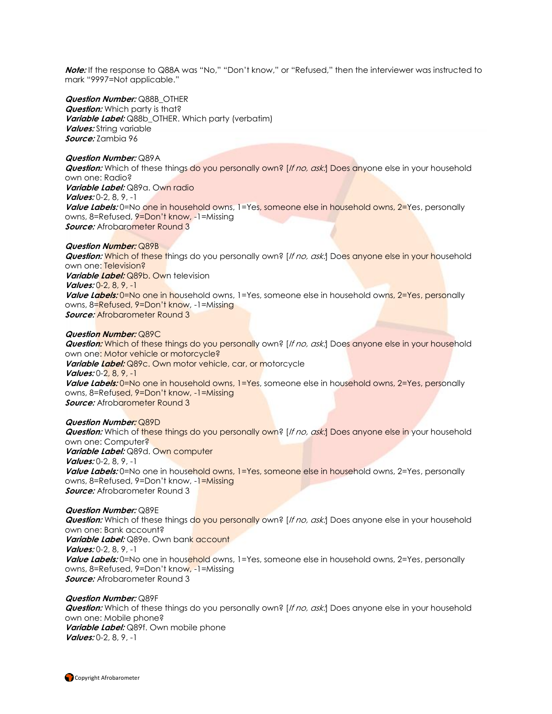**Note:** If the response to Q88A was "No," "Don't know," or "Refused," then the interviewer was instructed to mark "9997=Not applicable."

#### **Question Number:** Q88B\_OTHER

**Question:** Which party is that? **Variable Label:** Q88b\_OTHER. Which party (verbatim) **Values:** String variable **Source:** Zambia 96

#### **Question Number:** Q89A

**Question:** Which of these things do you personally own? [If no, ask:] Does anyone else in your household own one: Radio? **Variable Label:** Q89a. Own radio

**Values:** 0-2, 8, 9, -1

Value Labels: 0=No one in household owns, 1=Yes, someone else in household owns, 2=Yes, personally owns, 8=Refused, 9=Don't know, -1=Missing *Source:* Afrobarometer Round 3

#### **Question Number:** Q89B

**Question:** Which of these things do you personally own? [If no, ask:] Does anyone else in your household own one: Television? **Variable Label:** Q89b. Own television **Values:** 0-2, 8, 9, -1 **Value Labels:** 0=No one in household owns, 1=Yes, someone else in household owns, 2=Yes, personally owns, 8=Refused, 9=Don't know, -1=Missing **Source:** Afrobarometer Round 3

#### **Question Number:** Q89C

**Question:** Which of these things do you personally own? [If no, ask:] Does anyone else in your household own one: Motor vehicle or motorcycle? **Variable Label:** Q89c. Own motor vehicle, car, or motorcycle **Values:** 0-2, 8, 9, -1 **Value Labels:** 0=No one in household owns, 1=Yes, someone else in household owns, 2=Yes, personally owns, 8=Refused, 9=Don't know, -1=Missing *Source:* Afrobarometer Round 3

### **Question Number:** Q89D

**Question:** Which of these things do you personally own? [If no, ask:] Does anyone else in your household own one: Computer? **Variable Label:** Q89d. Own computer **Values:** 0-2, 8, 9, -1 **Value Labels:** 0=No one in household owns, 1=Yes, someone else in household owns, 2=Yes, personally owns, 8=Refused, 9=Don't know, -1=Missing **Source:** Afrobarometer Round 3

### **Question Number:** Q89E

**Question:** Which of these things do you personally own? [If no, ask:] Does anyone else in your household own one: Bank account? **Variable Label:** Q89e. Own bank account **Values:** 0-2, 8, 9, -1 **Value Labels:** 0=No one in household owns, 1=Yes, someone else in household owns, 2=Yes, personally owns, 8=Refused, 9=Don't know, -1=Missing **Source:** Afrobarometer Round 3

#### **Question Number:** Q89F

**Question:** Which of these things do you personally own? [If no, ask:] Does anyone else in your household own one: Mobile phone? **Variable Label:** Q89f. Own mobile phone **Values:** 0-2, 8, 9, -1

Copyright Afrobarometer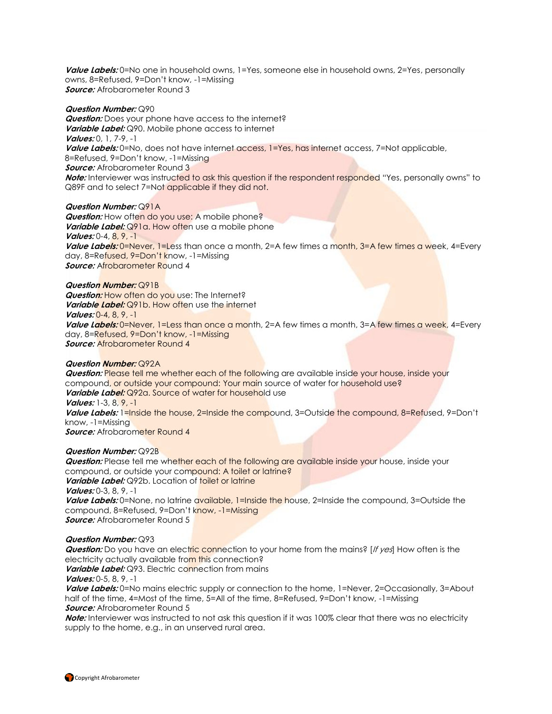Value Labels: 0=No one in household owns, 1=Yes, someone else in household owns, 2=Yes, personally owns, 8=Refused, 9=Don't know, -1=Missing **Source:** Afrobarometer Round 3

#### **Question Number:** Q90

**Question:** Does your phone have access to the internet? **Variable Label:** Q90. Mobile phone access to internet **Values:** 0, 1, 7-9, -1 Value Labels: 0=No, does not have internet access, 1=Yes, has internet access, 7=Not applicable, 8=Refused, 9=Don't know, -1=Missing **Source:** Afrobarometer Round 3 **Note:** Interviewer was instructed to ask this question if the respondent responded "Yes, personally owns" to Q89F and to select 7=Not applicable if they did not.

#### **Question Number:** Q91A

**Question:** How often do you use: A mobile phone? **Variable Label:** Q91a. How often use a mobile phone **Values:** 0-4, 8, 9, -1 **Value Labels:** 0=Never, 1=Less than once a month, 2=A few times a month, 3=A few times a week, 4=Every day, 8=Refused, 9=Don't know, -1=Missing *Source:* Afrobarometer Round 4

#### **Question Number:** Q91B

**Question:** How often do you use: The Internet? *Variable Label:* Q91b. How often use the internet **Values:** 0-4, 8, 9, -1 **Value Labels:** 0=Never, 1=Less than once a month, 2=A few times a month, 3=A few times a week, 4=Every day, 8=Refused, 9=Don't know, -1=Missing **Source:** Afrobarometer Round 4

#### **Question Number:** Q92A

**Question:** Please tell me whether each of the following are available inside your house, inside your compound, or outside your compound: Your main source of water for household use? **Variable Label:** Q92a. Source of water for household use **Values:** 1-3, 8, 9, -1 Value Labels: 1=Inside the house, 2=Inside the compound, 3=Outside the compound, 8=Refused, 9=Don't know, -1=Missing **Source:** Afrobarometer Round 4

#### **Question Number:** Q92B

**Question:** Please tell me whether each of the following are available inside your house, inside your compound, or outside your compound: A toilet or latrine?

**Variable Label:** Q92b. Location of toilet or latrine **Values:** 0-3, 8, 9, -1

**Value Labels:** 0=None, no latrine available, 1=Inside the house, 2=Inside the compound, 3=Outside the compound, 8=Refused, 9=Don't know, -1=Missing **Source:** Afrobarometer Round 5

#### **Question Number:** Q93

**Question:** Do you have an electric connection to your home from the mains? [If yes] How often is the electricity actually available from this connection?

*Variable Label:* Q93. Electric connection from mains

**Values:** 0-5, 8, 9, -1

Value Labels: 0=No mains electric supply or connection to the home, 1=Never, 2=Occasionally, 3=About half of the time, 4=Most of the time, 5=All of the time, 8=Refused, 9=Don't know, -1=Missing **Source:** Afrobarometer Round 5

**Note:** Interviewer was instructed to not ask this question if it was 100% clear that there was no electricity supply to the home, e.g., in an unserved rural area.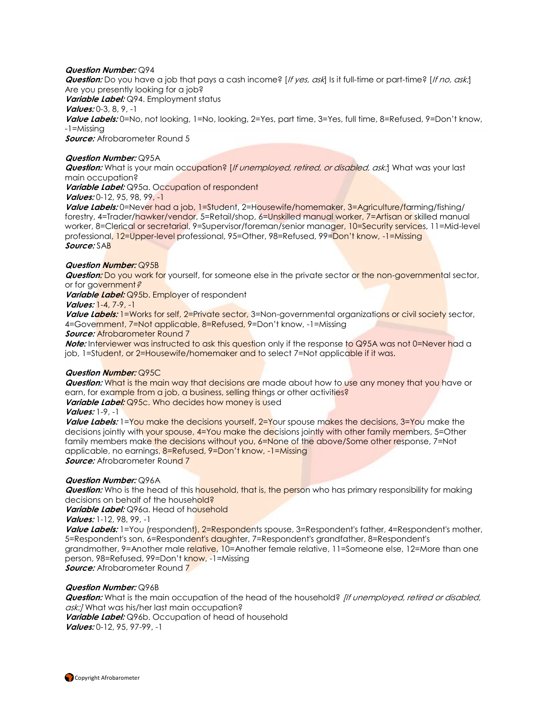#### **Question Number:** Q94

**Question:** Do you have a job that pays a cash income? [If yes, ask] Is it full-time or part-time? [If no, ask.] Are you presently looking for a job? **Variable Label:** Q94. Employment status **Values:** 0-3, 8, 9, -1 **Value Labels:** 0=No, not looking, 1=No, looking, 2=Yes, part time, 3=Yes, full time, 8=Refused, 9=Don't know, -1=Missing **Source:** Afrobarometer Round 5

#### **Question Number:** Q95A

**Question:** What is your main occupation? [If unemployed, retired, or disabled, ask:] What was your last main occupation?

**Variable Label:** Q95a. Occupation of respondent

#### **Values:** 0-12, 95, 98, 99, -1

**Value Labels:** 0=Never had a job, 1=Student, 2=Housewife/homemaker, 3=Agriculture/farming/fishing/ forestry, 4=Trader/hawker/vendor, 5=Retail/shop, 6=Unskilled manual worker, 7=Artisan or skilled manual worker, 8=Clerical or secretarial, 9=Supervisor/foreman/senior manager, 10=Security services, 11=Mid-level professional, 12=Upper-level professional, 95=Other, 98=Refused, 99=Don't know, -1=Missing **Source:** SAB

#### **Question Number:** Q95B

**Question:** Do you work for yourself, for someone else in the private sector or the non-governmental sector, or for government?

**Variable Label:** Q95b. Employer of respondent

#### **Values:** 1-4, 7-9, -1

**Value Labels:** 1=Works for self, 2=Private sector, 3=Non-governmental organizations or civil society sector, 4=Government, 7=Not applicable, 8=Refused, 9=Don't know, -1=Missing

#### **Source:** Afrobarometer Round 7

**Note:** Interviewer was instructed to ask this question only if the response to Q95A was not 0=Never had a job, 1=Student, or 2=Housewife/homemaker and to select 7=Not applicable if it was.

#### **Question Number:** Q95C

**Question:** What is the main way that decisions are made about how to use any money that you have or earn, for example from a job, a business, selling things or other activities?

**Variable Label:** Q95c. Who decides how money is used

#### **Values:** 1-9, -1

Value Labels: 1=You make the decisions yourself, 2=Your spouse makes the decisions, 3=You make the decisions jointly with your spouse, 4=You make the decisions jointly with other family members, 5=Other family members make the decisions without you, 6=None of the above/Some other response, 7=Not applicable, no earnings, 8=Refused, 9=Don't know, -1=Missing **Source:** Afrobarometer Round 7

#### **Question Number:** Q96A

**Question:** Who is the head of this household, that is, the person who has primary responsibility for making decisions on behalf of the household?

**Variable Label:** Q96a. Head of household

**Values:** 1-12, 98, 99, -1

Value Labels: 1=You (respondent), 2=Respondents spouse, 3=Respondent's father, 4=Respondent's mother, 5=Respondent's son, 6=Respondent's daughter, 7=Respondent's grandfather, 8=Respondent's grandmother, 9=Another male relative, 10=Another female relative, 11=Someone else, 12=More than one person, 98=Refused, 99=Don't know, -1=Missing

**Source:** Afrobarometer Round 7

#### **Question Number:** Q96B

**Question:** What is the main occupation of the head of the household? *[If unemployed, retired or disabled,* ask:/ What was his/her last main occupation?

**Variable Label:** Q96b. Occupation of head of household **Values:** 0-12, 95, 97-99, -1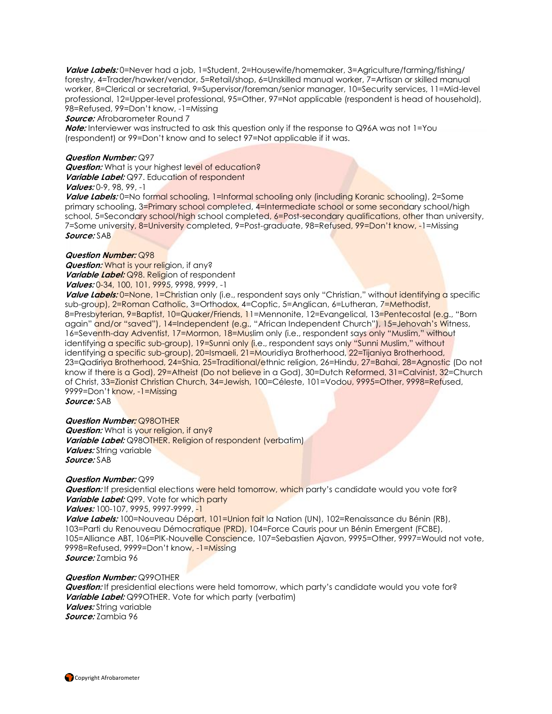**Value Labels:** 0=Never had a job, 1=Student, 2=Housewife/homemaker, 3=Agriculture/farming/fishing/ forestry, 4=Trader/hawker/vendor, 5=Retail/shop, 6=Unskilled manual worker, 7=Artisan or skilled manual worker, 8=Clerical or secretarial, 9=Supervisor/foreman/senior manager, 10=Security services, 11=Mid-level professional, 12=Upper-level professional, 95=Other, 97=Not applicable (respondent is head of household), 98=Refused, 99=Don't know, -1=Missing

**Source:** Afrobarometer Round 7

**Note:** Interviewer was instructed to ask this question only if the response to Q96A was not 1=You (respondent) or 99=Don't know and to select 97=Not applicable if it was.

#### **Question Number:** Q97

**Question:** What is your highest level of education? **Variable Label:** Q97. Education of respondent **Values:** 0-9, 98, 99, -1

Value Labels: 0=No formal schooling, 1=Informal schooling only (including Koranic schooling), 2=Some primary schooling, 3=Primary school completed, 4=Intermediate school or some secondary school/high school, 5=Secondary school/high school completed, 6=Post-secondary qualifications, other than university, 7=Some university, 8=University completed, 9=Post-graduate, 98=Refused, 99=Don't know, -1=Missing **Source:** SAB

#### **Question Number:** Q98

**Question:** What is your religion, if any? **Variable Label:** Q98. Religion of respondent **Values:** 0-34, 100, 101, 9995, 9998, 9999, -1

**Value Labels:** 0=None, 1=Christian only (i.e., respondent says only "Christian," without identifying a specific sub-group), 2=Roman Catholic, 3=Orthodox, 4=Coptic, 5=Anglican, 6=Lutheran, 7=Methodist, 8=Presbyterian, 9=Baptist, 10=Quaker/Friends, 11=Mennonite, 12=Evangelical, 13=Pentecostal (e.g., "Born again" and/or "saved"), 14=Independent (e.g., "African Independent Church"), 15=Jehovah's Witness, 16=Seventh-day Adventist, 17=Mormon, 18=Muslim only (i.e., respondent says only "Muslim," without identifying a specific sub-group), 19=Sunni only (i.e., respondent says only "Sunni Muslim," without identifying a specific sub-group), 20=Ismaeli, 21=Mouridiya Brotherhood, 22=Tijaniya Brotherhood, 23=Qadiriya Brotherhood, 24=Shia, 25=Traditional/ethnic religion, 26=Hindu, 27=Bahai, 28=Agnostic (Do not know if there is a God), 29=Atheist (Do not believe in a God), 30=Dutch Reformed, 31=Calvinist, 32=Church of Christ, 33=Zionist Christian Church, 34=Jewish, 100=Céleste, 101=Vodou, 9995=Other, 9998=Refused, 9999=Don't know, -1=Missing

**Source:** SAB

**Question Number:** Q98OTHER **Question:** What is your religion, if any? **Variable Label:** Q98OTHER. Religion of respondent (verbatim) **Values:** String variable **Source:** SAB

#### **Question Number:** Q99

**Question:** If presidential elections were held tomorrow, which party's candidate would you vote for? **Variable Label:** Q99. Vote for which party **Values:** 100-107, 9995, 9997-9999, -1 **Value Labels:** 100=Nouveau Départ, 101=Union fait la Nation (UN), 102=Renaissance du Bénin (RB), 103=Parti du Renouveau Démocratique (PRD), 104=Force Cauris pour un Bénin Emergent (FCBE), 105=Alliance ABT, 106=PIK-Nouvelle Conscience, 107=Sebastien Ajavon, 9995=Other, 9997=Would not vote, 9998=Refused, 9999=Don't know, -1=Missing

**Source:** Zambia 96

#### **Question Number:** Q99OTHER

**Question:** If presidential elections were held tomorrow, which party's candidate would you vote for? **Variable Label:** Q99OTHER. Vote for which party (verbatim) **Values:** String variable **Source:** Zambia 96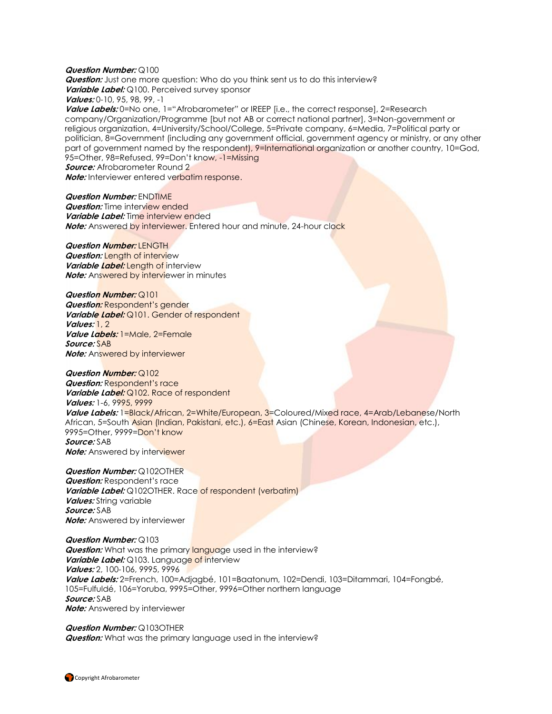#### **Question Number:** Q100 **Question:** Just one more question: Who do you think sent us to do this interview? **Variable Label:** Q100. Perceived survey sponsor **Values:** 0-10, 95, 98, 99, -1 Value Labels: 0=No one, 1="Afrobarometer" or IREEP [i.e., the correct response], 2=Research company/Organization/Programme [but not AB or correct national partner], 3=Non-government or religious organization, 4=University/School/College, 5=Private company, 6=Media, 7=Political party or politician, 8=Government (including any government official, government agency or ministry, or any other part of government named by the respondent), 9=International organization or another country, 10=God, 95=Other, 98=Refused, 99=Don't know, -1=Missing **Source:** Afrobarometer Round 2

**Note:** Interviewer entered verbatim response.

**Question Number:** ENDTIME **Question:** Time interview ended **Variable Label:** Time interview ended **Note:** Answered by interviewer. Entered hour and minute, 24-hour clock

**Question Number: LENGTH Question:** Length of interview *Variable Label:* **Length of interview Note:** Answered by interviewer in minutes

**Question Number:** Q101 **Question:** Respondent's gender **Variable Label:** Q101. Gender of respondent **Values:** 1, 2 **Value Labels:** 1=Male, 2=Female **Source:** SAB **Note:** Answered by interviewer

**Question Number:** Q102 **Question:** Respondent's race *Variable Label: Q102. Race of respondent* **Values:** 1-6, 9995, 9999 **Value Labels:** 1=Black/African, 2=White/European, 3=Coloured/Mixed race, 4=Arab/Lebanese/North African, 5=South Asian (Indian, Pakistani, etc.), 6=East Asian (Chinese, Korean, Indonesian, etc.), 9995=Other, 9999=Don't know **Source:** SAB **Note:** Answered by interviewer

**Question Number:** Q102OTHER **Question:** Respondent's race **Variable Label:** Q102OTHER. Race of respondent (verbatim) **Values:** String variable **Source:** SAB **Note:** Answered by interviewer

**Question Number:** Q103 **Question:** What was the primary language used in the interview? **Variable Label:** Q103. Language of interview **Values:** 2, 100-106, 9995, 9996 **Value Labels:** 2=French, 100=Adjagbé, 101=Baatonum, 102=Dendi, 103=Ditammari, 104=Fongbé, 105=Fulfuldé, 106=Yoruba, 9995=Other, 9996=Other northern language **Source:** SAB **Note:** Answered by interviewer

**Question Number:** Q103OTHER **Question:** What was the primary language used in the interview?

**Copyright Afrobarometer**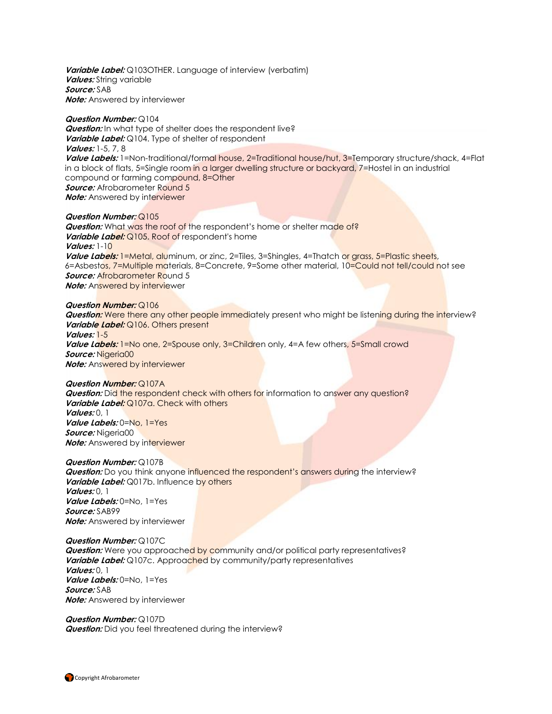**Variable Label:** Q103OTHER. Language of interview (verbatim) **Values:** String variable **Source:** SAB **Note:** Answered by interviewer

#### **Question Number:** Q104

**Question:** In what type of shelter does the respondent live? **Variable Label:** Q104. Type of shelter of respondent **Values:** 1-5, 7, 8 **Value Labels:** 1=Non-traditional/formal house, 2=Traditional house/hut, 3=Temporary structure/shack, 4=Flat in a block of flats, 5=Single room in a larger dwelling structure or backyard, 7=Hostel in an industrial compound or farming compound, 8=Other **Source:** Afrobarometer Round 5 **Note:** Answered by interviewer

#### **Question Number:** Q105

**Question:** What was the roof of the respondent's home or shelter made of? Variable Label: Q105. Roof of respondent's home **Values:** 1-10 **Value Labels:** 1=Metal, aluminum, or zinc, 2=Tiles, 3=Shingles, 4=Thatch or grass, 5=Plastic sheets, 6=Asbestos, 7=Multiple materials, 8=Concrete, 9=Some other material, 10=Could not tell/could not see **Source: Afrobarometer Round 5 Note:** Answered by interviewer

#### **Question Number:** Q106

**Question:** Were there any other people immediately present who might be listening during the interview? Variable Label: Q106. Others present **Values:** 1-5 **Value Labels:** 1=No one, 2=Spouse only, 3=Children only, 4=A few others, 5=Small crowd **Source:** Nigeria00 **Note:** Answered by interviewer

**Question Number:** Q107A

*Question:* Did the respondent check with others for information to answer any question? Variable Label: Q107a. Check with others **Values:** 0, 1 **Value Labels:** 0=No, 1=Yes **Source:** Nigeria00 **Note:** Answered by interviewer

#### **Question Number:** Q107B

**Question:** Do you think anyone influenced the respondent's answers during the interview? **Variable Label:** Q017b. Influence by others **Values:** 0, 1 **Value Labels:** 0=No, 1=Yes **Source:** SAB99 **Note:** Answered by interviewer

**Question Number:** Q107C **Question:** Were you approached by community and/or political party representatives? Variable Label: Q107c. Approached by community/party representatives **Values:** 0, 1 **Value Labels:** 0=No, 1=Yes **Source:** SAB **Note:** Answered by interviewer

#### **Question Number:** Q107D **Question:** Did you feel threatened during the interview?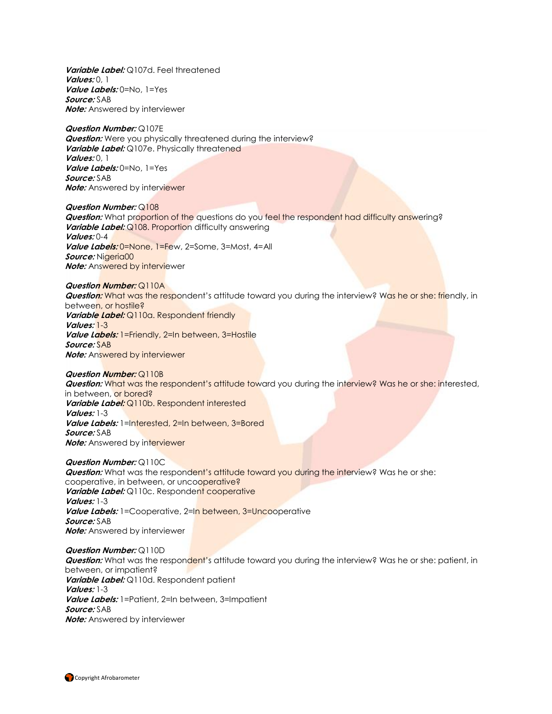**Variable Label:** Q107d. Feel threatened **Values:** 0, 1 **Value Labels:** 0=No, 1=Yes **Source:** SAB **Note:** Answered by interviewer

#### **Question Number:** Q107E **Question:** Were you physically threatened during the interview? Variable Label: Q107e. Physically threatened **Values:** 0, 1 **Value Labels:** 0=No, 1=Yes **Source:** SAB **Note:** Answered by interviewer

**Question Number:** Q108 **Question:** What proportion of the questions do you feel the respondent had difficulty answering? **Variable Label:** Q108. Proportion difficulty answering **Values:** 0-4 **Value Labels:** 0=None, 1=Few, 2=Some, 3=Most, 4=All Source: Nigeria00 **Note:** Answered by interviewer

#### **Question Number:** Q110A **Question:** What was the respondent's attitude toward you during the interview? Was he or she: friendly, in between, or hostile? **Variable Label:** Q110a. Respondent friendly **Values:** 1-3 **Value Labels:** 1=Friendly, 2=In between, 3=Hostile **Source:** SAB **Note:** Answered by interviewer

#### **Question Number:** Q110B

**Question:** What was the respondent's attitude toward you during the interview? Was he or she: interested, in between, or bored? **Variable Label:** Q110b. Respondent interested **Values:** 1-3 **Value Labels:** 1=Interested, 2=In between, 3=Bored **Source:** SAB **Note:** Answered by interviewer

#### **Question Number:** Q110C

*Question:* What was the respondent's attitude toward you during the interview? Was he or she: cooperative, in between, or uncooperative? Variable Label: Q110c. Respondent cooperative **Values:** 1-3 Value Labels: 1=Cooperative, 2=In between, 3=Uncooperative **Source:** SAB **Note:** Answered by interviewer

#### **Question Number:** Q110D

**Question:** What was the respondent's attitude toward you during the interview? Was he or she: patient, in between, or impatient? **Variable Label:** Q110d. Respondent patient **Values:** 1-3 **Value Labels:** 1=Patient, 2=In between, 3=Impatient **Source:** SAB **Note:** Answered by interviewer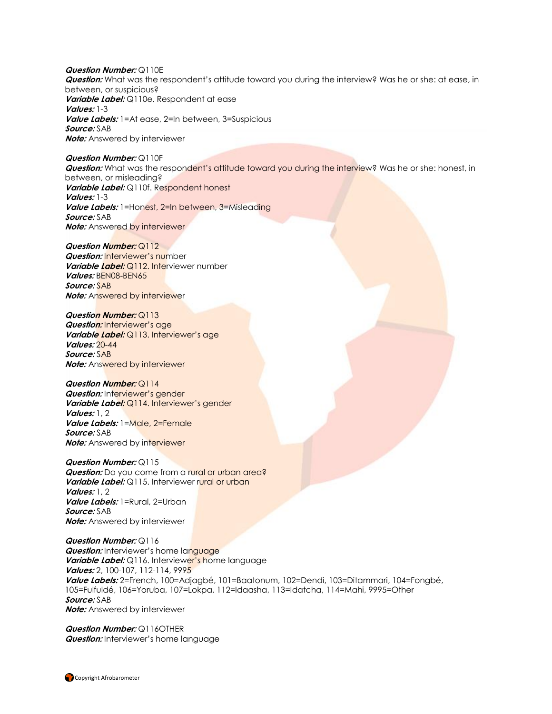**Question Number:** Q110E **Question:** What was the respondent's attitude toward you during the interview? Was he or she: at ease, in between, or suspicious? **Variable Label:** Q110e. Respondent at ease **Values:** 1-3 **Value Labels:** 1=At ease, 2=In between, 3=Suspicious **Source:** SAB **Note:** Answered by interviewer

**Question Number:** Q110F **Question:** What was the respondent's attitude toward you during the interview? Was he or she: honest, in between, or misleading? **Variable Label:** Q110f. Respondent honest **Values:** 1-3 **Value Labels:** 1=Honest, 2=In between, 3=Misleading **Source:** SAB **Note:** Answered by interviewer

**Question Number:** Q112 **Question:** Interviewer's number **Variable Label:** Q112. Interviewer number **Values:** BEN08-BEN65 **Source:** SAB **Note:** Answered by interviewer

**Question Number:** Q113 **Question:** Interviewer's age **Variable Label:** Q113. Interviewer's age **Values:** 20-44 **Source:** SAB **Note:** Answered by interviewer

**Question Number:** Q114 **Question:** Interviewer's gender **Variable Label:** Q114. Interviewer's gender **Values:** 1, 2 **Value Labels:** 1=Male, 2=Female **Source:** SAB **Note:** Answered by interviewer

**Question Number:** Q115 **Question:** Do you come from a rural or urban area? Variable Label: Q115. Interviewer rural or urban **Values:** 1, 2 **Value Labels:** 1=Rural, 2=Urban **Source:** SAB **Note:** Answered by interviewer

**Question Number:** Q116 **Question:** Interviewer's home language **Variable Label:** Q116. Interviewer's home language **Values:** 2, 100-107, 112-114, 9995 **Value Labels:** 2=French, 100=Adjagbé, 101=Baatonum, 102=Dendi, 103=Ditammari, 104=Fongbé, 105=Fulfuldé, 106=Yoruba, 107=Lokpa, 112=Idaasha, 113=Idatcha, 114=Mahi, 9995=Other **Source:** SAB **Note:** Answered by interviewer

**Question Number:** Q116OTHER **Question:** Interviewer's home language

Copyright Afrobarometer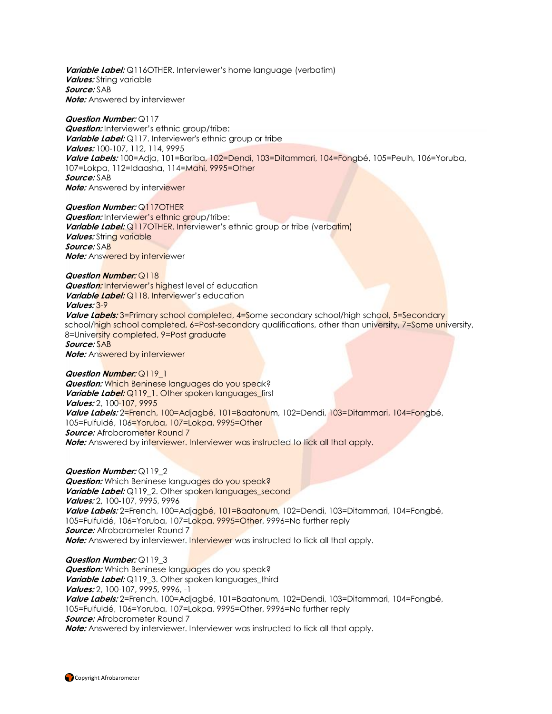Variable Label: Q116OTHER. Interviewer's home language (verbatim) **Values:** String variable **Source:** SAB **Note:** Answered by interviewer

#### **Question Number:** Q117

**Question:** Interviewer's ethnic group/tribe: **Variable Label:** Q117. Interviewer's ethnic group or tribe **Values:** 100-107, 112, 114, 9995 **Value Labels:** 100=Adja, 101=Bariba, 102=Dendi, 103=Ditammari, 104=Fongbé, 105=Peulh, 106=Yoruba, 107=Lokpa, 112=Idaasha, 114=Mahi, 9995=Other **Source:** SAB **Note:** Answered by interviewer

**Question Number:** Q117OTHER **Question:** Interviewer's ethnic group/tribe: Variable Label: Q117OTHER. Interviewer's ethnic group or tribe (verbatim) *Values:* **String variable Source:** SAB **Note:** Answered by interviewer

#### **Question Number:** Q118

**Question:** Interviewer's highest level of education **Variable Label:** Q118. Interviewer's education **Values:** 3-9

Value Labels: 3=Primary school completed, 4=Some secondary school/high school, 5=Secondary school/high school completed, 6=Post-secondary qualifications, other than university, 7=Some university, 8=University completed, 9=Post graduate **Source:** SAB

**Note:** Answered by interviewer

#### **Question Number:** Q119\_1

**Question:** Which Beninese languages do you speak? Variable Label: Q119 1. Other spoken languages first **Values:** 2, 100-107, 9995 **Value Labels:** 2=French, 100=Adjagbé, 101=Baatonum, 102=Dendi, 103=Ditammari, 104=Fongbé, 105=Fulfuldé, 106=Yoruba, 107=Lokpa, 9995=Other *Source:* Afrobarometer Round 7 **Note:** Answered by interviewer. Interviewer was instructed to tick all that apply.

**Question Number:** Q119\_2

**Question:** Which Beninese languages do you speak? Variable Label: Q119\_2. Other spoken languages\_second **Values:** 2, 100-107, 9995, 9996 **Value Labels:** 2=French, 100=Adjagbé, 101=Baatonum, 102=Dendi, 103=Ditammari, 104=Fongbé, 105=Fulfuldé, 106=Yoruba, 107=Lokpa, 9995=Other, 9996=No further reply **Source:** Afrobarometer Round 7 **Note:** Answered by interviewer. Interviewer was instructed to tick all that apply.

#### **Question Number:** Q119\_3

**Question:** Which Beninese languages do you speak? **Variable Label:** Q119\_3. Other spoken languages\_third **Values:** 2, 100-107, 9995, 9996, -1 **Value Labels:** 2=French, 100=Adjagbé, 101=Baatonum, 102=Dendi, 103=Ditammari, 104=Fongbé, 105=Fulfuldé, 106=Yoruba, 107=Lokpa, 9995=Other, 9996=No further reply **Source:** Afrobarometer Round 7 **Note:** Answered by interviewer. Interviewer was instructed to tick all that apply.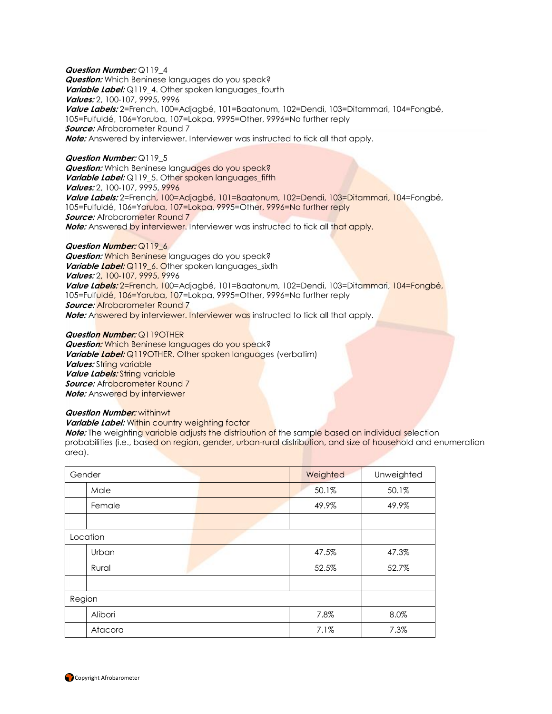**Question Number:** Q119\_4 **Question:** Which Beninese languages do you speak? **Variable Label:** Q119\_4. Other spoken languages\_fourth **Values:** 2, 100-107, 9995, 9996 **Value Labels:** 2=French, 100=Adjagbé, 101=Baatonum, 102=Dendi, 103=Ditammari, 104=Fongbé, 105=Fulfuldé, 106=Yoruba, 107=Lokpa, 9995=Other, 9996=No further reply **Source:** Afrobarometer Round 7 **Note:** Answered by interviewer. Interviewer was instructed to tick all that apply.

**Question Number:** Q119\_5 **Question:** Which Beninese languages do you speak? **Variable Label:** Q119\_5. Other spoken languages\_fifth **Values:** 2, 100-107, 9995, 9996 **Value Labels:** 2=French, 100=Adjagbé, 101=Baatonum, 102=Dendi, 103=Ditammari, 104=Fongbé, 105=Fulfuldé, 106=Yoruba, 107=Lokpa, 9995=Other, 9996=No further reply *Source:* Afrobarometer Round 7 **Note:** Answered by interviewer. Interviewer was instructed to tick all that apply.

#### **Question Number:** Q119\_6

**Question:** Which Beninese languages do you speak? **Variable Label:** Q119 6. Other spoken languages sixth **Values:** 2, 100-107, 9995, 9996 **Value Labels:** 2=French, 100=Adjagbé, 101=Baatonum, 102=Dendi, 103=Ditammari, 104=Fongbé, 105=Fulfuldé, 106=Yoruba, 107=Lokpa, 9995=Other, 9996=No further reply *Source:* Afrobarometer Round 7 **Note:** Answered by interviewer. Interviewer was instructed to tick all that apply.

**Question Number:** Q119OTHER

**Question:** Which Beninese languages do you speak? **Variable Label:** Q119OTHER. Other spoken languages (verbatim) **Values:** String variable **Value Labels:** String variable *Source:* Afrobarometer Round 7 **Note:** Answered by interviewer

#### **Question Number:** withinwt

**Variable Label:** Within country weighting factor

**Note:** The weighting variable adjusts the distribution of the sample based on individual selection probabilities (i.e., based on region, gender, urban-rural distribution, and size of household and enumeration area).

| Gender   |         | Weighted | Unweighted |
|----------|---------|----------|------------|
|          | Male    | 50.1%    | 50.1%      |
|          | Female  | 49.9%    | 49.9%      |
|          |         |          |            |
| Location |         |          |            |
|          | Urban   | 47.5%    | 47.3%      |
|          | Rural   | 52.5%    | 52.7%      |
|          |         |          |            |
| Region   |         |          |            |
|          | Alibori | 7.8%     | 8.0%       |
|          | Atacora | 7.1%     | 7.3%       |